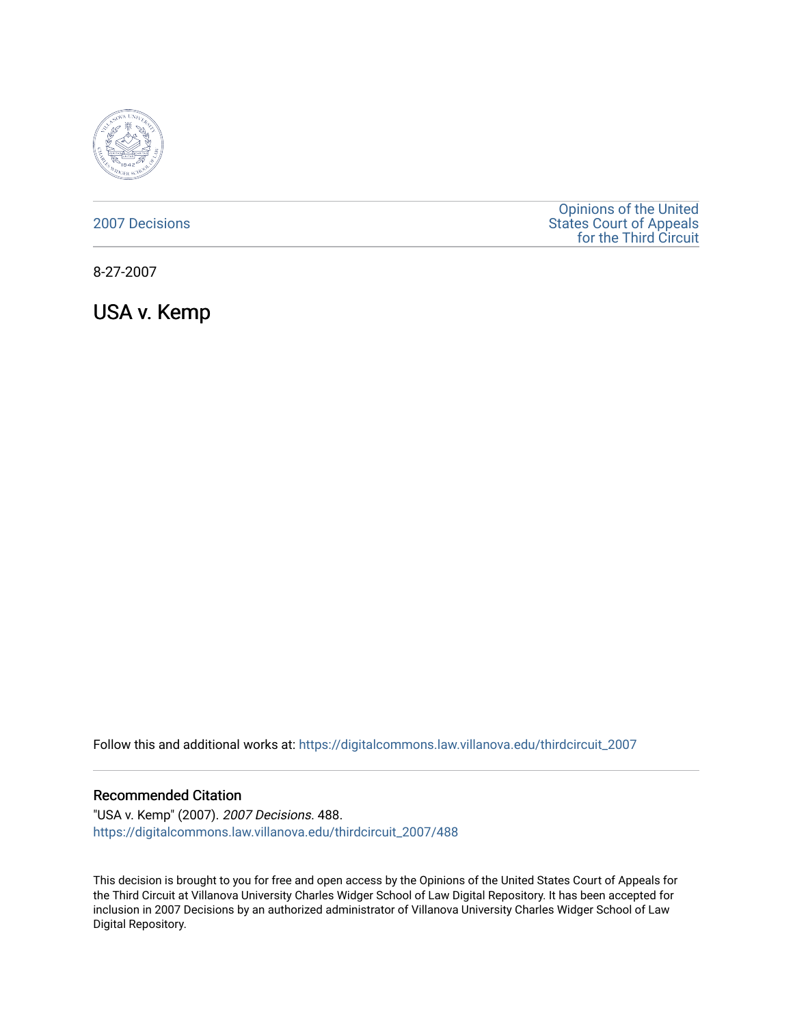

### [2007 Decisions](https://digitalcommons.law.villanova.edu/thirdcircuit_2007)

[Opinions of the United](https://digitalcommons.law.villanova.edu/thirdcircuit)  [States Court of Appeals](https://digitalcommons.law.villanova.edu/thirdcircuit)  [for the Third Circuit](https://digitalcommons.law.villanova.edu/thirdcircuit) 

8-27-2007

USA v. Kemp

Follow this and additional works at: [https://digitalcommons.law.villanova.edu/thirdcircuit\\_2007](https://digitalcommons.law.villanova.edu/thirdcircuit_2007?utm_source=digitalcommons.law.villanova.edu%2Fthirdcircuit_2007%2F488&utm_medium=PDF&utm_campaign=PDFCoverPages) 

#### Recommended Citation

"USA v. Kemp" (2007). 2007 Decisions. 488. [https://digitalcommons.law.villanova.edu/thirdcircuit\\_2007/488](https://digitalcommons.law.villanova.edu/thirdcircuit_2007/488?utm_source=digitalcommons.law.villanova.edu%2Fthirdcircuit_2007%2F488&utm_medium=PDF&utm_campaign=PDFCoverPages)

This decision is brought to you for free and open access by the Opinions of the United States Court of Appeals for the Third Circuit at Villanova University Charles Widger School of Law Digital Repository. It has been accepted for inclusion in 2007 Decisions by an authorized administrator of Villanova University Charles Widger School of Law Digital Repository.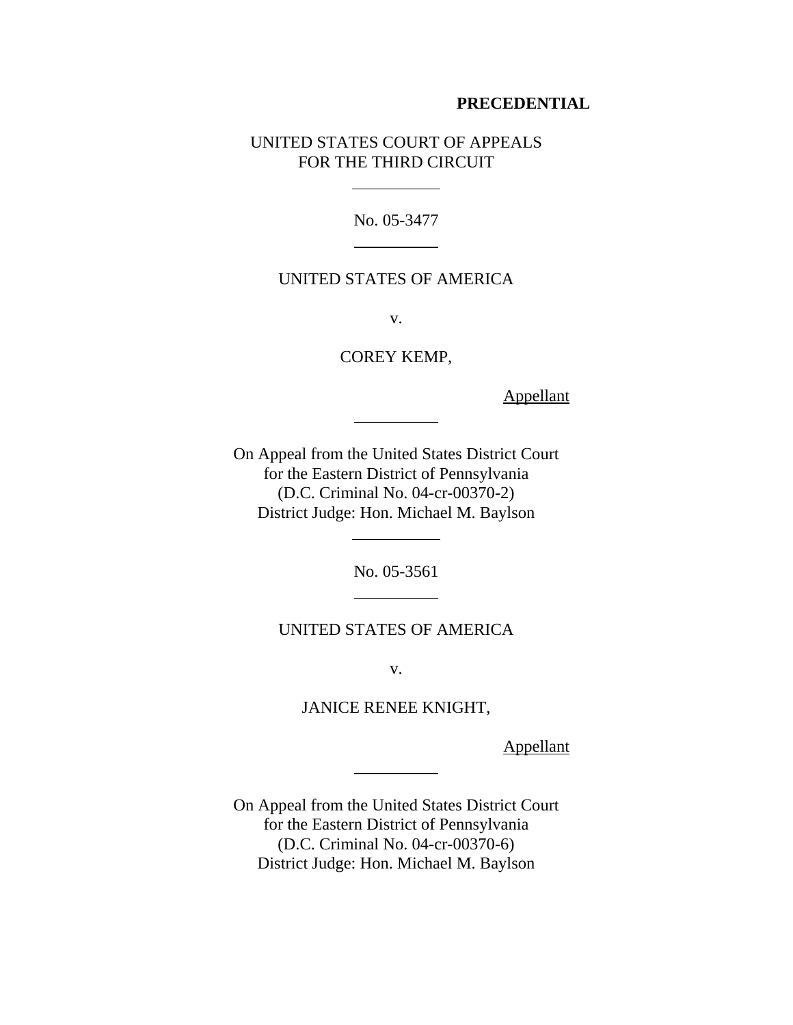### **PRECEDENTIAL**

# UNITED STATES COURT OF APPEALS FOR THE THIRD CIRCUIT

 $\overline{a}$ 

 $\overline{a}$ 

 $\overline{a}$ 

l

 $\overline{\phantom{a}}$ 

 $\overline{a}$ 

No. 05-3477

# UNITED STATES OF AMERICA

v.

COREY KEMP,

Appellant

On Appeal from the United States District Court for the Eastern District of Pennsylvania (D.C. Criminal No. 04-cr-00370-2) District Judge: Hon. Michael M. Baylson

No. 05-3561

UNITED STATES OF AMERICA

v.

JANICE RENEE KNIGHT,

**Appellant** 

On Appeal from the United States District Court for the Eastern District of Pennsylvania (D.C. Criminal No. 04-cr-00370-6) District Judge: Hon. Michael M. Baylson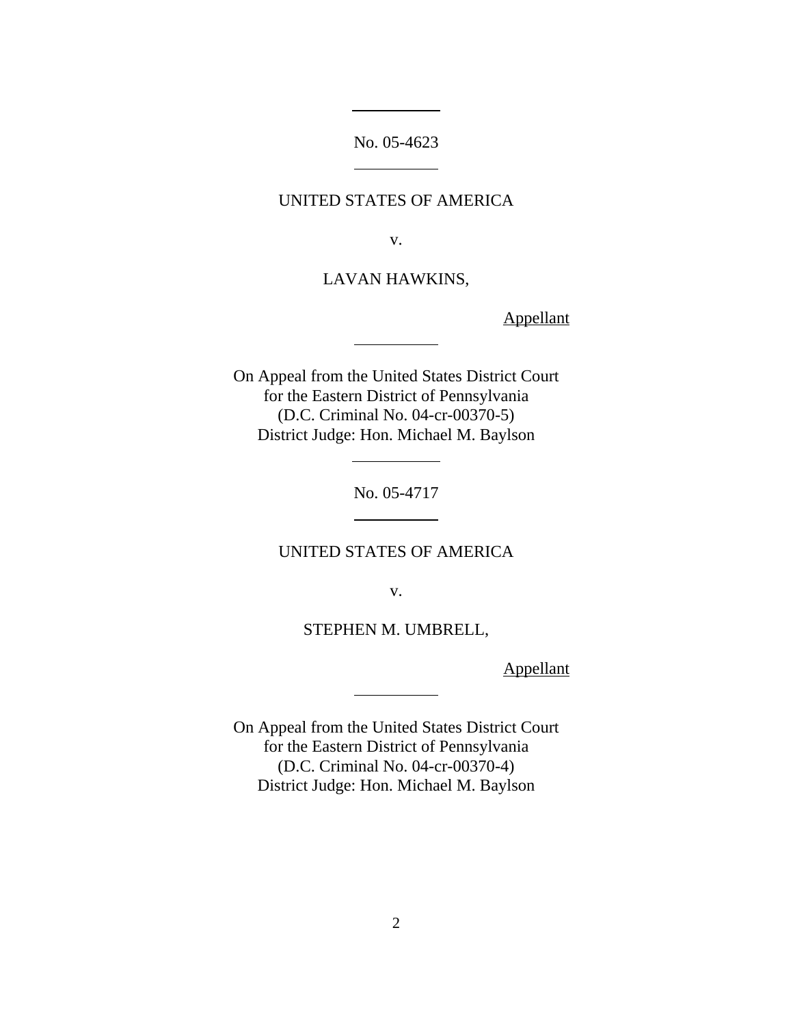No. 05-4623

 $\overline{a}$ 

 $\overline{a}$ 

 $\overline{a}$ 

l

 $\overline{a}$ 

 $\overline{a}$ 

# UNITED STATES OF AMERICA

v.

# LAVAN HAWKINS,

Appellant

On Appeal from the United States District Court for the Eastern District of Pennsylvania (D.C. Criminal No. 04-cr-00370-5) District Judge: Hon. Michael M. Baylson

No. 05-4717

# UNITED STATES OF AMERICA

v.

STEPHEN M. UMBRELL,

Appellant

On Appeal from the United States District Court for the Eastern District of Pennsylvania (D.C. Criminal No. 04-cr-00370-4) District Judge: Hon. Michael M. Baylson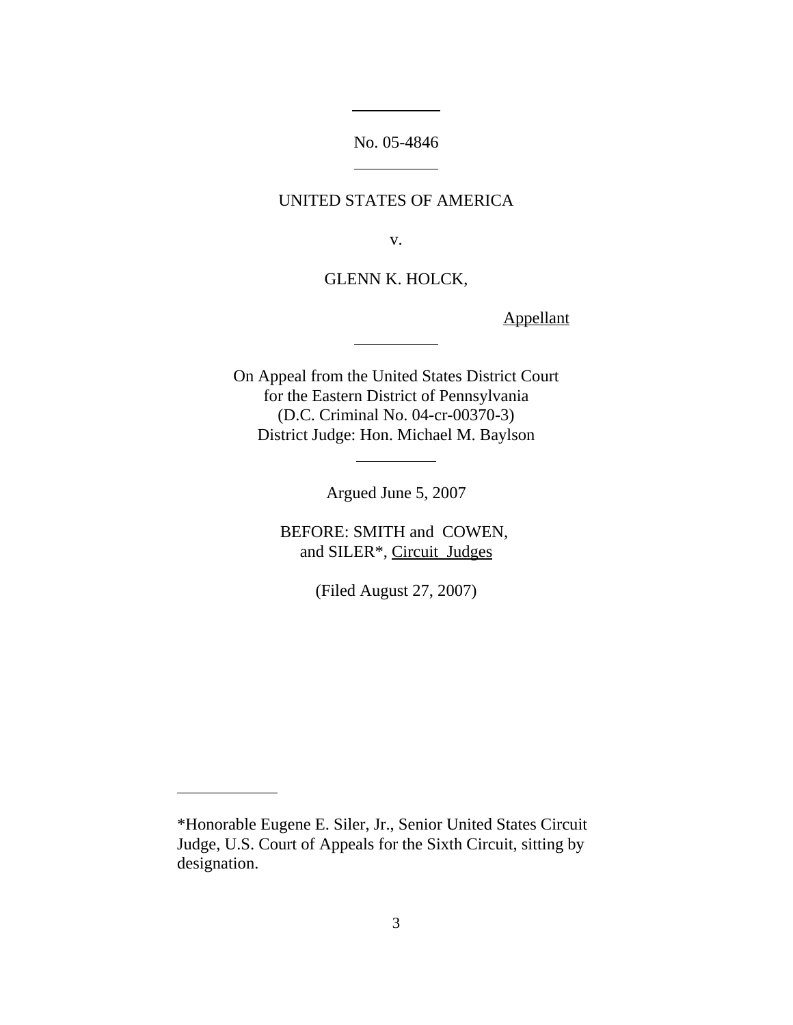No. 05-4846

 $\overline{a}$ 

 $\overline{a}$ 

 $\overline{a}$ 

 $\overline{a}$ 

# UNITED STATES OF AMERICA

v.

GLENN K. HOLCK,

Appellant

On Appeal from the United States District Court for the Eastern District of Pennsylvania (D.C. Criminal No. 04-cr-00370-3) District Judge: Hon. Michael M. Baylson

Argued June 5, 2007

BEFORE: SMITH and COWEN, and SILER\*, Circuit Judges

(Filed August 27, 2007)

 $\ddot{\phantom{a}}$ 

<sup>\*</sup>Honorable Eugene E. Siler, Jr., Senior United States Circuit Judge, U.S. Court of Appeals for the Sixth Circuit, sitting by designation.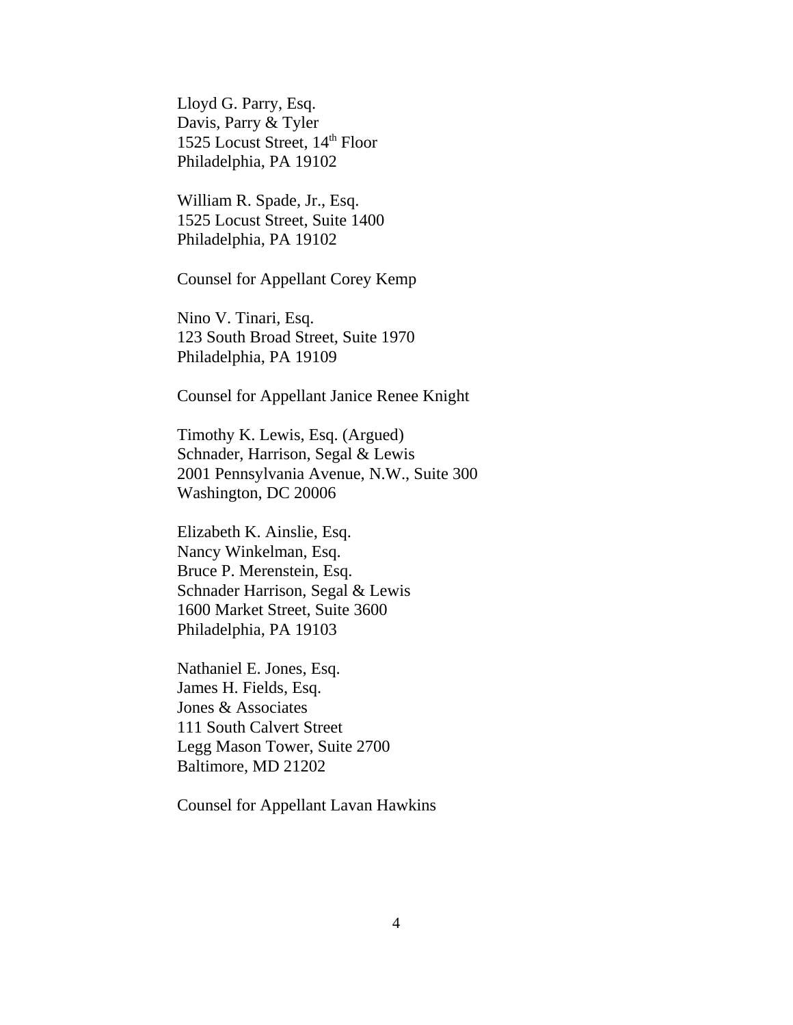Lloyd G. Parry, Esq. Davis, Parry & Tyler 1525 Locust Street, 14<sup>th</sup> Floor Philadelphia, PA 19102

William R. Spade, Jr., Esq. 1525 Locust Street, Suite 1400 Philadelphia, PA 19102

Counsel for Appellant Corey Kemp

Nino V. Tinari, Esq. 123 South Broad Street, Suite 1970 Philadelphia, PA 19109

Counsel for Appellant Janice Renee Knight

Timothy K. Lewis, Esq. (Argued) Schnader, Harrison, Segal & Lewis 2001 Pennsylvania Avenue, N.W., Suite 300 Washington, DC 20006

Elizabeth K. Ainslie, Esq. Nancy Winkelman, Esq. Bruce P. Merenstein, Esq. Schnader Harrison, Segal & Lewis 1600 Market Street, Suite 3600 Philadelphia, PA 19103

Nathaniel E. Jones, Esq. James H. Fields, Esq. Jones & Associates 111 South Calvert Street Legg Mason Tower, Suite 2700 Baltimore, MD 21202

Counsel for Appellant Lavan Hawkins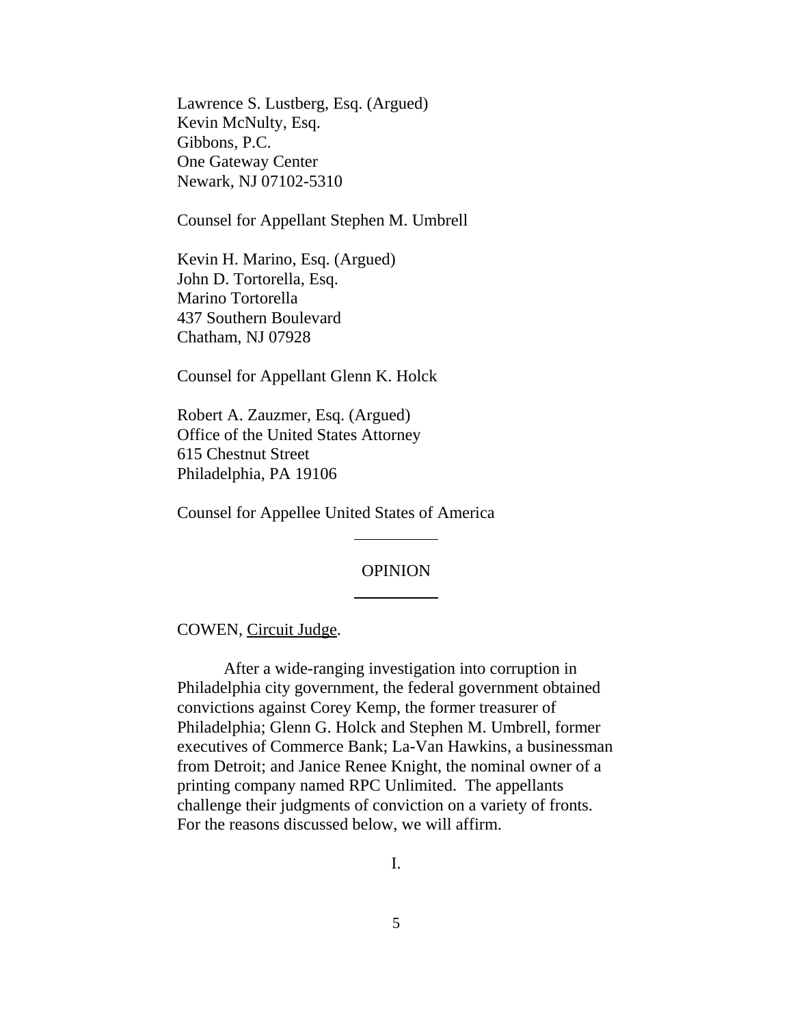Lawrence S. Lustberg, Esq. (Argued) Kevin McNulty, Esq. Gibbons, P.C. One Gateway Center Newark, NJ 07102-5310

Counsel for Appellant Stephen M. Umbrell

Kevin H. Marino, Esq. (Argued) John D. Tortorella, Esq. Marino Tortorella 437 Southern Boulevard Chatham, NJ 07928

Counsel for Appellant Glenn K. Holck

Robert A. Zauzmer, Esq. (Argued) Office of the United States Attorney 615 Chestnut Street Philadelphia, PA 19106

Counsel for Appellee United States of America

 $\overline{a}$ 

 $\overline{\phantom{a}}$ 

#### OPINION

COWEN, Circuit Judge.

After a wide-ranging investigation into corruption in Philadelphia city government, the federal government obtained convictions against Corey Kemp, the former treasurer of Philadelphia; Glenn G. Holck and Stephen M. Umbrell, former executives of Commerce Bank; La-Van Hawkins, a businessman from Detroit; and Janice Renee Knight, the nominal owner of a printing company named RPC Unlimited. The appellants challenge their judgments of conviction on a variety of fronts. For the reasons discussed below, we will affirm.

I.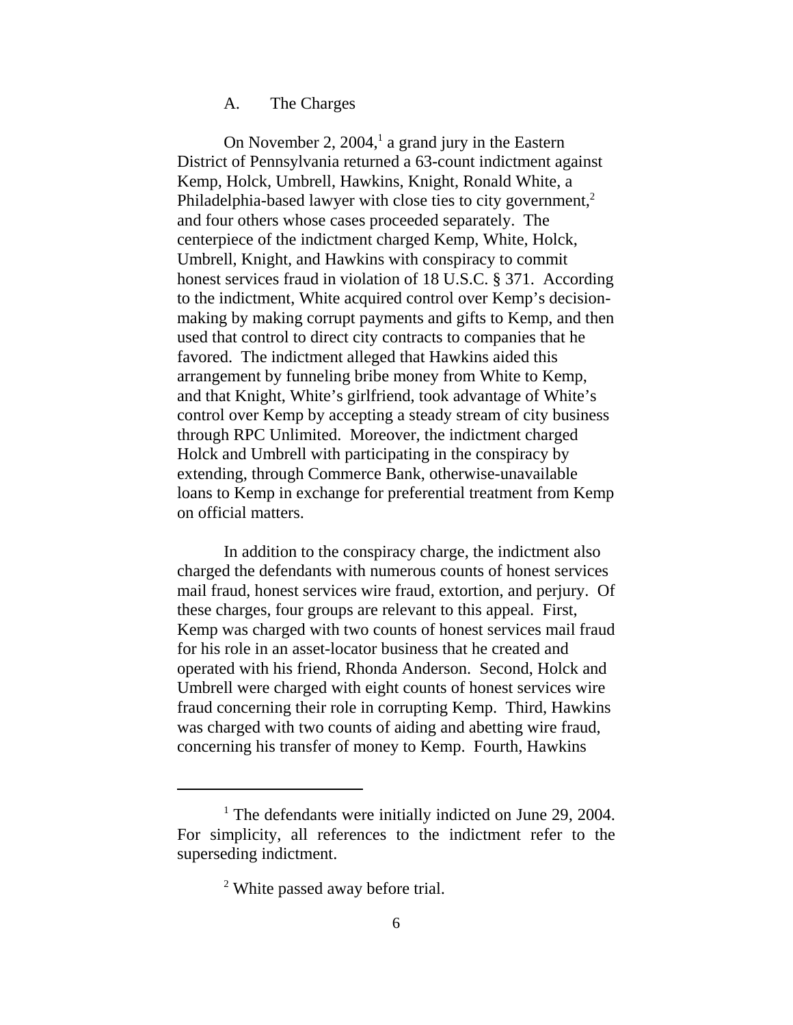#### A. The Charges

On November 2,  $2004$ ,<sup>1</sup> a grand jury in the Eastern District of Pennsylvania returned a 63-count indictment against Kemp, Holck, Umbrell, Hawkins, Knight, Ronald White, a Philadelphia-based lawyer with close ties to city government, $<sup>2</sup>$ </sup> and four others whose cases proceeded separately. The centerpiece of the indictment charged Kemp, White, Holck, Umbrell, Knight, and Hawkins with conspiracy to commit honest services fraud in violation of 18 U.S.C. § 371. According to the indictment, White acquired control over Kemp's decisionmaking by making corrupt payments and gifts to Kemp, and then used that control to direct city contracts to companies that he favored. The indictment alleged that Hawkins aided this arrangement by funneling bribe money from White to Kemp, and that Knight, White's girlfriend, took advantage of White's control over Kemp by accepting a steady stream of city business through RPC Unlimited. Moreover, the indictment charged Holck and Umbrell with participating in the conspiracy by extending, through Commerce Bank, otherwise-unavailable loans to Kemp in exchange for preferential treatment from Kemp on official matters.

In addition to the conspiracy charge, the indictment also charged the defendants with numerous counts of honest services mail fraud, honest services wire fraud, extortion, and perjury. Of these charges, four groups are relevant to this appeal. First, Kemp was charged with two counts of honest services mail fraud for his role in an asset-locator business that he created and operated with his friend, Rhonda Anderson. Second, Holck and Umbrell were charged with eight counts of honest services wire fraud concerning their role in corrupting Kemp. Third, Hawkins was charged with two counts of aiding and abetting wire fraud, concerning his transfer of money to Kemp. Fourth, Hawkins

<sup>&</sup>lt;sup>1</sup> The defendants were initially indicted on June 29, 2004. For simplicity, all references to the indictment refer to the superseding indictment.

<sup>&</sup>lt;sup>2</sup> White passed away before trial.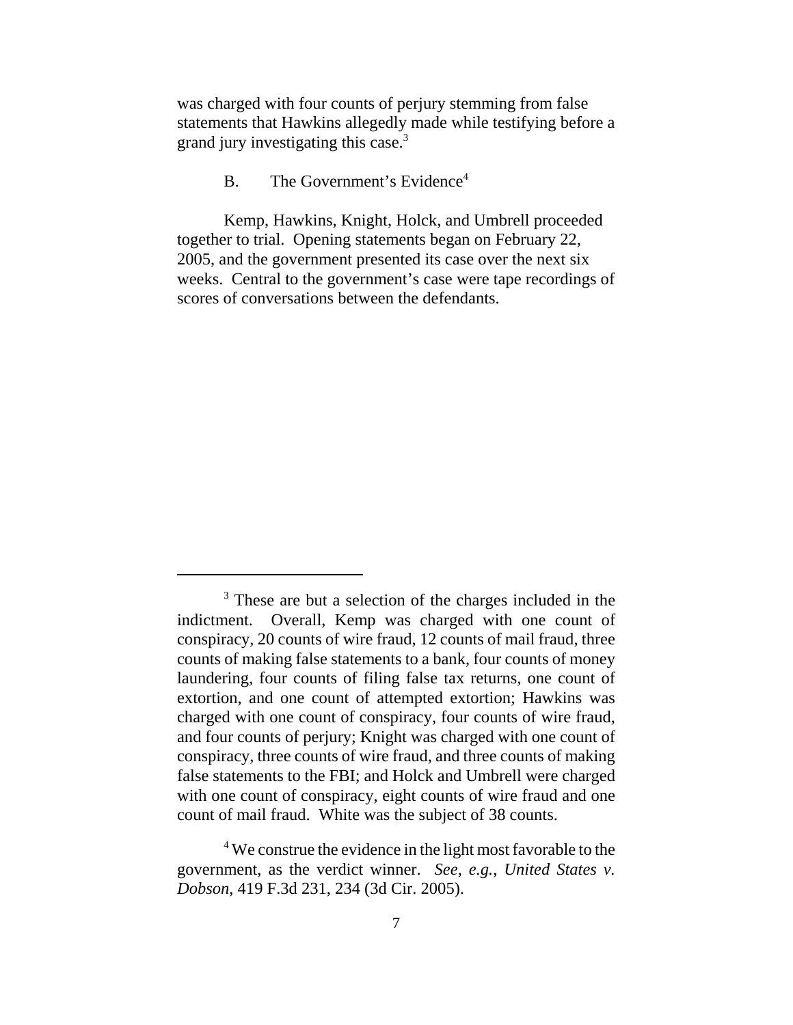was charged with four counts of perjury stemming from false statements that Hawkins allegedly made while testifying before a grand jury investigating this case.<sup>3</sup>

# $B.$  The Government's Evidence<sup>4</sup>

Kemp, Hawkins, Knight, Holck, and Umbrell proceeded together to trial. Opening statements began on February 22, 2005, and the government presented its case over the next six weeks. Central to the government's case were tape recordings of scores of conversations between the defendants.

<sup>&</sup>lt;sup>3</sup> These are but a selection of the charges included in the indictment. Overall, Kemp was charged with one count of conspiracy, 20 counts of wire fraud, 12 counts of mail fraud, three counts of making false statements to a bank, four counts of money laundering, four counts of filing false tax returns, one count of extortion, and one count of attempted extortion; Hawkins was charged with one count of conspiracy, four counts of wire fraud, and four counts of perjury; Knight was charged with one count of conspiracy, three counts of wire fraud, and three counts of making false statements to the FBI; and Holck and Umbrell were charged with one count of conspiracy, eight counts of wire fraud and one count of mail fraud. White was the subject of 38 counts.

<sup>&</sup>lt;sup>4</sup> We construe the evidence in the light most favorable to the government, as the verdict winner. *See, e.g.*, *United States v. Dobson*, 419 F.3d 231, 234 (3d Cir. 2005).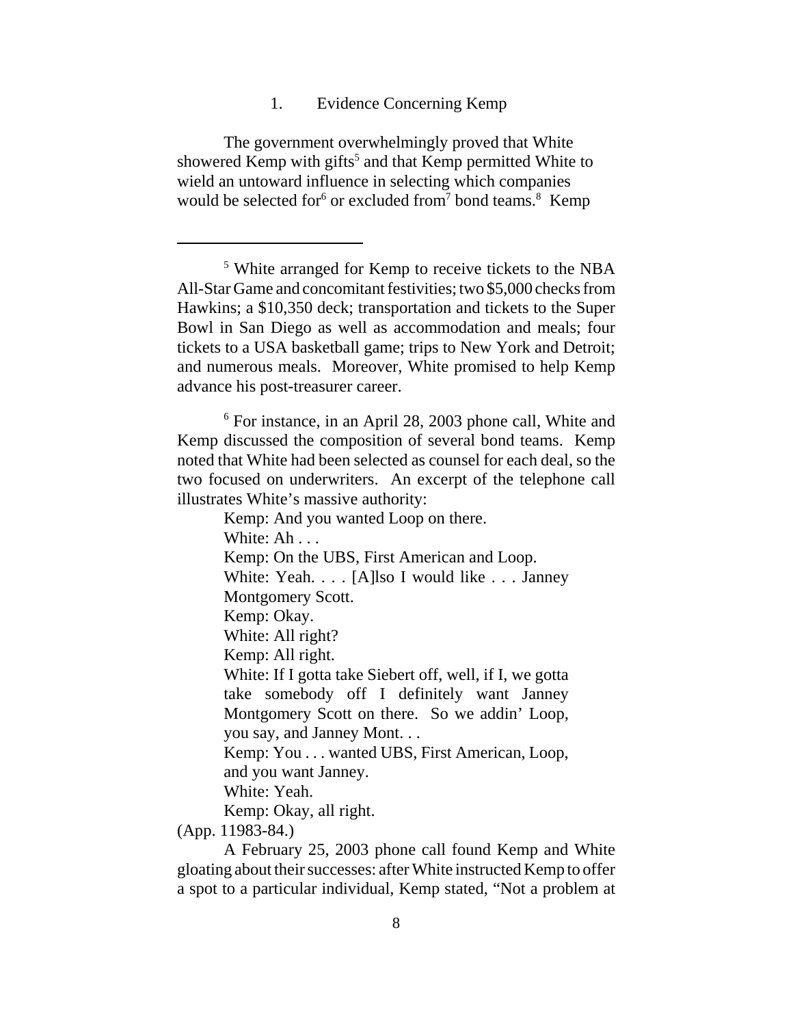1. Evidence Concerning Kemp

The government overwhelmingly proved that White showered Kemp with gifts<sup>5</sup> and that Kemp permitted White to wield an untoward influence in selecting which companies would be selected for<sup>6</sup> or excluded from<sup>7</sup> bond teams.<sup>8</sup> Kemp

5 White arranged for Kemp to receive tickets to the NBA All-Star Game and concomitant festivities; two \$5,000 checks from Hawkins; a \$10,350 deck; transportation and tickets to the Super Bowl in San Diego as well as accommodation and meals; four tickets to a USA basketball game; trips to New York and Detroit; and numerous meals. Moreover, White promised to help Kemp advance his post-treasurer career.

<sup>6</sup> For instance, in an April 28, 2003 phone call, White and Kemp discussed the composition of several bond teams. Kemp noted that White had been selected as counsel for each deal, so the two focused on underwriters. An excerpt of the telephone call illustrates White's massive authority:

> Kemp: And you wanted Loop on there. White: Ah . . . Kemp: On the UBS, First American and Loop. White: Yeah. . . . [A]lso I would like . . . Janney Montgomery Scott. Kemp: Okay. White: All right? Kemp: All right. White: If I gotta take Siebert off, well, if I, we gotta take somebody off I definitely want Janney Montgomery Scott on there. So we addin' Loop, you say, and Janney Mont. . . Kemp: You . . . wanted UBS, First American, Loop, and you want Janney. White: Yeah. Kemp: Okay, all right.

(App. 11983-84.)

A February 25, 2003 phone call found Kemp and White gloating about their successes: after White instructed Kemp to offer a spot to a particular individual, Kemp stated, "Not a problem at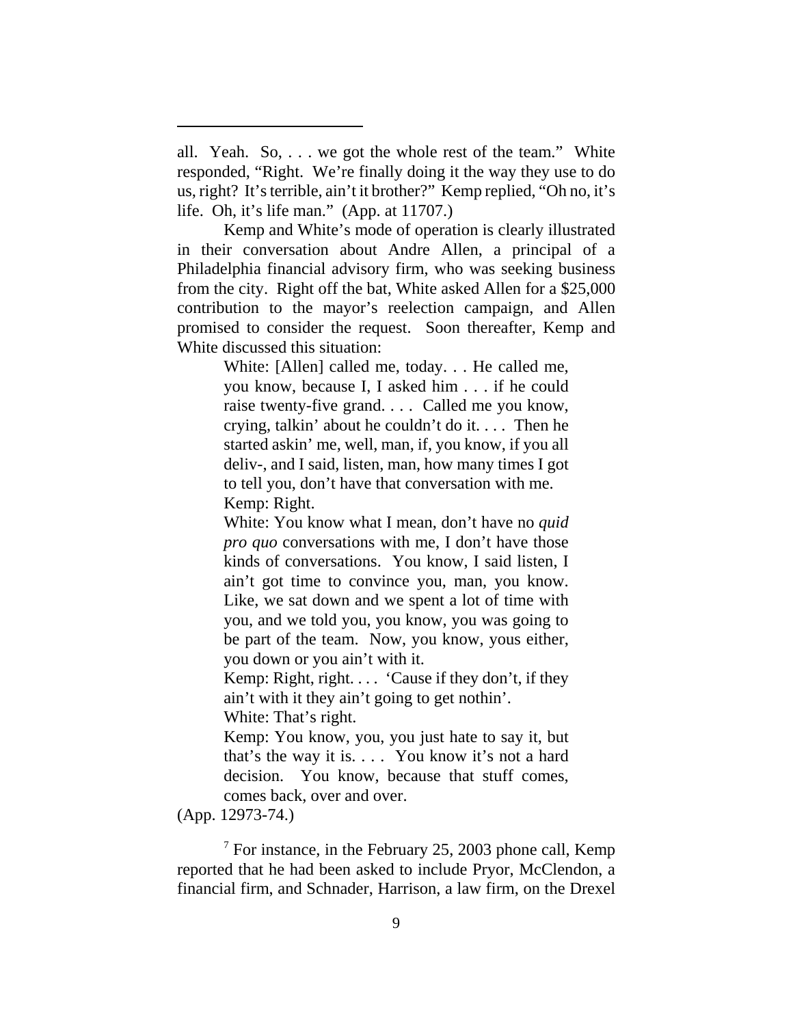all. Yeah. So, . . . we got the whole rest of the team." White responded, "Right. We're finally doing it the way they use to do us, right? It's terrible, ain't it brother?" Kemp replied, "Oh no, it's life. Oh, it's life man." (App. at 11707.)

Kemp and White's mode of operation is clearly illustrated in their conversation about Andre Allen, a principal of a Philadelphia financial advisory firm, who was seeking business from the city. Right off the bat, White asked Allen for a \$25,000 contribution to the mayor's reelection campaign, and Allen promised to consider the request. Soon thereafter, Kemp and White discussed this situation:

> White: [Allen] called me, today. . . He called me, you know, because I, I asked him . . . if he could raise twenty-five grand. . . . Called me you know, crying, talkin' about he couldn't do it. . . . Then he started askin' me, well, man, if, you know, if you all deliv-, and I said, listen, man, how many times I got to tell you, don't have that conversation with me. Kemp: Right.

> White: You know what I mean, don't have no *quid pro quo* conversations with me, I don't have those kinds of conversations. You know, I said listen, I ain't got time to convince you, man, you know. Like, we sat down and we spent a lot of time with you, and we told you, you know, you was going to be part of the team. Now, you know, yous either, you down or you ain't with it.

> Kemp: Right, right.  $\ldots$  'Cause if they don't, if they ain't with it they ain't going to get nothin'.

White: That's right.

Kemp: You know, you, you just hate to say it, but that's the way it is. . . . You know it's not a hard decision. You know, because that stuff comes, comes back, over and over.

(App. 12973-74.)

 $7$  For instance, in the February 25, 2003 phone call, Kemp reported that he had been asked to include Pryor, McClendon, a financial firm, and Schnader, Harrison, a law firm, on the Drexel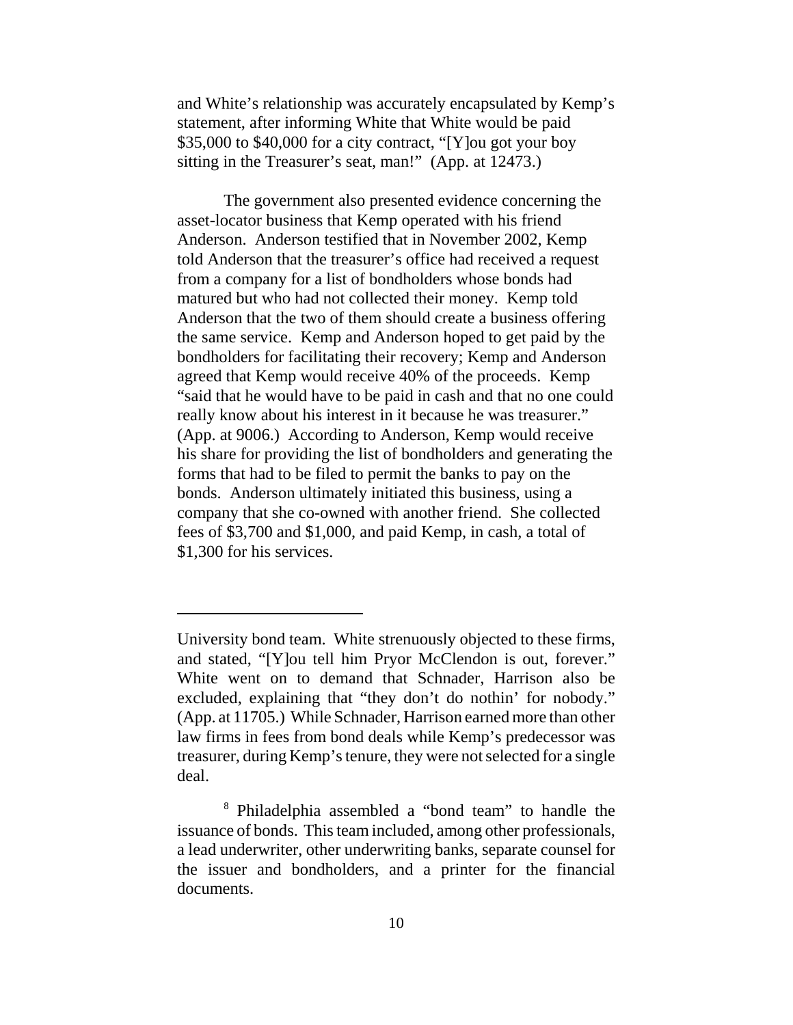and White's relationship was accurately encapsulated by Kemp's statement, after informing White that White would be paid \$35,000 to \$40,000 for a city contract, "[Y]ou got your boy sitting in the Treasurer's seat, man!" (App. at 12473.)

The government also presented evidence concerning the asset-locator business that Kemp operated with his friend Anderson. Anderson testified that in November 2002, Kemp told Anderson that the treasurer's office had received a request from a company for a list of bondholders whose bonds had matured but who had not collected their money. Kemp told Anderson that the two of them should create a business offering the same service. Kemp and Anderson hoped to get paid by the bondholders for facilitating their recovery; Kemp and Anderson agreed that Kemp would receive 40% of the proceeds. Kemp "said that he would have to be paid in cash and that no one could really know about his interest in it because he was treasurer." (App. at 9006.) According to Anderson, Kemp would receive his share for providing the list of bondholders and generating the forms that had to be filed to permit the banks to pay on the bonds. Anderson ultimately initiated this business, using a company that she co-owned with another friend. She collected fees of \$3,700 and \$1,000, and paid Kemp, in cash, a total of \$1,300 for his services.

University bond team. White strenuously objected to these firms, and stated, "[Y]ou tell him Pryor McClendon is out, forever." White went on to demand that Schnader, Harrison also be excluded, explaining that "they don't do nothin' for nobody." (App. at 11705.) While Schnader, Harrison earned more than other law firms in fees from bond deals while Kemp's predecessor was treasurer, during Kemp's tenure, they were not selected for a single deal.

<sup>8</sup> Philadelphia assembled a "bond team" to handle the issuance of bonds. This team included, among other professionals, a lead underwriter, other underwriting banks, separate counsel for the issuer and bondholders, and a printer for the financial documents.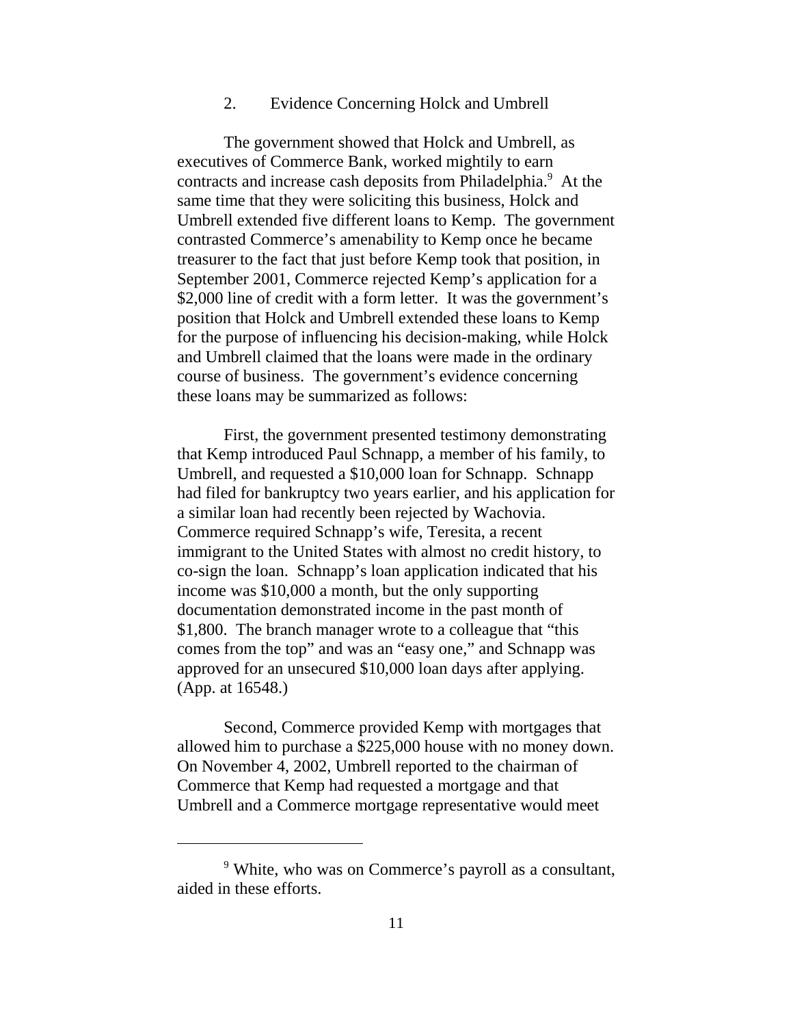### 2. Evidence Concerning Holck and Umbrell

The government showed that Holck and Umbrell, as executives of Commerce Bank, worked mightily to earn contracts and increase cash deposits from Philadelphia.<sup>9</sup> At the same time that they were soliciting this business, Holck and Umbrell extended five different loans to Kemp. The government contrasted Commerce's amenability to Kemp once he became treasurer to the fact that just before Kemp took that position, in September 2001, Commerce rejected Kemp's application for a \$2,000 line of credit with a form letter. It was the government's position that Holck and Umbrell extended these loans to Kemp for the purpose of influencing his decision-making, while Holck and Umbrell claimed that the loans were made in the ordinary course of business. The government's evidence concerning these loans may be summarized as follows:

First, the government presented testimony demonstrating that Kemp introduced Paul Schnapp, a member of his family, to Umbrell, and requested a \$10,000 loan for Schnapp. Schnapp had filed for bankruptcy two years earlier, and his application for a similar loan had recently been rejected by Wachovia. Commerce required Schnapp's wife, Teresita, a recent immigrant to the United States with almost no credit history, to co-sign the loan. Schnapp's loan application indicated that his income was \$10,000 a month, but the only supporting documentation demonstrated income in the past month of \$1,800. The branch manager wrote to a colleague that "this comes from the top" and was an "easy one," and Schnapp was approved for an unsecured \$10,000 loan days after applying. (App. at 16548.)

Second, Commerce provided Kemp with mortgages that allowed him to purchase a \$225,000 house with no money down. On November 4, 2002, Umbrell reported to the chairman of Commerce that Kemp had requested a mortgage and that Umbrell and a Commerce mortgage representative would meet

<sup>&</sup>lt;sup>9</sup> White, who was on Commerce's payroll as a consultant, aided in these efforts.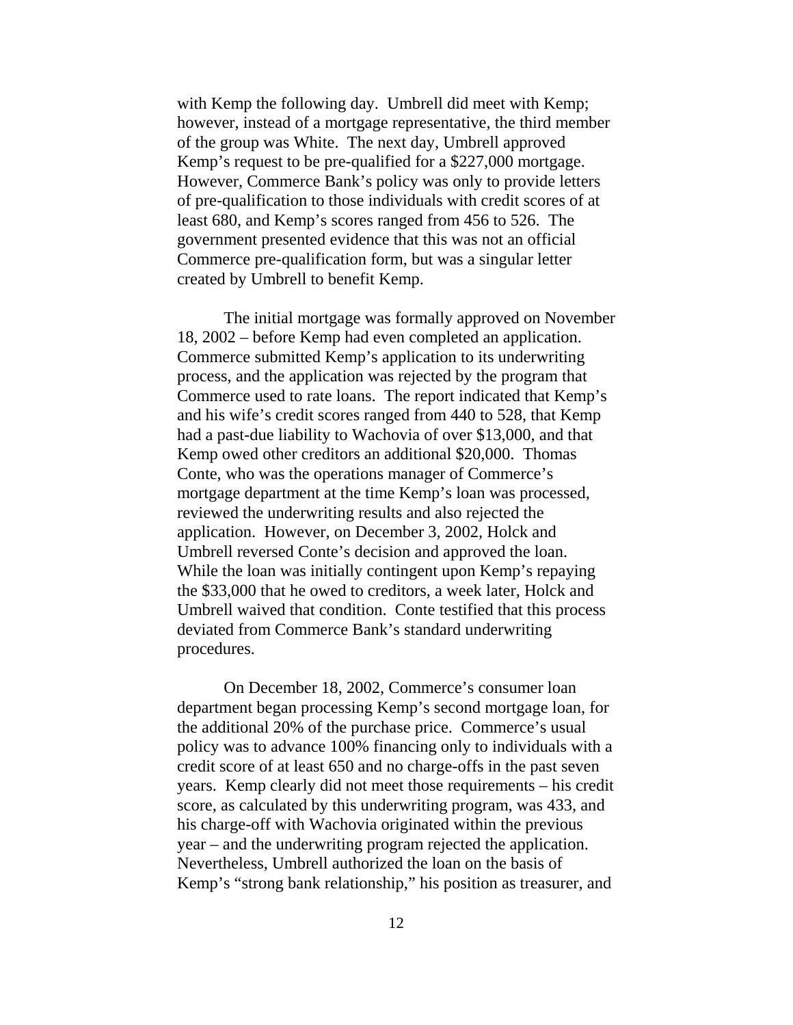with Kemp the following day. Umbrell did meet with Kemp; however, instead of a mortgage representative, the third member of the group was White. The next day, Umbrell approved Kemp's request to be pre-qualified for a \$227,000 mortgage. However, Commerce Bank's policy was only to provide letters of pre-qualification to those individuals with credit scores of at least 680, and Kemp's scores ranged from 456 to 526. The government presented evidence that this was not an official Commerce pre-qualification form, but was a singular letter created by Umbrell to benefit Kemp.

The initial mortgage was formally approved on November 18, 2002 – before Kemp had even completed an application. Commerce submitted Kemp's application to its underwriting process, and the application was rejected by the program that Commerce used to rate loans. The report indicated that Kemp's and his wife's credit scores ranged from 440 to 528, that Kemp had a past-due liability to Wachovia of over \$13,000, and that Kemp owed other creditors an additional \$20,000. Thomas Conte, who was the operations manager of Commerce's mortgage department at the time Kemp's loan was processed, reviewed the underwriting results and also rejected the application. However, on December 3, 2002, Holck and Umbrell reversed Conte's decision and approved the loan. While the loan was initially contingent upon Kemp's repaying the \$33,000 that he owed to creditors, a week later, Holck and Umbrell waived that condition. Conte testified that this process deviated from Commerce Bank's standard underwriting procedures.

On December 18, 2002, Commerce's consumer loan department began processing Kemp's second mortgage loan, for the additional 20% of the purchase price. Commerce's usual policy was to advance 100% financing only to individuals with a credit score of at least 650 and no charge-offs in the past seven years. Kemp clearly did not meet those requirements – his credit score, as calculated by this underwriting program, was 433, and his charge-off with Wachovia originated within the previous year – and the underwriting program rejected the application. Nevertheless, Umbrell authorized the loan on the basis of Kemp's "strong bank relationship," his position as treasurer, and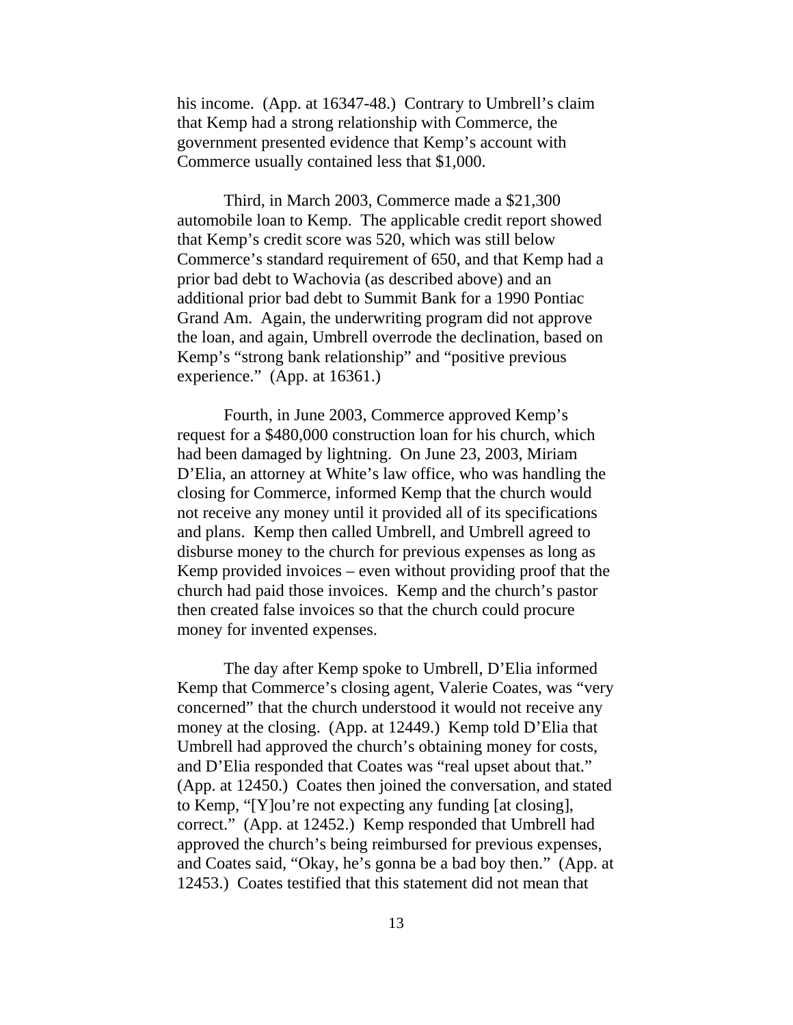his income. (App. at 16347-48.) Contrary to Umbrell's claim that Kemp had a strong relationship with Commerce, the government presented evidence that Kemp's account with Commerce usually contained less that \$1,000.

Third, in March 2003, Commerce made a \$21,300 automobile loan to Kemp. The applicable credit report showed that Kemp's credit score was 520, which was still below Commerce's standard requirement of 650, and that Kemp had a prior bad debt to Wachovia (as described above) and an additional prior bad debt to Summit Bank for a 1990 Pontiac Grand Am. Again, the underwriting program did not approve the loan, and again, Umbrell overrode the declination, based on Kemp's "strong bank relationship" and "positive previous experience." (App. at 16361.)

Fourth, in June 2003, Commerce approved Kemp's request for a \$480,000 construction loan for his church, which had been damaged by lightning. On June 23, 2003, Miriam D'Elia, an attorney at White's law office, who was handling the closing for Commerce, informed Kemp that the church would not receive any money until it provided all of its specifications and plans. Kemp then called Umbrell, and Umbrell agreed to disburse money to the church for previous expenses as long as Kemp provided invoices – even without providing proof that the church had paid those invoices. Kemp and the church's pastor then created false invoices so that the church could procure money for invented expenses.

The day after Kemp spoke to Umbrell, D'Elia informed Kemp that Commerce's closing agent, Valerie Coates, was "very concerned" that the church understood it would not receive any money at the closing. (App. at 12449.) Kemp told D'Elia that Umbrell had approved the church's obtaining money for costs, and D'Elia responded that Coates was "real upset about that." (App. at 12450.) Coates then joined the conversation, and stated to Kemp, "[Y]ou're not expecting any funding [at closing], correct." (App. at 12452.) Kemp responded that Umbrell had approved the church's being reimbursed for previous expenses, and Coates said, "Okay, he's gonna be a bad boy then." (App. at 12453.) Coates testified that this statement did not mean that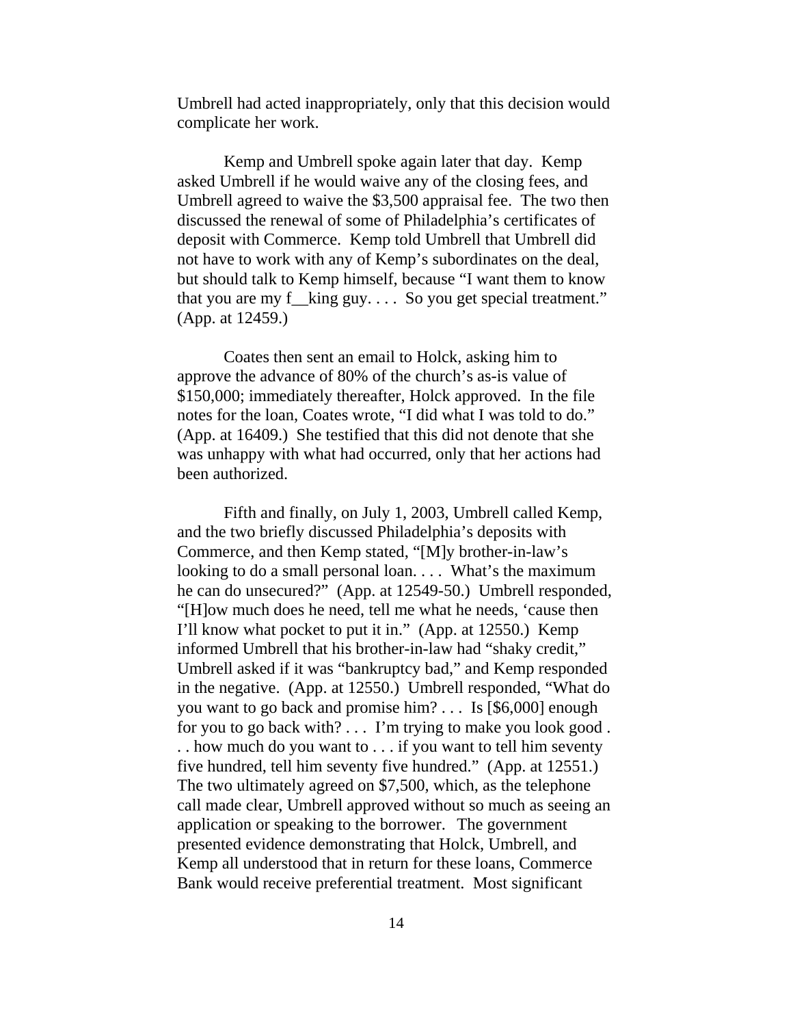Umbrell had acted inappropriately, only that this decision would complicate her work.

Kemp and Umbrell spoke again later that day. Kemp asked Umbrell if he would waive any of the closing fees, and Umbrell agreed to waive the \$3,500 appraisal fee. The two then discussed the renewal of some of Philadelphia's certificates of deposit with Commerce. Kemp told Umbrell that Umbrell did not have to work with any of Kemp's subordinates on the deal, but should talk to Kemp himself, because "I want them to know that you are my f\_\_king guy. . . . So you get special treatment." (App. at 12459.)

Coates then sent an email to Holck, asking him to approve the advance of 80% of the church's as-is value of \$150,000; immediately thereafter, Holck approved. In the file notes for the loan, Coates wrote, "I did what I was told to do." (App. at 16409.) She testified that this did not denote that she was unhappy with what had occurred, only that her actions had been authorized.

Fifth and finally, on July 1, 2003, Umbrell called Kemp, and the two briefly discussed Philadelphia's deposits with Commerce, and then Kemp stated, "[M]y brother-in-law's looking to do a small personal loan. . . . What's the maximum he can do unsecured?" (App. at 12549-50.) Umbrell responded, "[H]ow much does he need, tell me what he needs, 'cause then I'll know what pocket to put it in." (App. at 12550.) Kemp informed Umbrell that his brother-in-law had "shaky credit," Umbrell asked if it was "bankruptcy bad," and Kemp responded in the negative. (App. at 12550.) Umbrell responded, "What do you want to go back and promise him? . . . Is [\$6,000] enough for you to go back with? . . . I'm trying to make you look good. . . how much do you want to . . . if you want to tell him seventy five hundred, tell him seventy five hundred." (App. at 12551.) The two ultimately agreed on \$7,500, which, as the telephone call made clear, Umbrell approved without so much as seeing an application or speaking to the borrower. The government presented evidence demonstrating that Holck, Umbrell, and Kemp all understood that in return for these loans, Commerce Bank would receive preferential treatment. Most significant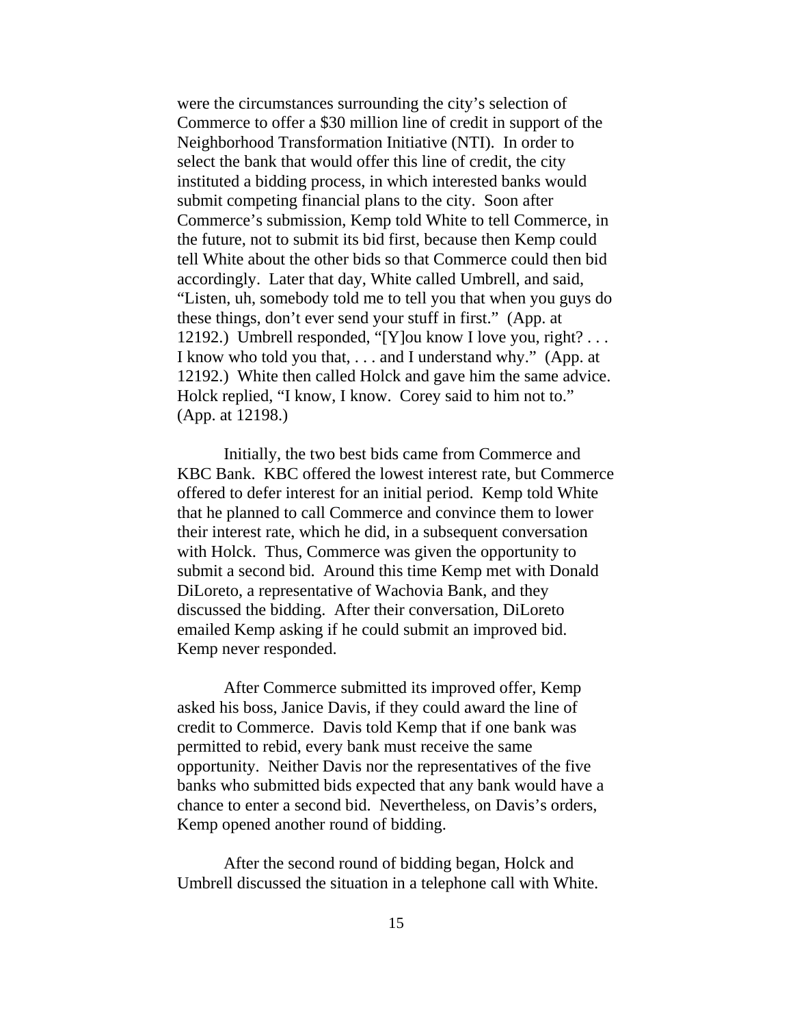were the circumstances surrounding the city's selection of Commerce to offer a \$30 million line of credit in support of the Neighborhood Transformation Initiative (NTI). In order to select the bank that would offer this line of credit, the city instituted a bidding process, in which interested banks would submit competing financial plans to the city. Soon after Commerce's submission, Kemp told White to tell Commerce, in the future, not to submit its bid first, because then Kemp could tell White about the other bids so that Commerce could then bid accordingly. Later that day, White called Umbrell, and said, "Listen, uh, somebody told me to tell you that when you guys do these things, don't ever send your stuff in first." (App. at 12192.) Umbrell responded, "[Y]ou know I love you, right? . . . I know who told you that, . . . and I understand why." (App. at 12192.) White then called Holck and gave him the same advice. Holck replied, "I know, I know. Corey said to him not to." (App. at 12198.)

Initially, the two best bids came from Commerce and KBC Bank. KBC offered the lowest interest rate, but Commerce offered to defer interest for an initial period. Kemp told White that he planned to call Commerce and convince them to lower their interest rate, which he did, in a subsequent conversation with Holck. Thus, Commerce was given the opportunity to submit a second bid. Around this time Kemp met with Donald DiLoreto, a representative of Wachovia Bank, and they discussed the bidding. After their conversation, DiLoreto emailed Kemp asking if he could submit an improved bid. Kemp never responded.

After Commerce submitted its improved offer, Kemp asked his boss, Janice Davis, if they could award the line of credit to Commerce. Davis told Kemp that if one bank was permitted to rebid, every bank must receive the same opportunity. Neither Davis nor the representatives of the five banks who submitted bids expected that any bank would have a chance to enter a second bid. Nevertheless, on Davis's orders, Kemp opened another round of bidding.

After the second round of bidding began, Holck and Umbrell discussed the situation in a telephone call with White.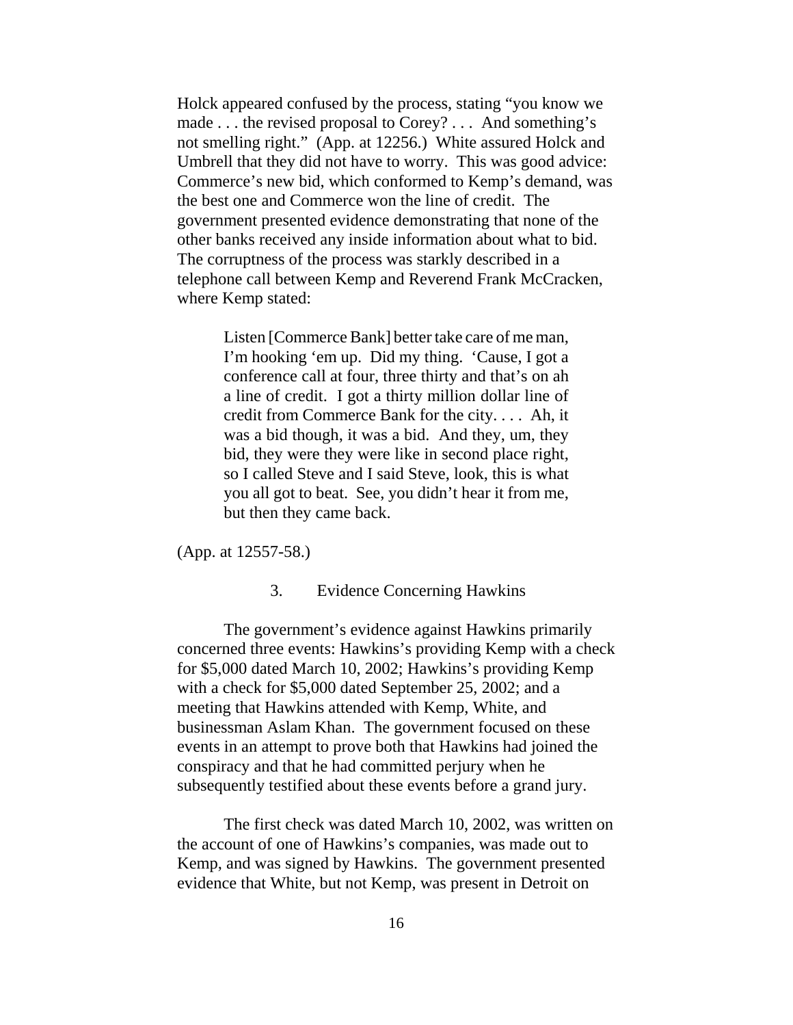Holck appeared confused by the process, stating "you know we made . . . the revised proposal to Corey? . . . And something's not smelling right." (App. at 12256.) White assured Holck and Umbrell that they did not have to worry. This was good advice: Commerce's new bid, which conformed to Kemp's demand, was the best one and Commerce won the line of credit. The government presented evidence demonstrating that none of the other banks received any inside information about what to bid. The corruptness of the process was starkly described in a telephone call between Kemp and Reverend Frank McCracken, where Kemp stated:

> Listen [Commerce Bank] better take care of me man, I'm hooking 'em up. Did my thing. 'Cause, I got a conference call at four, three thirty and that's on ah a line of credit. I got a thirty million dollar line of credit from Commerce Bank for the city. . . . Ah, it was a bid though, it was a bid. And they, um, they bid, they were they were like in second place right, so I called Steve and I said Steve, look, this is what you all got to beat. See, you didn't hear it from me, but then they came back.

(App. at 12557-58.)

### 3. Evidence Concerning Hawkins

The government's evidence against Hawkins primarily concerned three events: Hawkins's providing Kemp with a check for \$5,000 dated March 10, 2002; Hawkins's providing Kemp with a check for \$5,000 dated September 25, 2002; and a meeting that Hawkins attended with Kemp, White, and businessman Aslam Khan. The government focused on these events in an attempt to prove both that Hawkins had joined the conspiracy and that he had committed perjury when he subsequently testified about these events before a grand jury.

The first check was dated March 10, 2002, was written on the account of one of Hawkins's companies, was made out to Kemp, and was signed by Hawkins. The government presented evidence that White, but not Kemp, was present in Detroit on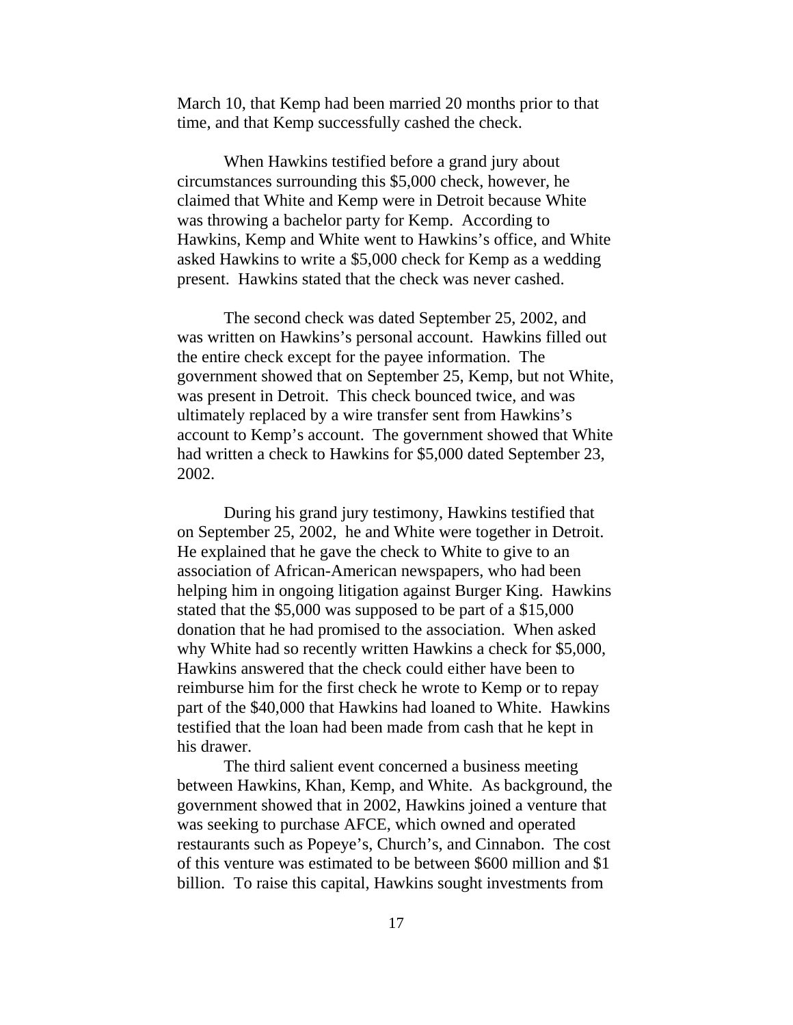March 10, that Kemp had been married 20 months prior to that time, and that Kemp successfully cashed the check.

When Hawkins testified before a grand jury about circumstances surrounding this \$5,000 check, however, he claimed that White and Kemp were in Detroit because White was throwing a bachelor party for Kemp. According to Hawkins, Kemp and White went to Hawkins's office, and White asked Hawkins to write a \$5,000 check for Kemp as a wedding present. Hawkins stated that the check was never cashed.

The second check was dated September 25, 2002, and was written on Hawkins's personal account. Hawkins filled out the entire check except for the payee information. The government showed that on September 25, Kemp, but not White, was present in Detroit. This check bounced twice, and was ultimately replaced by a wire transfer sent from Hawkins's account to Kemp's account. The government showed that White had written a check to Hawkins for \$5,000 dated September 23, 2002.

During his grand jury testimony, Hawkins testified that on September 25, 2002, he and White were together in Detroit. He explained that he gave the check to White to give to an association of African-American newspapers, who had been helping him in ongoing litigation against Burger King. Hawkins stated that the \$5,000 was supposed to be part of a \$15,000 donation that he had promised to the association. When asked why White had so recently written Hawkins a check for \$5,000, Hawkins answered that the check could either have been to reimburse him for the first check he wrote to Kemp or to repay part of the \$40,000 that Hawkins had loaned to White. Hawkins testified that the loan had been made from cash that he kept in his drawer.

The third salient event concerned a business meeting between Hawkins, Khan, Kemp, and White. As background, the government showed that in 2002, Hawkins joined a venture that was seeking to purchase AFCE, which owned and operated restaurants such as Popeye's, Church's, and Cinnabon. The cost of this venture was estimated to be between \$600 million and \$1 billion. To raise this capital, Hawkins sought investments from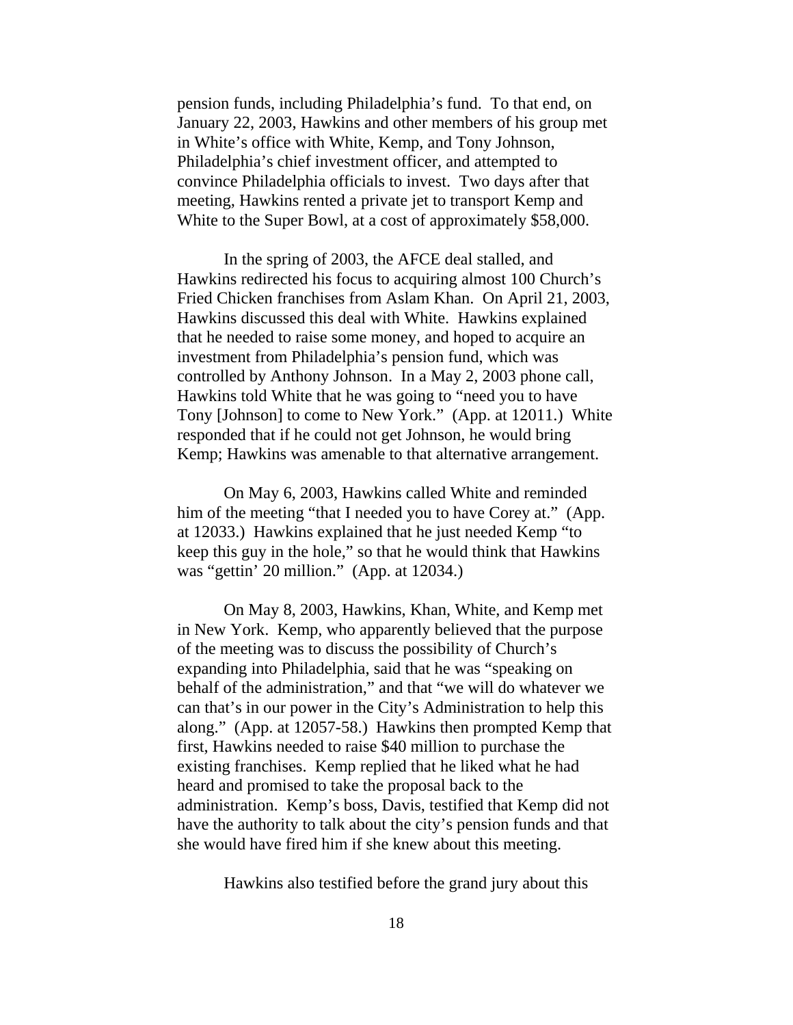pension funds, including Philadelphia's fund. To that end, on January 22, 2003, Hawkins and other members of his group met in White's office with White, Kemp, and Tony Johnson, Philadelphia's chief investment officer, and attempted to convince Philadelphia officials to invest. Two days after that meeting, Hawkins rented a private jet to transport Kemp and White to the Super Bowl, at a cost of approximately \$58,000.

In the spring of 2003, the AFCE deal stalled, and Hawkins redirected his focus to acquiring almost 100 Church's Fried Chicken franchises from Aslam Khan. On April 21, 2003, Hawkins discussed this deal with White. Hawkins explained that he needed to raise some money, and hoped to acquire an investment from Philadelphia's pension fund, which was controlled by Anthony Johnson. In a May 2, 2003 phone call, Hawkins told White that he was going to "need you to have Tony [Johnson] to come to New York." (App. at 12011.) White responded that if he could not get Johnson, he would bring Kemp; Hawkins was amenable to that alternative arrangement.

On May 6, 2003, Hawkins called White and reminded him of the meeting "that I needed you to have Corey at." (App. at 12033.) Hawkins explained that he just needed Kemp "to keep this guy in the hole," so that he would think that Hawkins was "gettin' 20 million." (App. at 12034.)

On May 8, 2003, Hawkins, Khan, White, and Kemp met in New York. Kemp, who apparently believed that the purpose of the meeting was to discuss the possibility of Church's expanding into Philadelphia, said that he was "speaking on behalf of the administration," and that "we will do whatever we can that's in our power in the City's Administration to help this along." (App. at 12057-58.) Hawkins then prompted Kemp that first, Hawkins needed to raise \$40 million to purchase the existing franchises. Kemp replied that he liked what he had heard and promised to take the proposal back to the administration. Kemp's boss, Davis, testified that Kemp did not have the authority to talk about the city's pension funds and that she would have fired him if she knew about this meeting.

Hawkins also testified before the grand jury about this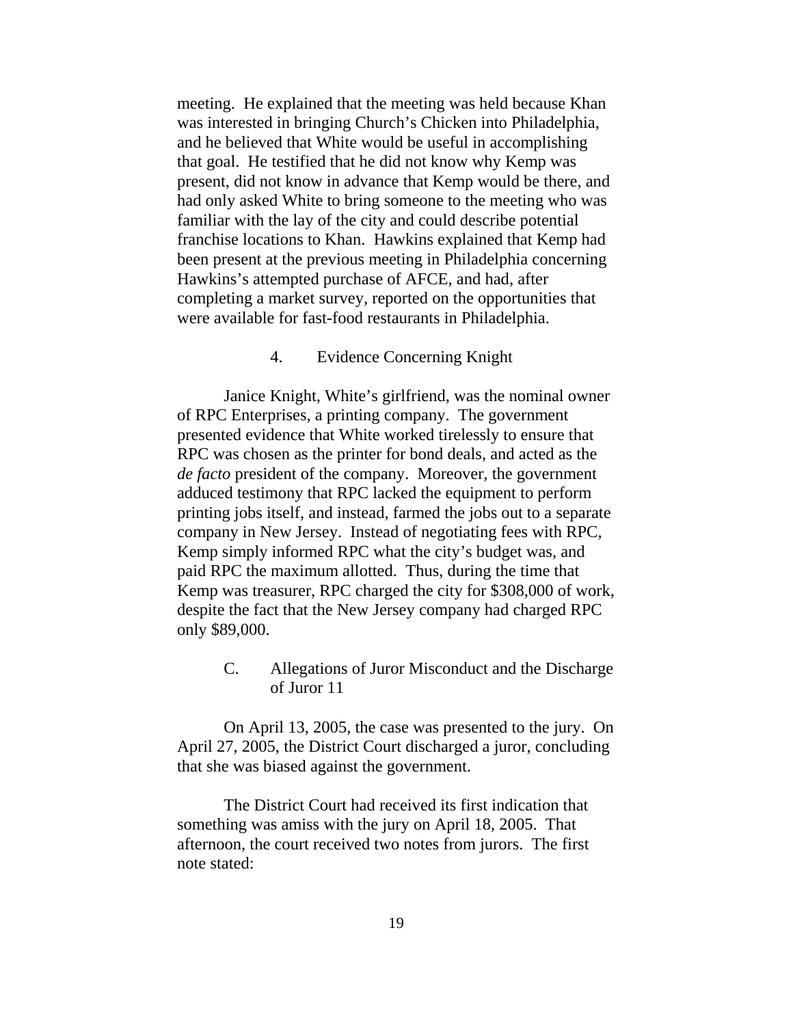meeting. He explained that the meeting was held because Khan was interested in bringing Church's Chicken into Philadelphia, and he believed that White would be useful in accomplishing that goal. He testified that he did not know why Kemp was present, did not know in advance that Kemp would be there, and had only asked White to bring someone to the meeting who was familiar with the lay of the city and could describe potential franchise locations to Khan. Hawkins explained that Kemp had been present at the previous meeting in Philadelphia concerning Hawkins's attempted purchase of AFCE, and had, after completing a market survey, reported on the opportunities that were available for fast-food restaurants in Philadelphia.

#### 4. Evidence Concerning Knight

Janice Knight, White's girlfriend, was the nominal owner of RPC Enterprises, a printing company. The government presented evidence that White worked tirelessly to ensure that RPC was chosen as the printer for bond deals, and acted as the *de facto* president of the company. Moreover, the government adduced testimony that RPC lacked the equipment to perform printing jobs itself, and instead, farmed the jobs out to a separate company in New Jersey. Instead of negotiating fees with RPC, Kemp simply informed RPC what the city's budget was, and paid RPC the maximum allotted. Thus, during the time that Kemp was treasurer, RPC charged the city for \$308,000 of work, despite the fact that the New Jersey company had charged RPC only \$89,000.

> C. Allegations of Juror Misconduct and the Discharge of Juror 11

On April 13, 2005, the case was presented to the jury. On April 27, 2005, the District Court discharged a juror, concluding that she was biased against the government.

The District Court had received its first indication that something was amiss with the jury on April 18, 2005. That afternoon, the court received two notes from jurors. The first note stated: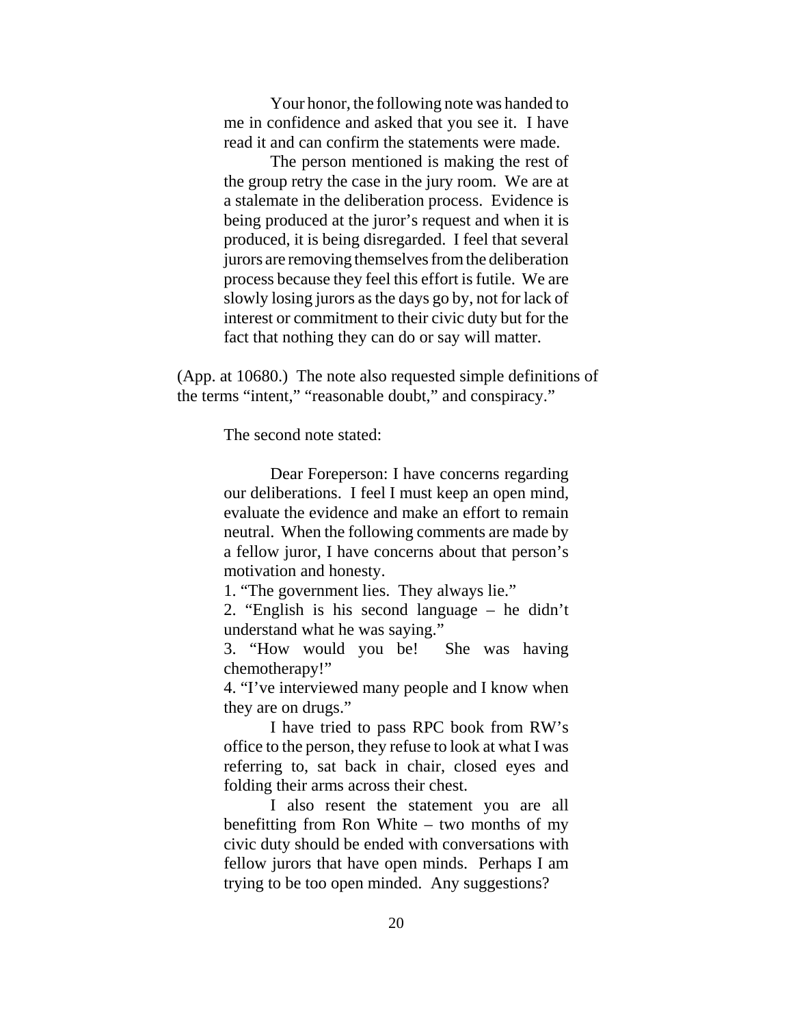Your honor, the following note was handed to me in confidence and asked that you see it. I have read it and can confirm the statements were made.

The person mentioned is making the rest of the group retry the case in the jury room. We are at a stalemate in the deliberation process. Evidence is being produced at the juror's request and when it is produced, it is being disregarded. I feel that several jurors are removing themselves from the deliberation process because they feel this effort is futile. We are slowly losing jurors as the days go by, not for lack of interest or commitment to their civic duty but for the fact that nothing they can do or say will matter.

(App. at 10680.) The note also requested simple definitions of the terms "intent," "reasonable doubt," and conspiracy."

The second note stated:

Dear Foreperson: I have concerns regarding our deliberations. I feel I must keep an open mind, evaluate the evidence and make an effort to remain neutral. When the following comments are made by a fellow juror, I have concerns about that person's motivation and honesty.

1. "The government lies. They always lie."

2. "English is his second language – he didn't understand what he was saying."

3. "How would you be! She was having chemotherapy!"

4. "I've interviewed many people and I know when they are on drugs."

I have tried to pass RPC book from RW's office to the person, they refuse to look at what I was referring to, sat back in chair, closed eyes and folding their arms across their chest.

I also resent the statement you are all benefitting from Ron White – two months of my civic duty should be ended with conversations with fellow jurors that have open minds. Perhaps I am trying to be too open minded. Any suggestions?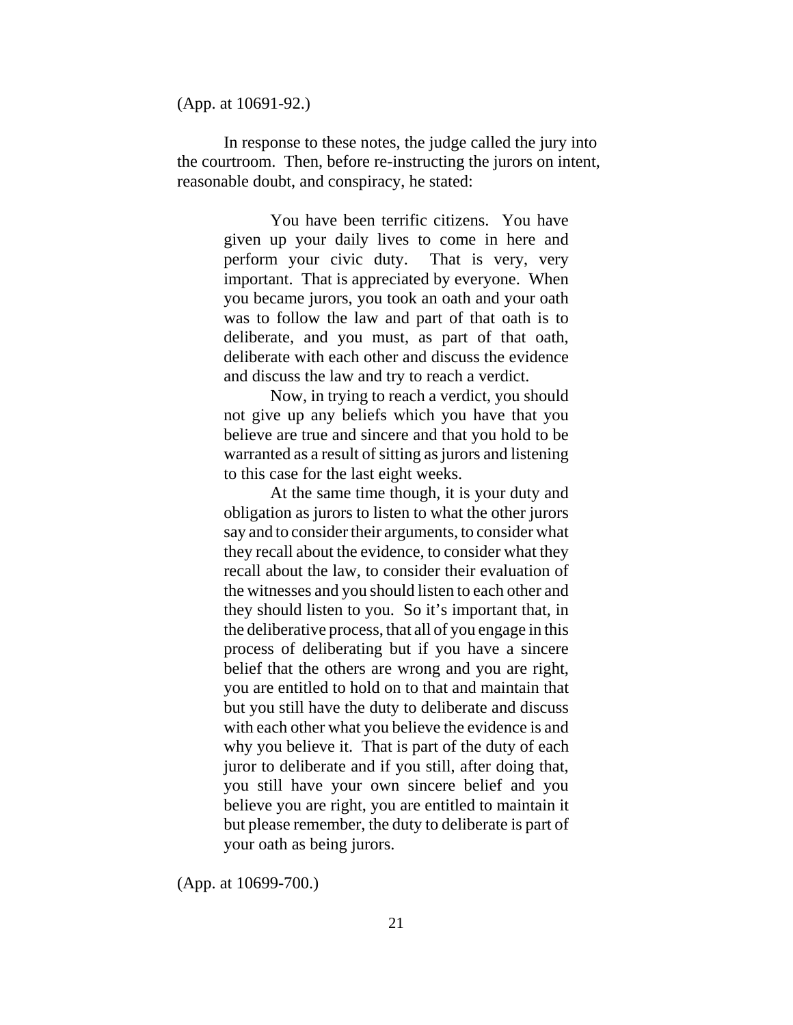(App. at 10691-92.)

In response to these notes, the judge called the jury into the courtroom. Then, before re-instructing the jurors on intent, reasonable doubt, and conspiracy, he stated:

> You have been terrific citizens. You have given up your daily lives to come in here and perform your civic duty. That is very, very important. That is appreciated by everyone. When you became jurors, you took an oath and your oath was to follow the law and part of that oath is to deliberate, and you must, as part of that oath, deliberate with each other and discuss the evidence and discuss the law and try to reach a verdict.

> Now, in trying to reach a verdict, you should not give up any beliefs which you have that you believe are true and sincere and that you hold to be warranted as a result of sitting as jurors and listening to this case for the last eight weeks.

> At the same time though, it is your duty and obligation as jurors to listen to what the other jurors say and to consider their arguments, to consider what they recall about the evidence, to consider what they recall about the law, to consider their evaluation of the witnesses and you should listen to each other and they should listen to you. So it's important that, in the deliberative process, that all of you engage in this process of deliberating but if you have a sincere belief that the others are wrong and you are right, you are entitled to hold on to that and maintain that but you still have the duty to deliberate and discuss with each other what you believe the evidence is and why you believe it. That is part of the duty of each juror to deliberate and if you still, after doing that, you still have your own sincere belief and you believe you are right, you are entitled to maintain it but please remember, the duty to deliberate is part of your oath as being jurors.

(App. at 10699-700.)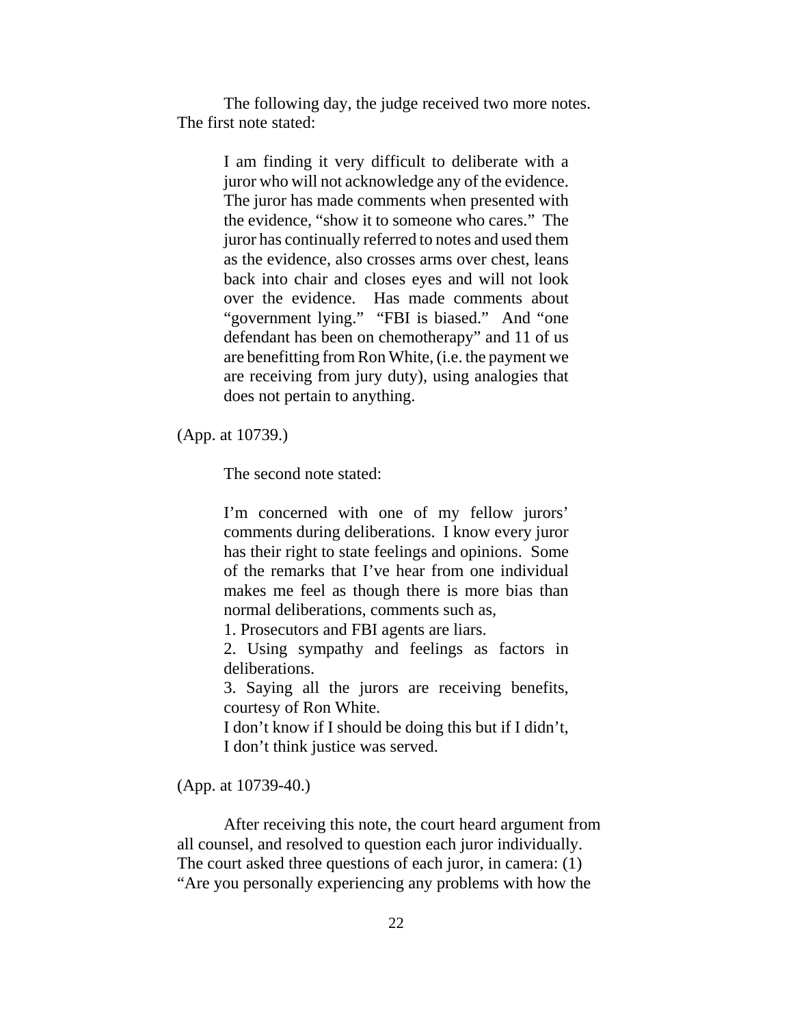The following day, the judge received two more notes. The first note stated:

> I am finding it very difficult to deliberate with a juror who will not acknowledge any of the evidence. The juror has made comments when presented with the evidence, "show it to someone who cares." The juror has continually referred to notes and used them as the evidence, also crosses arms over chest, leans back into chair and closes eyes and will not look over the evidence. Has made comments about "government lying." "FBI is biased." And "one defendant has been on chemotherapy" and 11 of us are benefitting from Ron White, (i.e. the payment we are receiving from jury duty), using analogies that does not pertain to anything.

(App. at 10739.)

The second note stated:

I'm concerned with one of my fellow jurors' comments during deliberations. I know every juror has their right to state feelings and opinions. Some of the remarks that I've hear from one individual makes me feel as though there is more bias than normal deliberations, comments such as,

1. Prosecutors and FBI agents are liars.

2. Using sympathy and feelings as factors in deliberations.

3. Saying all the jurors are receiving benefits, courtesy of Ron White.

I don't know if I should be doing this but if I didn't, I don't think justice was served.

(App. at 10739-40.)

After receiving this note, the court heard argument from all counsel, and resolved to question each juror individually. The court asked three questions of each juror, in camera: (1) "Are you personally experiencing any problems with how the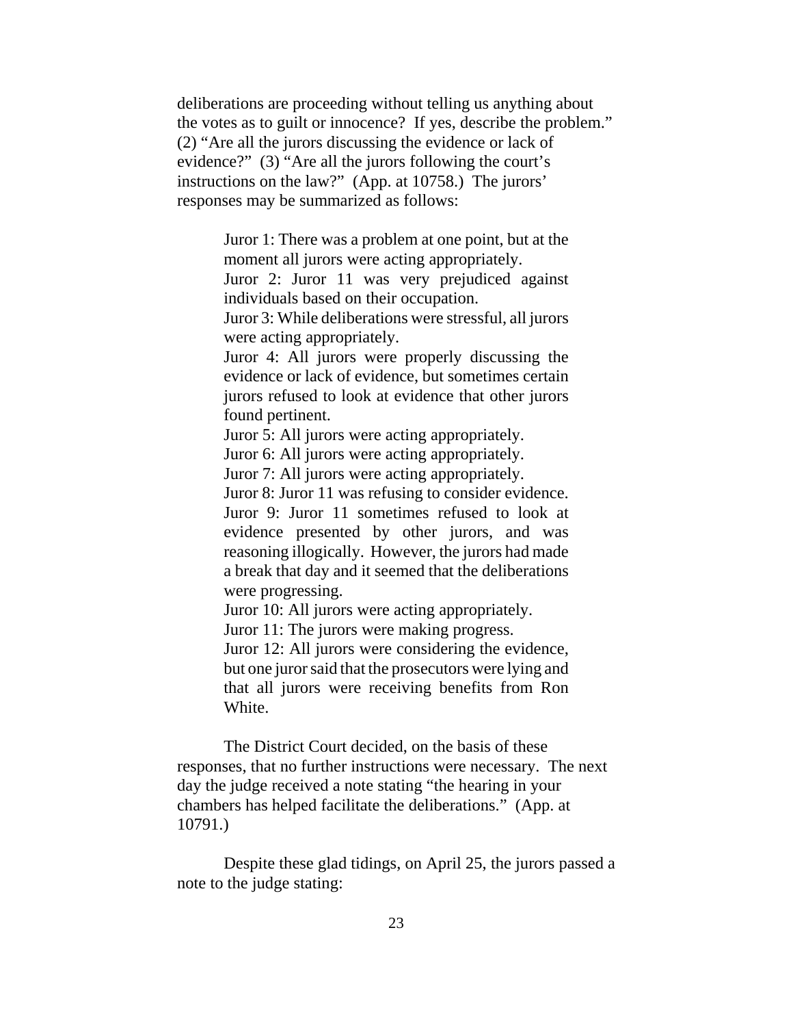deliberations are proceeding without telling us anything about the votes as to guilt or innocence? If yes, describe the problem." (2) "Are all the jurors discussing the evidence or lack of evidence?" (3) "Are all the jurors following the court's instructions on the law?" (App. at 10758.) The jurors' responses may be summarized as follows:

> Juror 1: There was a problem at one point, but at the moment all jurors were acting appropriately.

> Juror 2: Juror 11 was very prejudiced against individuals based on their occupation.

> Juror 3: While deliberations were stressful, all jurors were acting appropriately.

> Juror 4: All jurors were properly discussing the evidence or lack of evidence, but sometimes certain jurors refused to look at evidence that other jurors found pertinent.

Juror 5: All jurors were acting appropriately.

Juror 6: All jurors were acting appropriately.

Juror 7: All jurors were acting appropriately.

Juror 8: Juror 11 was refusing to consider evidence. Juror 9: Juror 11 sometimes refused to look at evidence presented by other jurors, and was reasoning illogically. However, the jurors had made a break that day and it seemed that the deliberations were progressing.

Juror 10: All jurors were acting appropriately.

Juror 11: The jurors were making progress.

Juror 12: All jurors were considering the evidence, but one juror said that the prosecutors were lying and that all jurors were receiving benefits from Ron White.

The District Court decided, on the basis of these responses, that no further instructions were necessary. The next day the judge received a note stating "the hearing in your chambers has helped facilitate the deliberations." (App. at 10791.)

Despite these glad tidings, on April 25, the jurors passed a note to the judge stating: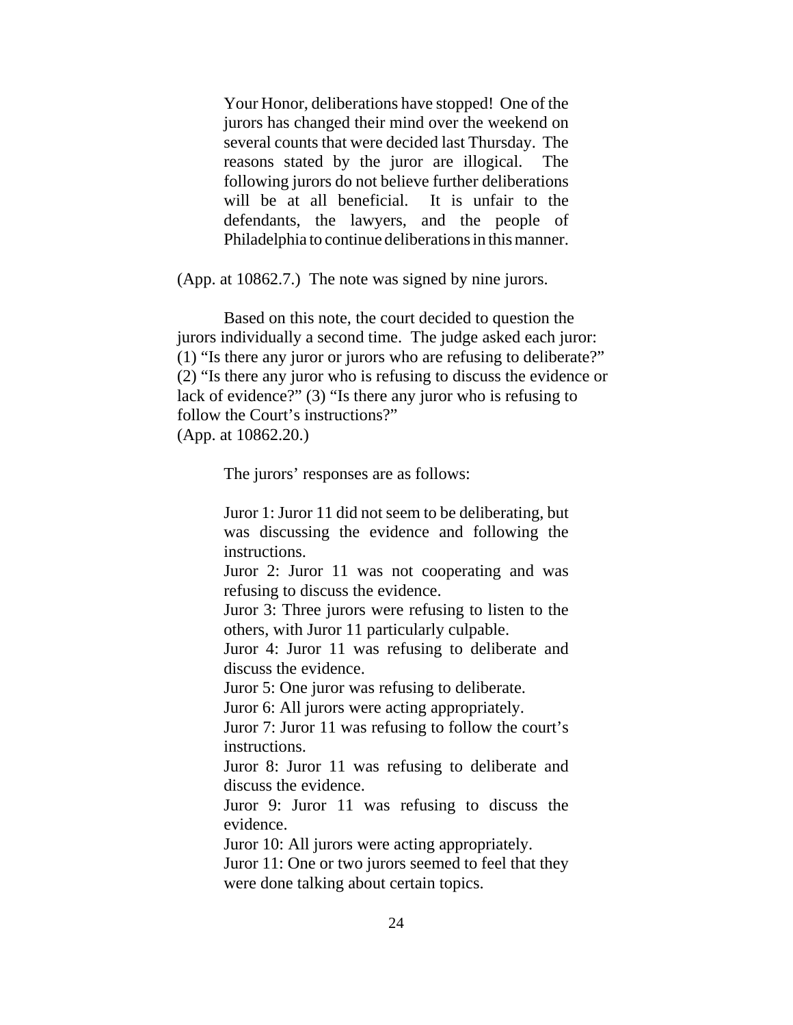Your Honor, deliberations have stopped! One of the jurors has changed their mind over the weekend on several counts that were decided last Thursday. The reasons stated by the juror are illogical. The following jurors do not believe further deliberations will be at all beneficial. It is unfair to the defendants, the lawyers, and the people of Philadelphia to continue deliberations in this manner.

(App. at 10862.7.) The note was signed by nine jurors.

Based on this note, the court decided to question the jurors individually a second time. The judge asked each juror: (1) "Is there any juror or jurors who are refusing to deliberate?" (2) "Is there any juror who is refusing to discuss the evidence or lack of evidence?" (3) "Is there any juror who is refusing to follow the Court's instructions?"

(App. at 10862.20.)

The jurors' responses are as follows:

Juror 1: Juror 11 did not seem to be deliberating, but was discussing the evidence and following the instructions.

Juror 2: Juror 11 was not cooperating and was refusing to discuss the evidence.

Juror 3: Three jurors were refusing to listen to the others, with Juror 11 particularly culpable.

Juror 4: Juror 11 was refusing to deliberate and discuss the evidence.

Juror 5: One juror was refusing to deliberate.

Juror 6: All jurors were acting appropriately.

Juror 7: Juror 11 was refusing to follow the court's instructions.

Juror 8: Juror 11 was refusing to deliberate and discuss the evidence.

Juror 9: Juror 11 was refusing to discuss the evidence.

Juror 10: All jurors were acting appropriately.

Juror 11: One or two jurors seemed to feel that they were done talking about certain topics.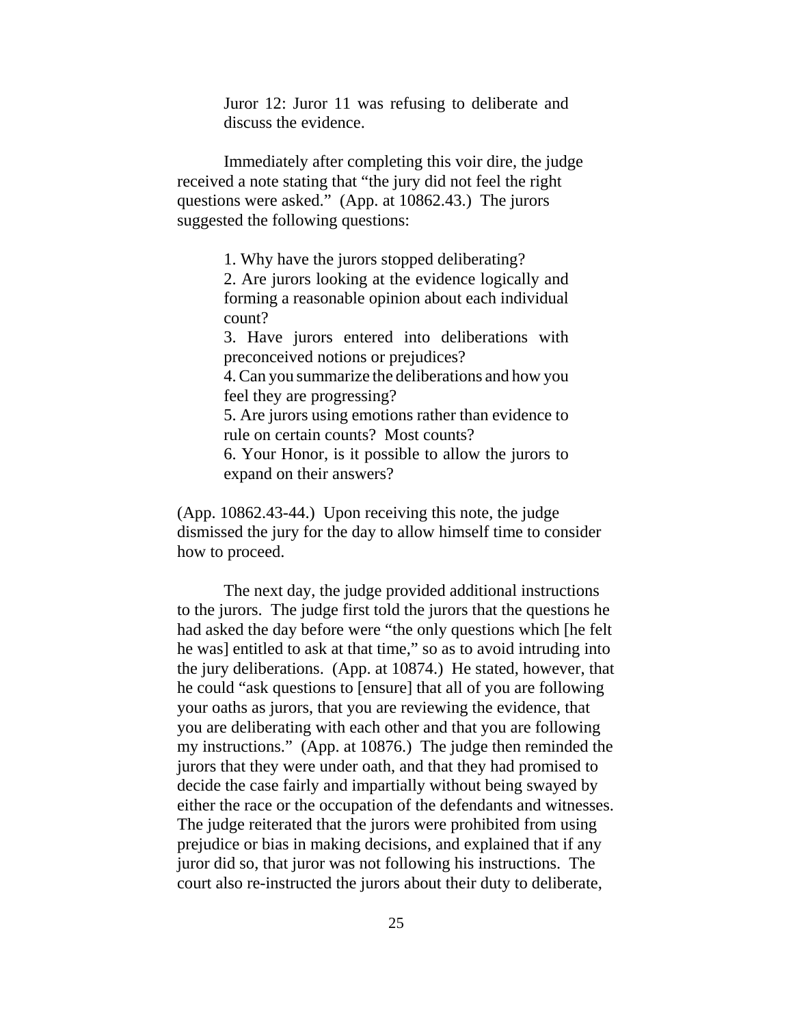Juror 12: Juror 11 was refusing to deliberate and discuss the evidence.

Immediately after completing this voir dire, the judge received a note stating that "the jury did not feel the right questions were asked." (App. at 10862.43.) The jurors suggested the following questions:

1. Why have the jurors stopped deliberating?

2. Are jurors looking at the evidence logically and forming a reasonable opinion about each individual count?

3. Have jurors entered into deliberations with preconceived notions or prejudices?

4. Can you summarize the deliberations and how you feel they are progressing?

5. Are jurors using emotions rather than evidence to rule on certain counts? Most counts?

6. Your Honor, is it possible to allow the jurors to expand on their answers?

(App. 10862.43-44.) Upon receiving this note, the judge dismissed the jury for the day to allow himself time to consider how to proceed.

The next day, the judge provided additional instructions to the jurors. The judge first told the jurors that the questions he had asked the day before were "the only questions which [he felt he was] entitled to ask at that time," so as to avoid intruding into the jury deliberations. (App. at 10874.) He stated, however, that he could "ask questions to [ensure] that all of you are following your oaths as jurors, that you are reviewing the evidence, that you are deliberating with each other and that you are following my instructions." (App. at 10876.) The judge then reminded the jurors that they were under oath, and that they had promised to decide the case fairly and impartially without being swayed by either the race or the occupation of the defendants and witnesses. The judge reiterated that the jurors were prohibited from using prejudice or bias in making decisions, and explained that if any juror did so, that juror was not following his instructions. The court also re-instructed the jurors about their duty to deliberate,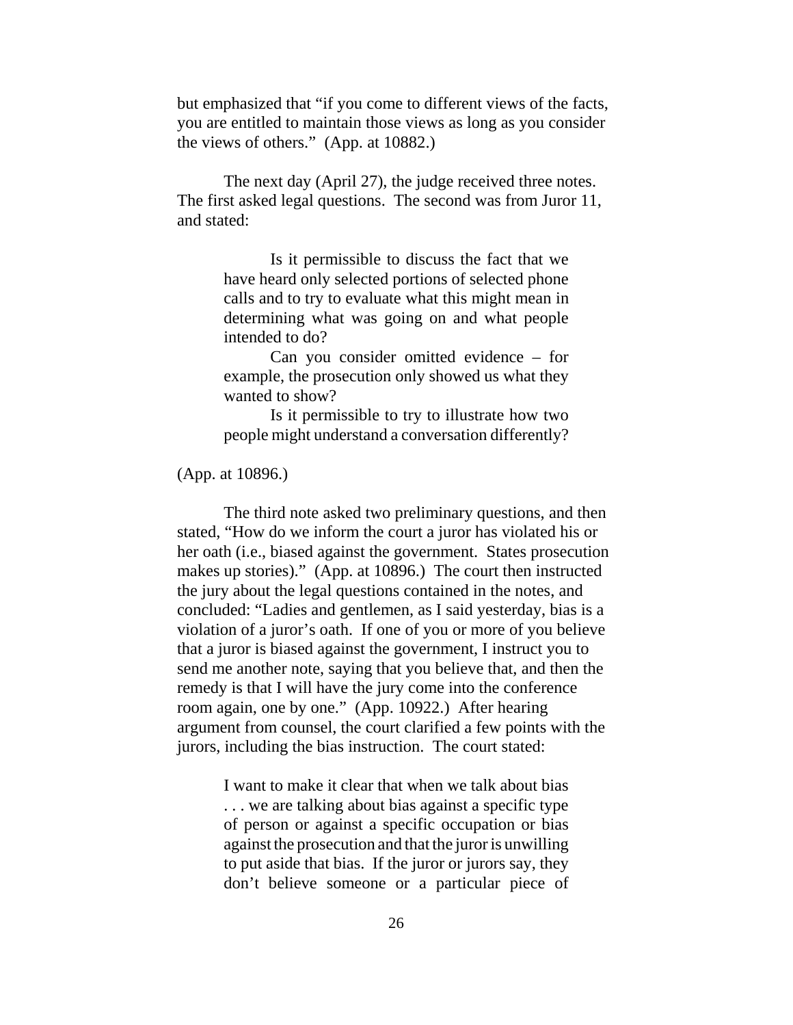but emphasized that "if you come to different views of the facts, you are entitled to maintain those views as long as you consider the views of others." (App. at 10882.)

The next day (April 27), the judge received three notes. The first asked legal questions. The second was from Juror 11, and stated:

> Is it permissible to discuss the fact that we have heard only selected portions of selected phone calls and to try to evaluate what this might mean in determining what was going on and what people intended to do?

> Can you consider omitted evidence – for example, the prosecution only showed us what they wanted to show?

> Is it permissible to try to illustrate how two people might understand a conversation differently?

(App. at 10896.)

The third note asked two preliminary questions, and then stated, "How do we inform the court a juror has violated his or her oath (i.e., biased against the government. States prosecution makes up stories)." (App. at 10896.) The court then instructed the jury about the legal questions contained in the notes, and concluded: "Ladies and gentlemen, as I said yesterday, bias is a violation of a juror's oath. If one of you or more of you believe that a juror is biased against the government, I instruct you to send me another note, saying that you believe that, and then the remedy is that I will have the jury come into the conference room again, one by one." (App. 10922.) After hearing argument from counsel, the court clarified a few points with the jurors, including the bias instruction. The court stated:

> I want to make it clear that when we talk about bias . . . we are talking about bias against a specific type of person or against a specific occupation or bias against the prosecution and that the juror is unwilling to put aside that bias. If the juror or jurors say, they don't believe someone or a particular piece of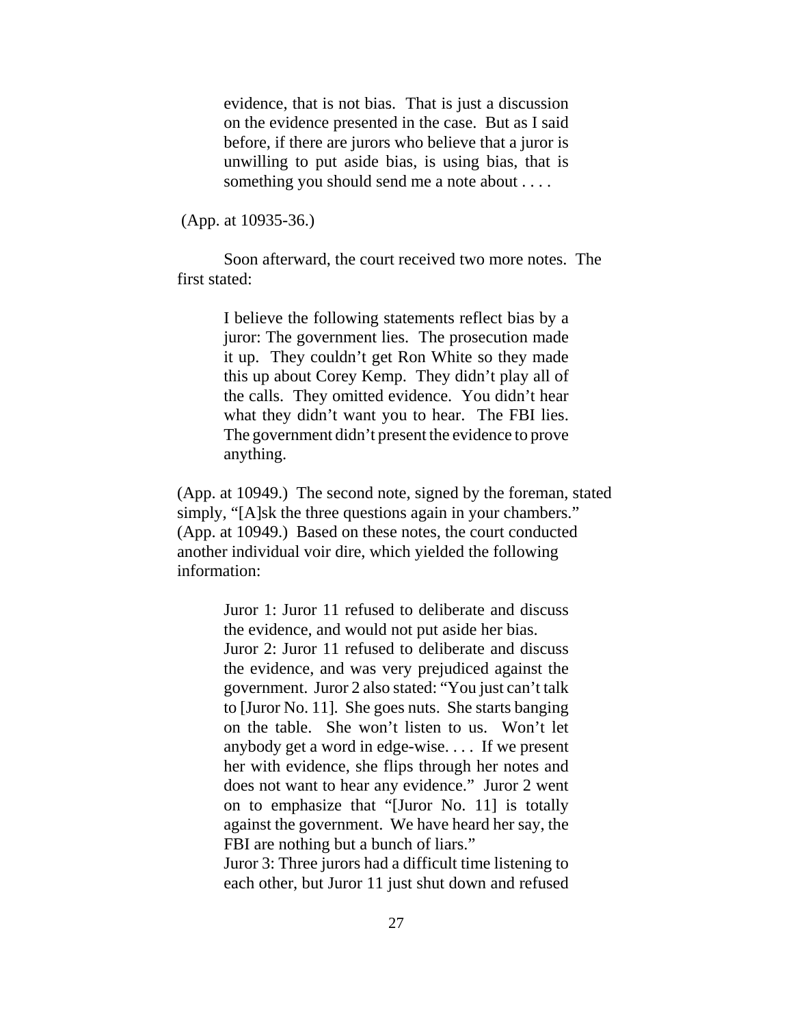evidence, that is not bias. That is just a discussion on the evidence presented in the case. But as I said before, if there are jurors who believe that a juror is unwilling to put aside bias, is using bias, that is something you should send me a note about . . . .

(App. at 10935-36.)

Soon afterward, the court received two more notes. The first stated:

> I believe the following statements reflect bias by a juror: The government lies. The prosecution made it up. They couldn't get Ron White so they made this up about Corey Kemp. They didn't play all of the calls. They omitted evidence. You didn't hear what they didn't want you to hear. The FBI lies. The government didn't present the evidence to prove anything.

(App. at 10949.) The second note, signed by the foreman, stated simply, "[A]sk the three questions again in your chambers." (App. at 10949.) Based on these notes, the court conducted another individual voir dire, which yielded the following information:

> Juror 1: Juror 11 refused to deliberate and discuss the evidence, and would not put aside her bias. Juror 2: Juror 11 refused to deliberate and discuss the evidence, and was very prejudiced against the government. Juror 2 also stated: "You just can't talk to [Juror No. 11]. She goes nuts. She starts banging on the table. She won't listen to us. Won't let anybody get a word in edge-wise. . . . If we present her with evidence, she flips through her notes and does not want to hear any evidence." Juror 2 went on to emphasize that "[Juror No. 11] is totally against the government. We have heard her say, the FBI are nothing but a bunch of liars."

> Juror 3: Three jurors had a difficult time listening to each other, but Juror 11 just shut down and refused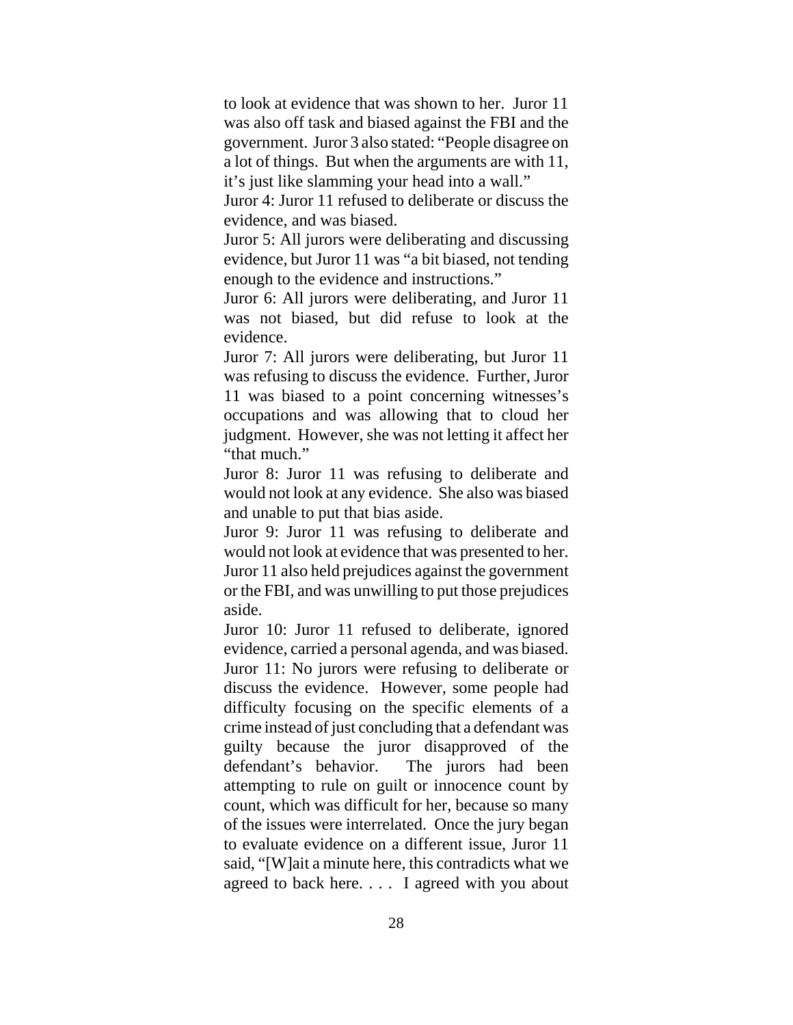to look at evidence that was shown to her. Juror 11 was also off task and biased against the FBI and the government. Juror 3 also stated: "People disagree on a lot of things. But when the arguments are with 11, it's just like slamming your head into a wall."

Juror 4: Juror 11 refused to deliberate or discuss the evidence, and was biased.

Juror 5: All jurors were deliberating and discussing evidence, but Juror 11 was "a bit biased, not tending enough to the evidence and instructions."

Juror 6: All jurors were deliberating, and Juror 11 was not biased, but did refuse to look at the evidence.

Juror 7: All jurors were deliberating, but Juror 11 was refusing to discuss the evidence. Further, Juror 11 was biased to a point concerning witnesses's occupations and was allowing that to cloud her judgment. However, she was not letting it affect her "that much."

Juror 8: Juror 11 was refusing to deliberate and would not look at any evidence. She also was biased and unable to put that bias aside.

Juror 9: Juror 11 was refusing to deliberate and would not look at evidence that was presented to her. Juror 11 also held prejudices against the government or the FBI, and was unwilling to put those prejudices aside.

Juror 10: Juror 11 refused to deliberate, ignored evidence, carried a personal agenda, and was biased. Juror 11: No jurors were refusing to deliberate or discuss the evidence. However, some people had difficulty focusing on the specific elements of a crime instead of just concluding that a defendant was guilty because the juror disapproved of the defendant's behavior. The jurors had been attempting to rule on guilt or innocence count by count, which was difficult for her, because so many of the issues were interrelated. Once the jury began to evaluate evidence on a different issue, Juror 11 said, "[W]ait a minute here, this contradicts what we agreed to back here. . . . I agreed with you about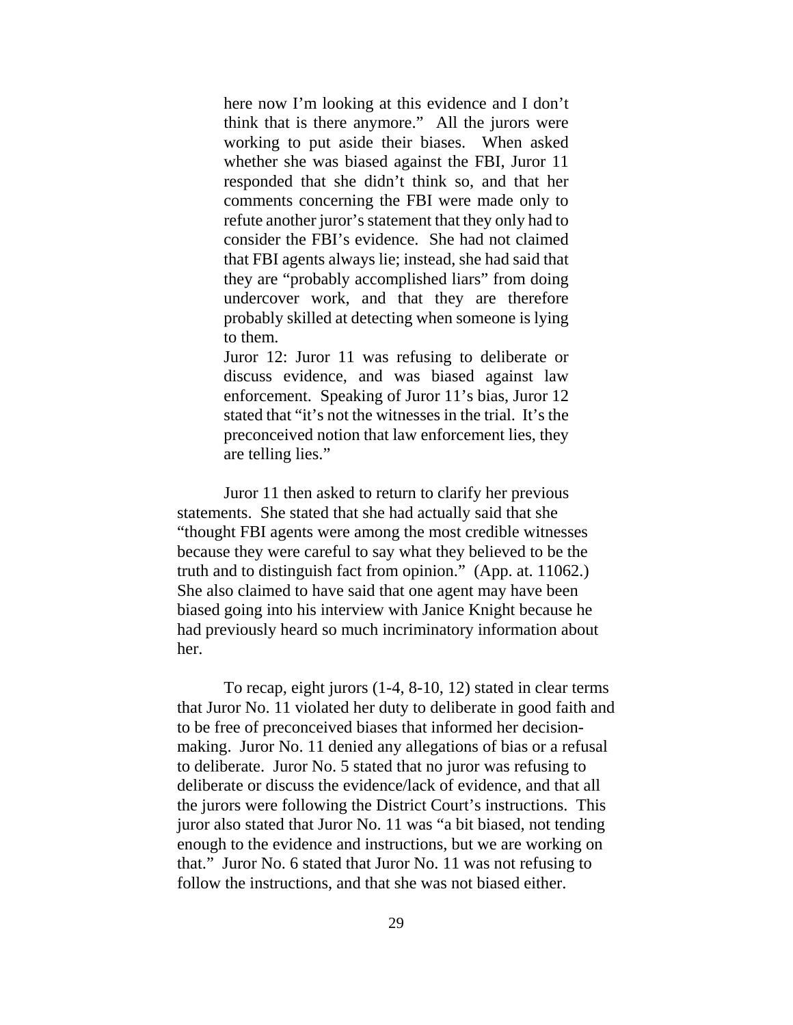here now I'm looking at this evidence and I don't think that is there anymore." All the jurors were working to put aside their biases. When asked whether she was biased against the FBI, Juror 11 responded that she didn't think so, and that her comments concerning the FBI were made only to refute another juror's statement that they only had to consider the FBI's evidence. She had not claimed that FBI agents always lie; instead, she had said that they are "probably accomplished liars" from doing undercover work, and that they are therefore probably skilled at detecting when someone is lying to them.

Juror 12: Juror 11 was refusing to deliberate or discuss evidence, and was biased against law enforcement. Speaking of Juror 11's bias, Juror 12 stated that "it's not the witnesses in the trial. It's the preconceived notion that law enforcement lies, they are telling lies."

Juror 11 then asked to return to clarify her previous statements. She stated that she had actually said that she "thought FBI agents were among the most credible witnesses because they were careful to say what they believed to be the truth and to distinguish fact from opinion." (App. at. 11062.) She also claimed to have said that one agent may have been biased going into his interview with Janice Knight because he had previously heard so much incriminatory information about her.

To recap, eight jurors (1-4, 8-10, 12) stated in clear terms that Juror No. 11 violated her duty to deliberate in good faith and to be free of preconceived biases that informed her decisionmaking. Juror No. 11 denied any allegations of bias or a refusal to deliberate. Juror No. 5 stated that no juror was refusing to deliberate or discuss the evidence/lack of evidence, and that all the jurors were following the District Court's instructions. This juror also stated that Juror No. 11 was "a bit biased, not tending enough to the evidence and instructions, but we are working on that." Juror No. 6 stated that Juror No. 11 was not refusing to follow the instructions, and that she was not biased either.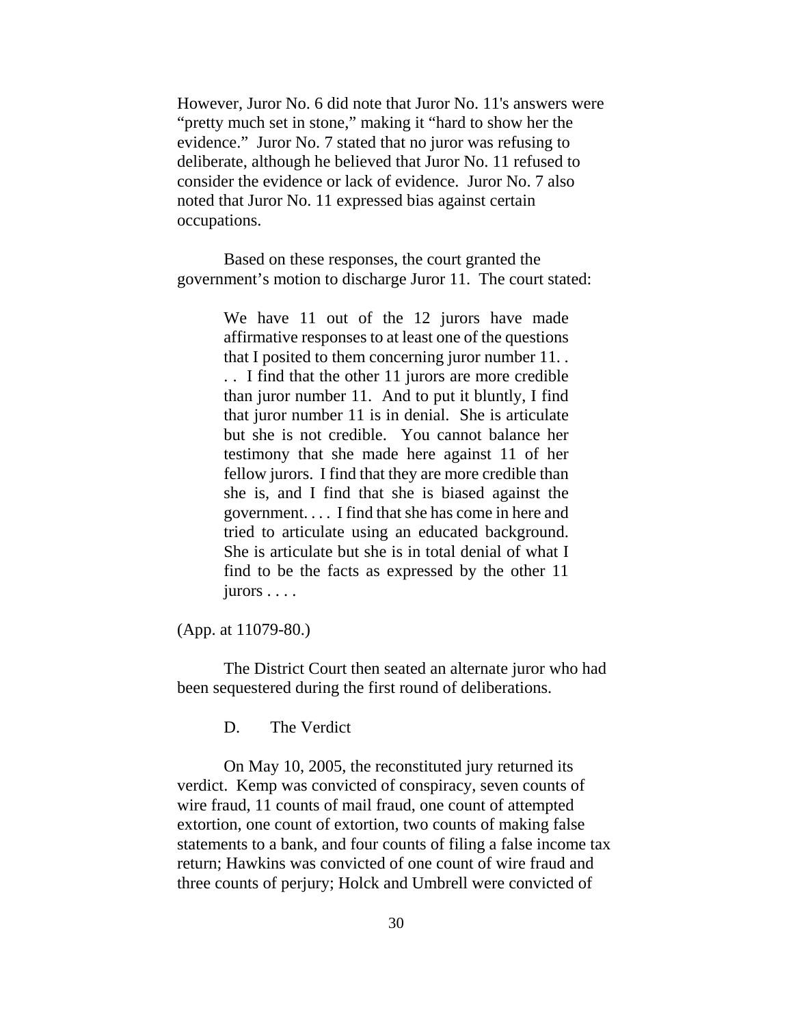However, Juror No. 6 did note that Juror No. 11's answers were "pretty much set in stone," making it "hard to show her the evidence." Juror No. 7 stated that no juror was refusing to deliberate, although he believed that Juror No. 11 refused to consider the evidence or lack of evidence. Juror No. 7 also noted that Juror No. 11 expressed bias against certain occupations.

Based on these responses, the court granted the government's motion to discharge Juror 11. The court stated:

> We have 11 out of the 12 jurors have made affirmative responses to at least one of the questions that I posited to them concerning juror number 11. . . . I find that the other 11 jurors are more credible than juror number 11. And to put it bluntly, I find that juror number 11 is in denial. She is articulate but she is not credible. You cannot balance her testimony that she made here against 11 of her fellow jurors. I find that they are more credible than she is, and I find that she is biased against the government. . . . I find that she has come in here and tried to articulate using an educated background. She is articulate but she is in total denial of what I find to be the facts as expressed by the other 11 jurors . . . .

#### (App. at 11079-80.)

The District Court then seated an alternate juror who had been sequestered during the first round of deliberations.

D. The Verdict

On May 10, 2005, the reconstituted jury returned its verdict. Kemp was convicted of conspiracy, seven counts of wire fraud, 11 counts of mail fraud, one count of attempted extortion, one count of extortion, two counts of making false statements to a bank, and four counts of filing a false income tax return; Hawkins was convicted of one count of wire fraud and three counts of perjury; Holck and Umbrell were convicted of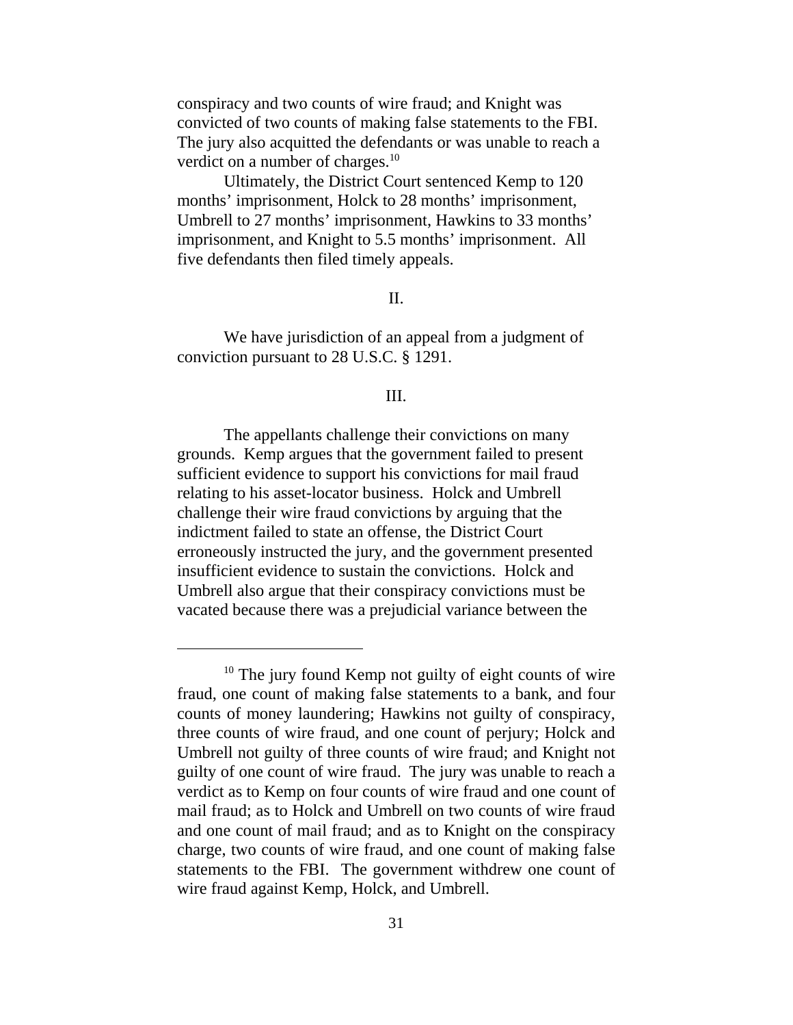conspiracy and two counts of wire fraud; and Knight was convicted of two counts of making false statements to the FBI. The jury also acquitted the defendants or was unable to reach a verdict on a number of charges.<sup>10</sup>

Ultimately, the District Court sentenced Kemp to 120 months' imprisonment, Holck to 28 months' imprisonment, Umbrell to 27 months' imprisonment, Hawkins to 33 months' imprisonment, and Knight to 5.5 months' imprisonment. All five defendants then filed timely appeals.

# II.

We have jurisdiction of an appeal from a judgment of conviction pursuant to 28 U.S.C. § 1291.

#### III.

The appellants challenge their convictions on many grounds. Kemp argues that the government failed to present sufficient evidence to support his convictions for mail fraud relating to his asset-locator business. Holck and Umbrell challenge their wire fraud convictions by arguing that the indictment failed to state an offense, the District Court erroneously instructed the jury, and the government presented insufficient evidence to sustain the convictions. Holck and Umbrell also argue that their conspiracy convictions must be vacated because there was a prejudicial variance between the

 $10$  The jury found Kemp not guilty of eight counts of wire fraud, one count of making false statements to a bank, and four counts of money laundering; Hawkins not guilty of conspiracy, three counts of wire fraud, and one count of perjury; Holck and Umbrell not guilty of three counts of wire fraud; and Knight not guilty of one count of wire fraud. The jury was unable to reach a verdict as to Kemp on four counts of wire fraud and one count of mail fraud; as to Holck and Umbrell on two counts of wire fraud and one count of mail fraud; and as to Knight on the conspiracy charge, two counts of wire fraud, and one count of making false statements to the FBI. The government withdrew one count of wire fraud against Kemp, Holck, and Umbrell.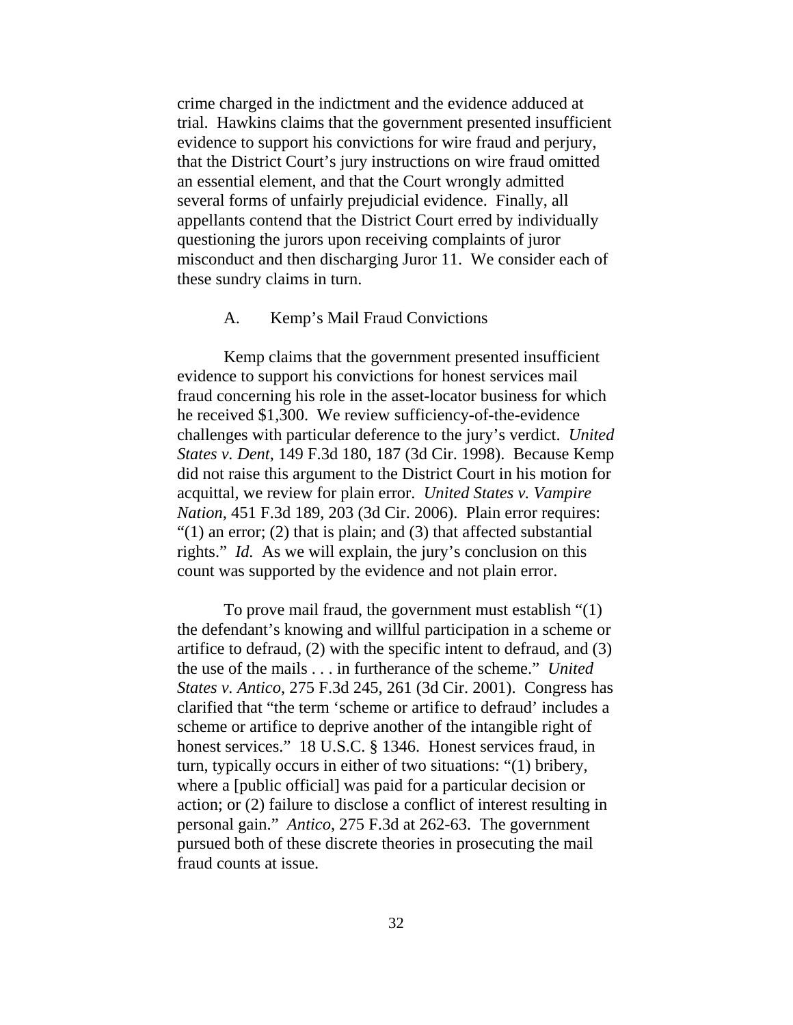crime charged in the indictment and the evidence adduced at trial. Hawkins claims that the government presented insufficient evidence to support his convictions for wire fraud and perjury, that the District Court's jury instructions on wire fraud omitted an essential element, and that the Court wrongly admitted several forms of unfairly prejudicial evidence. Finally, all appellants contend that the District Court erred by individually questioning the jurors upon receiving complaints of juror misconduct and then discharging Juror 11. We consider each of these sundry claims in turn.

#### A. Kemp's Mail Fraud Convictions

Kemp claims that the government presented insufficient evidence to support his convictions for honest services mail fraud concerning his role in the asset-locator business for which he received \$1,300. We review sufficiency-of-the-evidence challenges with particular deference to the jury's verdict. *United States v. Dent*, 149 F.3d 180, 187 (3d Cir. 1998). Because Kemp did not raise this argument to the District Court in his motion for acquittal, we review for plain error. *United States v. Vampire Nation*, 451 F.3d 189, 203 (3d Cir. 2006). Plain error requires: " $(1)$  an error;  $(2)$  that is plain; and  $(3)$  that affected substantial rights." *Id.* As we will explain, the jury's conclusion on this count was supported by the evidence and not plain error.

To prove mail fraud, the government must establish "(1) the defendant's knowing and willful participation in a scheme or artifice to defraud, (2) with the specific intent to defraud, and (3) the use of the mails . . . in furtherance of the scheme." *United States v. Antico*, 275 F.3d 245, 261 (3d Cir. 2001). Congress has clarified that "the term 'scheme or artifice to defraud' includes a scheme or artifice to deprive another of the intangible right of honest services." 18 U.S.C. § 1346. Honest services fraud, in turn, typically occurs in either of two situations: "(1) bribery, where a [public official] was paid for a particular decision or action; or (2) failure to disclose a conflict of interest resulting in personal gain." *Antico*, 275 F.3d at 262-63. The government pursued both of these discrete theories in prosecuting the mail fraud counts at issue.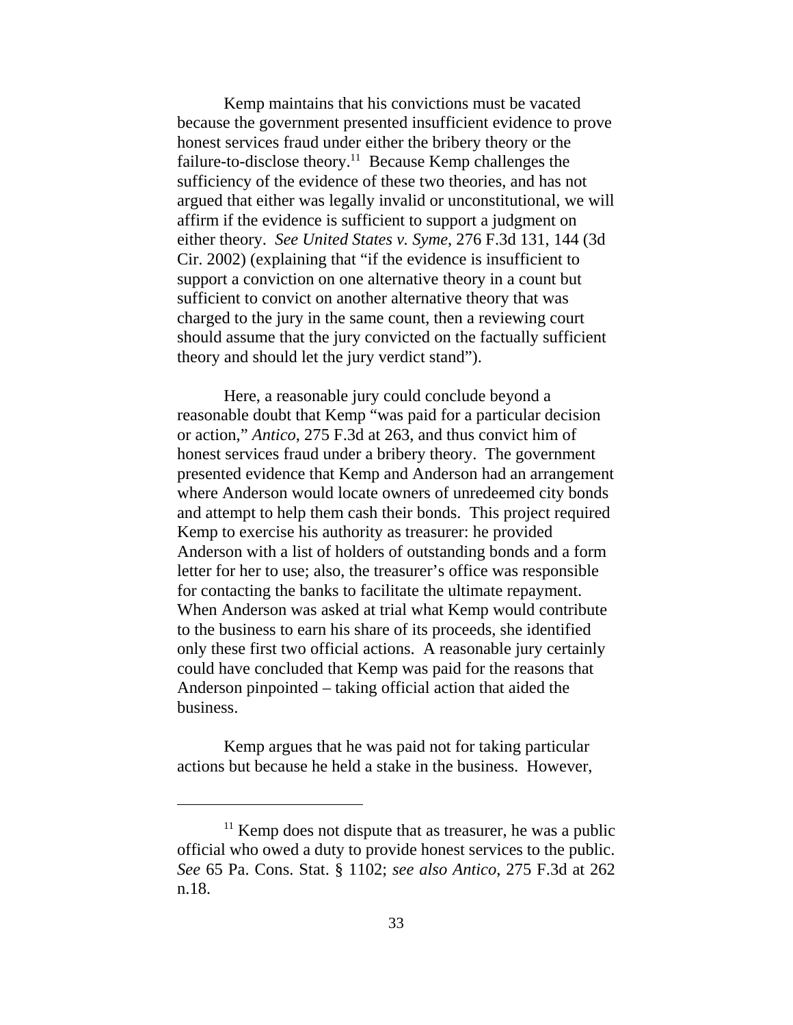Kemp maintains that his convictions must be vacated because the government presented insufficient evidence to prove honest services fraud under either the bribery theory or the failure-to-disclose theory.<sup>11</sup> Because Kemp challenges the sufficiency of the evidence of these two theories, and has not argued that either was legally invalid or unconstitutional, we will affirm if the evidence is sufficient to support a judgment on either theory. *See United States v. Syme*, 276 F.3d 131, 144 (3d Cir. 2002) (explaining that "if the evidence is insufficient to support a conviction on one alternative theory in a count but sufficient to convict on another alternative theory that was charged to the jury in the same count, then a reviewing court should assume that the jury convicted on the factually sufficient theory and should let the jury verdict stand").

Here, a reasonable jury could conclude beyond a reasonable doubt that Kemp "was paid for a particular decision or action," *Antico*, 275 F.3d at 263, and thus convict him of honest services fraud under a bribery theory. The government presented evidence that Kemp and Anderson had an arrangement where Anderson would locate owners of unredeemed city bonds and attempt to help them cash their bonds. This project required Kemp to exercise his authority as treasurer: he provided Anderson with a list of holders of outstanding bonds and a form letter for her to use; also, the treasurer's office was responsible for contacting the banks to facilitate the ultimate repayment. When Anderson was asked at trial what Kemp would contribute to the business to earn his share of its proceeds, she identified only these first two official actions. A reasonable jury certainly could have concluded that Kemp was paid for the reasons that Anderson pinpointed – taking official action that aided the business.

Kemp argues that he was paid not for taking particular actions but because he held a stake in the business. However,

 $11$  Kemp does not dispute that as treasurer, he was a public official who owed a duty to provide honest services to the public. *See* 65 Pa. Cons. Stat. § 1102; *see also Antico*, 275 F.3d at 262 n.18.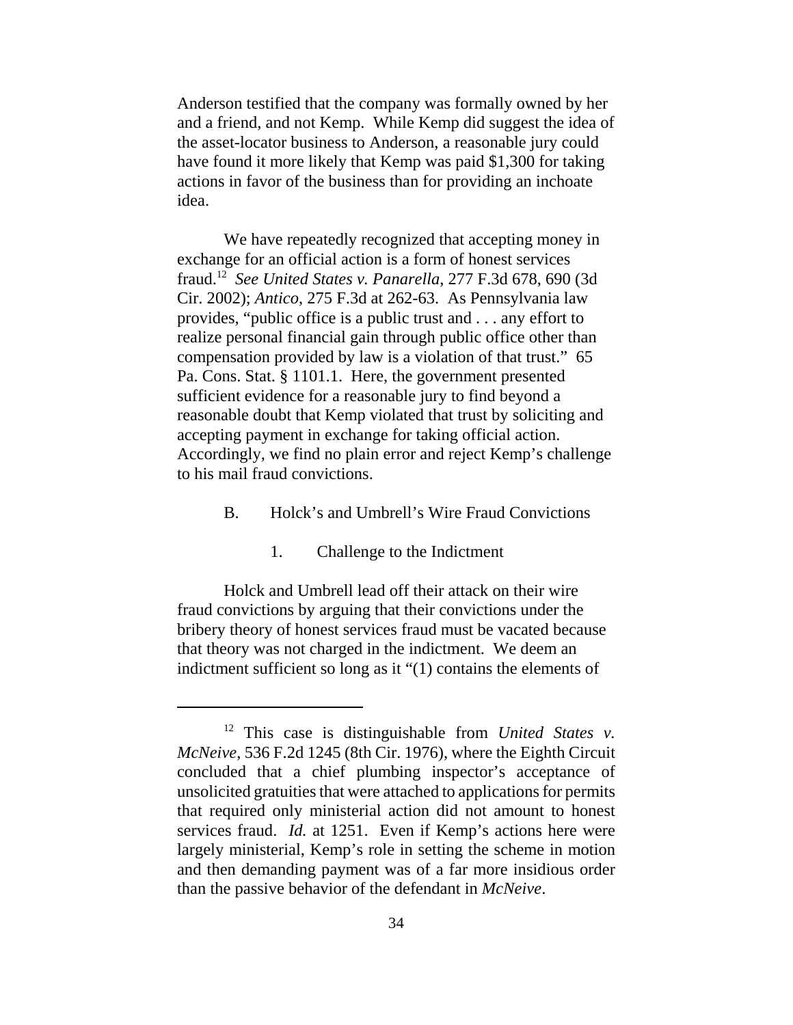Anderson testified that the company was formally owned by her and a friend, and not Kemp. While Kemp did suggest the idea of the asset-locator business to Anderson, a reasonable jury could have found it more likely that Kemp was paid \$1,300 for taking actions in favor of the business than for providing an inchoate idea.

We have repeatedly recognized that accepting money in exchange for an official action is a form of honest services fraud.12 *See United States v. Panarella*, 277 F.3d 678, 690 (3d Cir. 2002); *Antico*, 275 F.3d at 262-63. As Pennsylvania law provides, "public office is a public trust and . . . any effort to realize personal financial gain through public office other than compensation provided by law is a violation of that trust." 65 Pa. Cons. Stat. § 1101.1. Here, the government presented sufficient evidence for a reasonable jury to find beyond a reasonable doubt that Kemp violated that trust by soliciting and accepting payment in exchange for taking official action. Accordingly, we find no plain error and reject Kemp's challenge to his mail fraud convictions.

- B. Holck's and Umbrell's Wire Fraud Convictions
	- 1. Challenge to the Indictment

Holck and Umbrell lead off their attack on their wire fraud convictions by arguing that their convictions under the bribery theory of honest services fraud must be vacated because that theory was not charged in the indictment. We deem an indictment sufficient so long as it "(1) contains the elements of

<sup>12</sup> This case is distinguishable from *United States v. McNeive*, 536 F.2d 1245 (8th Cir. 1976), where the Eighth Circuit concluded that a chief plumbing inspector's acceptance of unsolicited gratuities that were attached to applications for permits that required only ministerial action did not amount to honest services fraud. *Id.* at 1251. Even if Kemp's actions here were largely ministerial, Kemp's role in setting the scheme in motion and then demanding payment was of a far more insidious order than the passive behavior of the defendant in *McNeive*.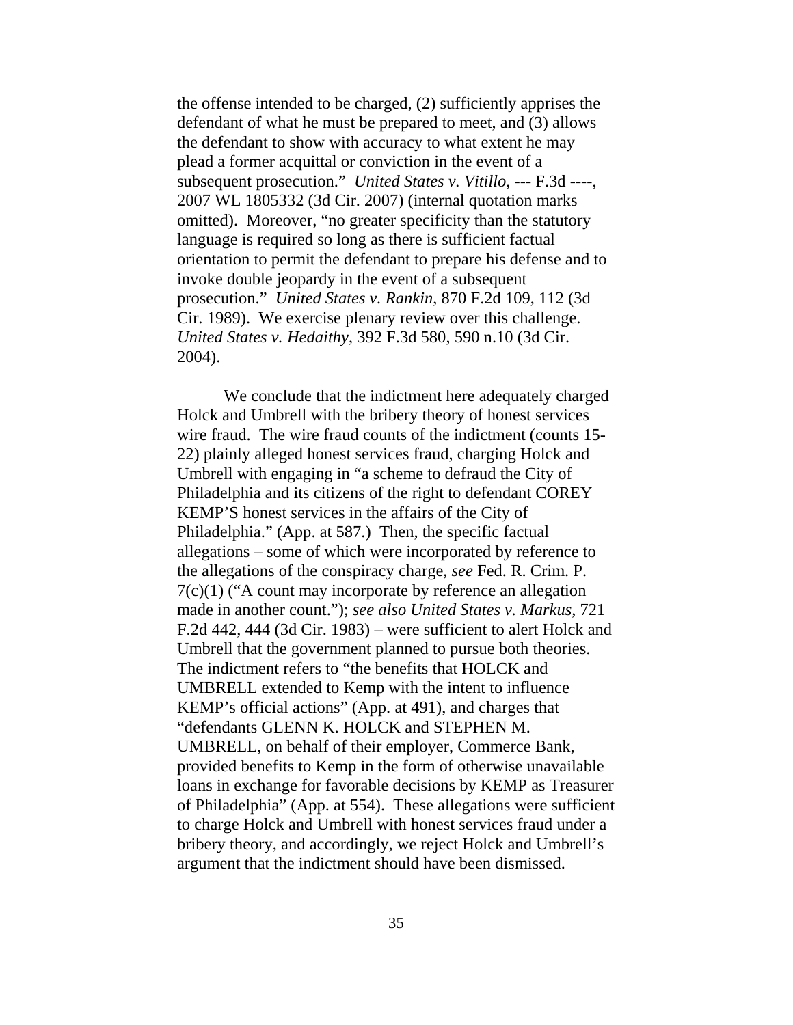the offense intended to be charged, (2) sufficiently apprises the defendant of what he must be prepared to meet, and (3) allows the defendant to show with accuracy to what extent he may plead a former acquittal or conviction in the event of a subsequent prosecution." *United States v. Vitillo*, --- F.3d ----, 2007 WL 1805332 (3d Cir. 2007) (internal quotation marks omitted). Moreover, "no greater specificity than the statutory language is required so long as there is sufficient factual orientation to permit the defendant to prepare his defense and to invoke double jeopardy in the event of a subsequent prosecution." *United States v. Rankin*, 870 F.2d 109, 112 (3d Cir. 1989). We exercise plenary review over this challenge. *United States v. Hedaithy*, 392 F.3d 580, 590 n.10 (3d Cir. 2004).

We conclude that the indictment here adequately charged Holck and Umbrell with the bribery theory of honest services wire fraud. The wire fraud counts of the indictment (counts 15- 22) plainly alleged honest services fraud, charging Holck and Umbrell with engaging in "a scheme to defraud the City of Philadelphia and its citizens of the right to defendant COREY KEMP'S honest services in the affairs of the City of Philadelphia." (App. at 587.) Then, the specific factual allegations – some of which were incorporated by reference to the allegations of the conspiracy charge, *see* Fed. R. Crim. P. 7(c)(1) ("A count may incorporate by reference an allegation made in another count."); *see also United States v. Markus*, 721 F.2d 442, 444 (3d Cir. 1983) – were sufficient to alert Holck and Umbrell that the government planned to pursue both theories. The indictment refers to "the benefits that HOLCK and UMBRELL extended to Kemp with the intent to influence KEMP's official actions" (App. at 491), and charges that "defendants GLENN K. HOLCK and STEPHEN M. UMBRELL, on behalf of their employer, Commerce Bank, provided benefits to Kemp in the form of otherwise unavailable loans in exchange for favorable decisions by KEMP as Treasurer of Philadelphia" (App. at 554). These allegations were sufficient to charge Holck and Umbrell with honest services fraud under a bribery theory, and accordingly, we reject Holck and Umbrell's argument that the indictment should have been dismissed.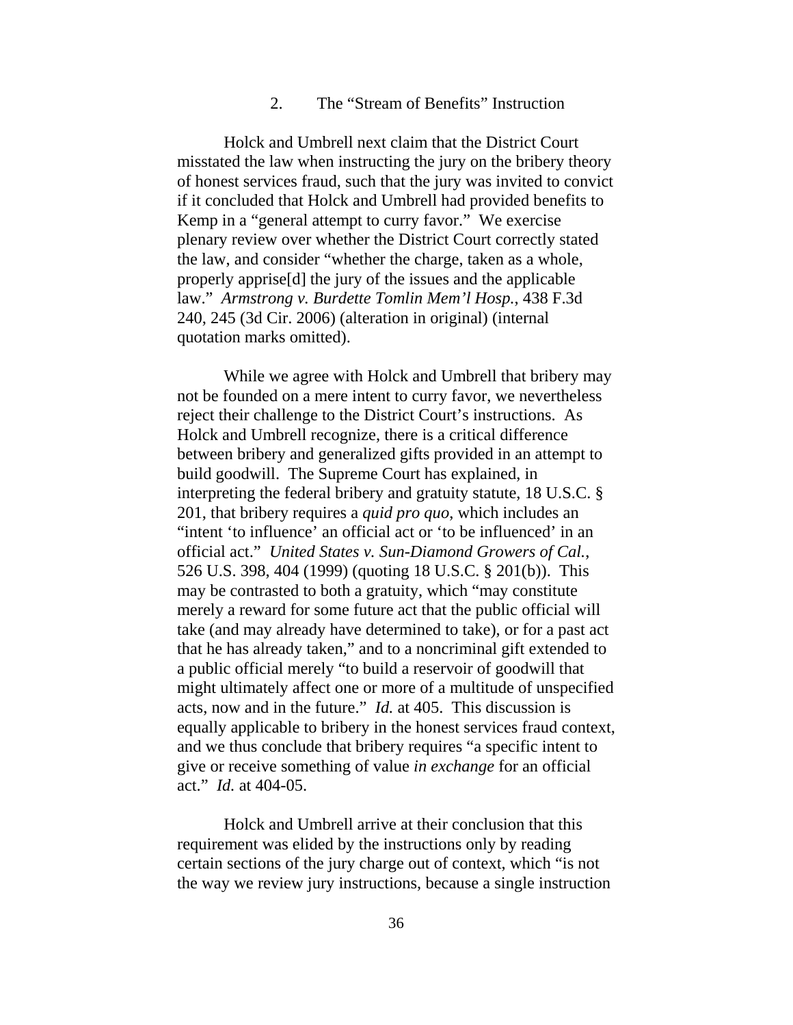## 2. The "Stream of Benefits" Instruction

Holck and Umbrell next claim that the District Court misstated the law when instructing the jury on the bribery theory of honest services fraud, such that the jury was invited to convict if it concluded that Holck and Umbrell had provided benefits to Kemp in a "general attempt to curry favor." We exercise plenary review over whether the District Court correctly stated the law, and consider "whether the charge, taken as a whole, properly apprise[d] the jury of the issues and the applicable law." *Armstrong v. Burdette Tomlin Mem'l Hosp.*, 438 F.3d 240, 245 (3d Cir. 2006) (alteration in original) (internal quotation marks omitted).

While we agree with Holck and Umbrell that bribery may not be founded on a mere intent to curry favor, we nevertheless reject their challenge to the District Court's instructions. As Holck and Umbrell recognize, there is a critical difference between bribery and generalized gifts provided in an attempt to build goodwill. The Supreme Court has explained, in interpreting the federal bribery and gratuity statute, 18 U.S.C. § 201, that bribery requires a *quid pro quo*, which includes an "intent 'to influence' an official act or 'to be influenced' in an official act." *United States v. Sun-Diamond Growers of Cal.*, 526 U.S. 398, 404 (1999) (quoting 18 U.S.C. § 201(b)). This may be contrasted to both a gratuity, which "may constitute merely a reward for some future act that the public official will take (and may already have determined to take), or for a past act that he has already taken," and to a noncriminal gift extended to a public official merely "to build a reservoir of goodwill that might ultimately affect one or more of a multitude of unspecified acts, now and in the future." *Id.* at 405.This discussion is equally applicable to bribery in the honest services fraud context, and we thus conclude that bribery requires "a specific intent to give or receive something of value *in exchange* for an official act." *Id.* at 404-05.

Holck and Umbrell arrive at their conclusion that this requirement was elided by the instructions only by reading certain sections of the jury charge out of context, which "is not the way we review jury instructions, because a single instruction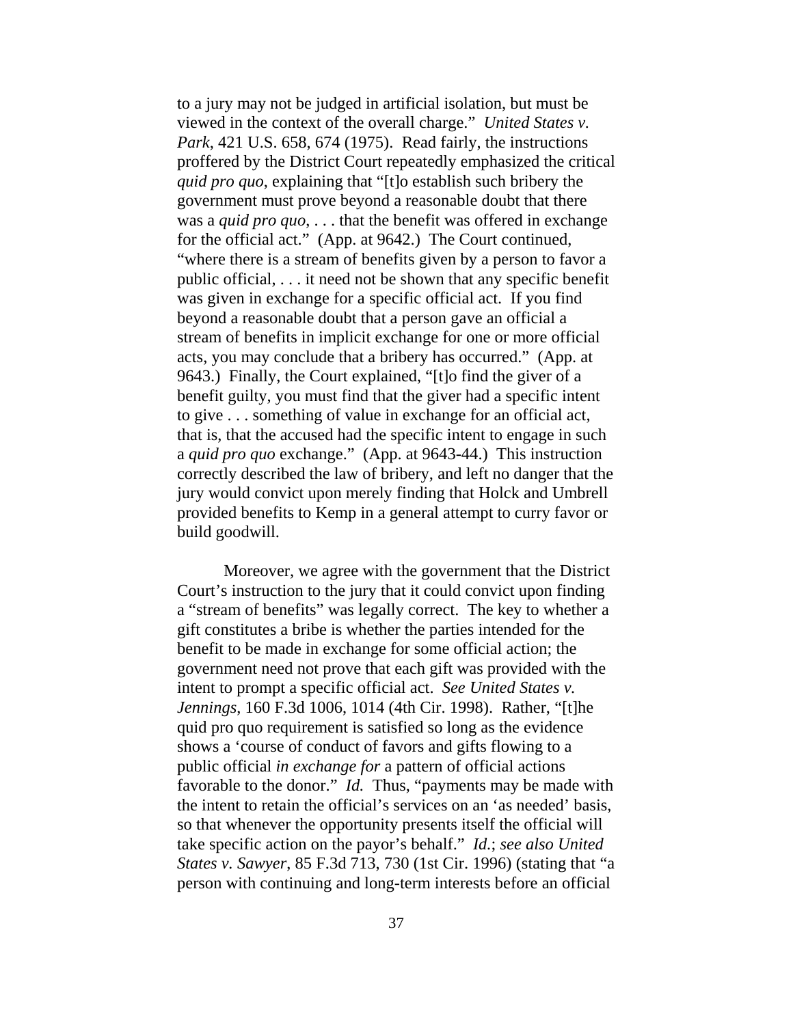to a jury may not be judged in artificial isolation, but must be viewed in the context of the overall charge." *United States v. Park*, 421 U.S. 658, 674 (1975). Read fairly, the instructions proffered by the District Court repeatedly emphasized the critical *quid pro quo*, explaining that "[t]o establish such bribery the government must prove beyond a reasonable doubt that there was a *quid pro quo*, . . . that the benefit was offered in exchange for the official act." (App. at 9642.) The Court continued, "where there is a stream of benefits given by a person to favor a public official, . . . it need not be shown that any specific benefit was given in exchange for a specific official act. If you find beyond a reasonable doubt that a person gave an official a stream of benefits in implicit exchange for one or more official acts, you may conclude that a bribery has occurred." (App. at 9643.) Finally, the Court explained, "[t]o find the giver of a benefit guilty, you must find that the giver had a specific intent to give . . . something of value in exchange for an official act, that is, that the accused had the specific intent to engage in such a *quid pro quo* exchange." (App. at 9643-44.) This instruction correctly described the law of bribery, and left no danger that the jury would convict upon merely finding that Holck and Umbrell provided benefits to Kemp in a general attempt to curry favor or build goodwill.

Moreover, we agree with the government that the District Court's instruction to the jury that it could convict upon finding a "stream of benefits" was legally correct. The key to whether a gift constitutes a bribe is whether the parties intended for the benefit to be made in exchange for some official action; the government need not prove that each gift was provided with the intent to prompt a specific official act. *See United States v. Jennings*, 160 F.3d 1006, 1014 (4th Cir. 1998). Rather, "[t]he quid pro quo requirement is satisfied so long as the evidence shows a 'course of conduct of favors and gifts flowing to a public official *in exchange for* a pattern of official actions favorable to the donor." *Id.* Thus, "payments may be made with the intent to retain the official's services on an 'as needed' basis, so that whenever the opportunity presents itself the official will take specific action on the payor's behalf." *Id.*; *see also United States v. Sawyer*, 85 F.3d 713, 730 (1st Cir. 1996) (stating that "a person with continuing and long-term interests before an official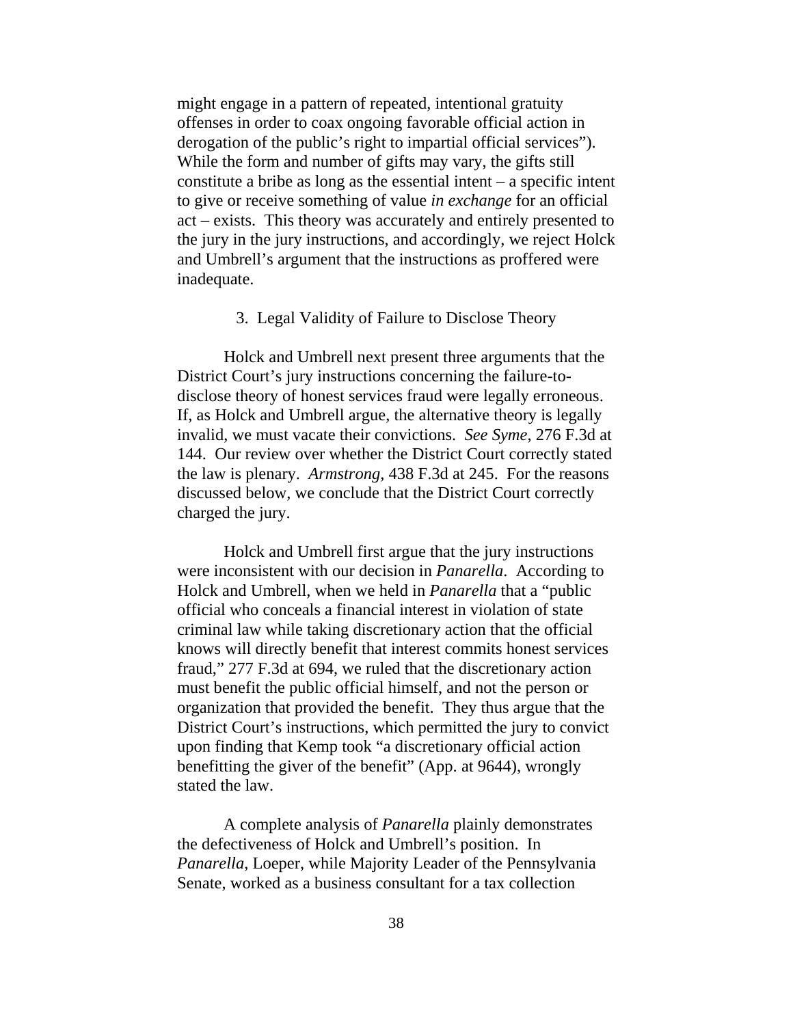might engage in a pattern of repeated, intentional gratuity offenses in order to coax ongoing favorable official action in derogation of the public's right to impartial official services"). While the form and number of gifts may vary, the gifts still constitute a bribe as long as the essential intent  $-$  a specific intent to give or receive something of value *in exchange* for an official act – exists. This theory was accurately and entirely presented to the jury in the jury instructions, and accordingly, we reject Holck and Umbrell's argument that the instructions as proffered were inadequate.

### 3. Legal Validity of Failure to Disclose Theory

Holck and Umbrell next present three arguments that the District Court's jury instructions concerning the failure-todisclose theory of honest services fraud were legally erroneous. If, as Holck and Umbrell argue, the alternative theory is legally invalid, we must vacate their convictions. *See Syme*, 276 F.3d at 144. Our review over whether the District Court correctly stated the law is plenary. *Armstrong*, 438 F.3d at 245. For the reasons discussed below, we conclude that the District Court correctly charged the jury.

Holck and Umbrell first argue that the jury instructions were inconsistent with our decision in *Panarella*. According to Holck and Umbrell, when we held in *Panarella* that a "public official who conceals a financial interest in violation of state criminal law while taking discretionary action that the official knows will directly benefit that interest commits honest services fraud," 277 F.3d at 694, we ruled that the discretionary action must benefit the public official himself, and not the person or organization that provided the benefit. They thus argue that the District Court's instructions, which permitted the jury to convict upon finding that Kemp took "a discretionary official action benefitting the giver of the benefit" (App. at 9644), wrongly stated the law.

A complete analysis of *Panarella* plainly demonstrates the defectiveness of Holck and Umbrell's position. In *Panarella*, Loeper, while Majority Leader of the Pennsylvania Senate, worked as a business consultant for a tax collection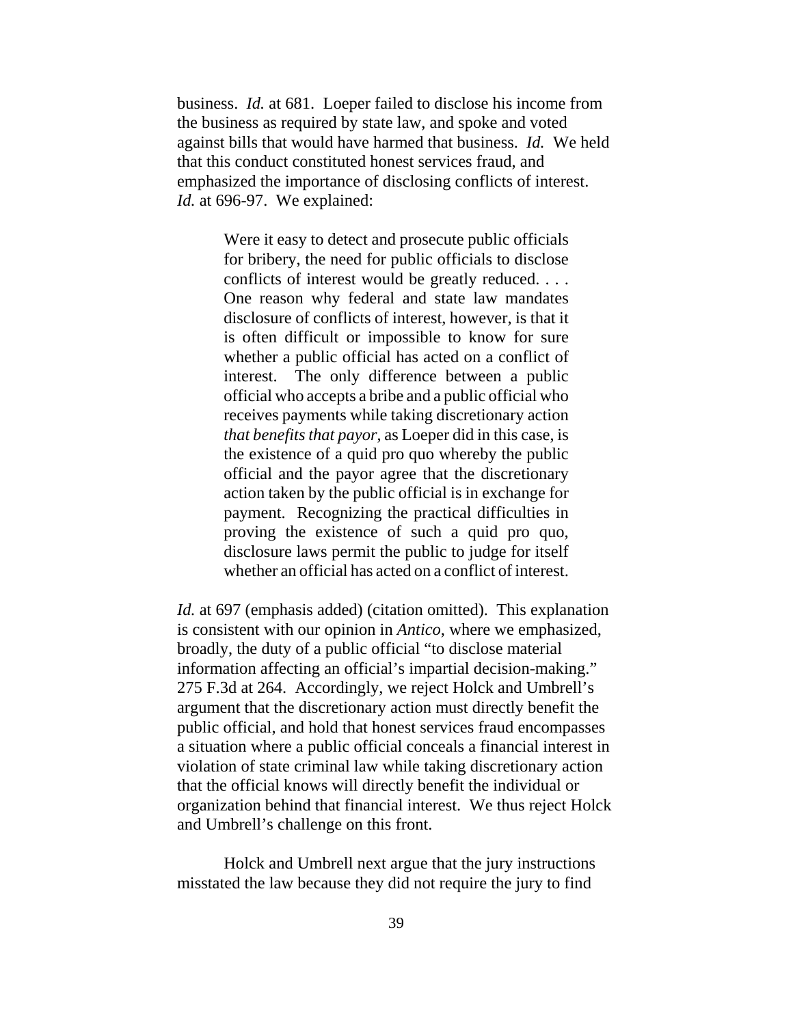business. *Id.* at 681. Loeper failed to disclose his income from the business as required by state law, and spoke and voted against bills that would have harmed that business. *Id.* We held that this conduct constituted honest services fraud, and emphasized the importance of disclosing conflicts of interest. *Id.* at 696-97. We explained:

> Were it easy to detect and prosecute public officials for bribery, the need for public officials to disclose conflicts of interest would be greatly reduced. . . . One reason why federal and state law mandates disclosure of conflicts of interest, however, is that it is often difficult or impossible to know for sure whether a public official has acted on a conflict of interest. The only difference between a public official who accepts a bribe and a public official who receives payments while taking discretionary action *that benefits that payor*, as Loeper did in this case, is the existence of a quid pro quo whereby the public official and the payor agree that the discretionary action taken by the public official is in exchange for payment. Recognizing the practical difficulties in proving the existence of such a quid pro quo, disclosure laws permit the public to judge for itself whether an official has acted on a conflict of interest.

*Id.* at 697 (emphasis added) (citation omitted). This explanation is consistent with our opinion in *Antico*, where we emphasized, broadly, the duty of a public official "to disclose material information affecting an official's impartial decision-making." 275 F.3d at 264. Accordingly, we reject Holck and Umbrell's argument that the discretionary action must directly benefit the public official, and hold that honest services fraud encompasses a situation where a public official conceals a financial interest in violation of state criminal law while taking discretionary action that the official knows will directly benefit the individual or organization behind that financial interest. We thus reject Holck and Umbrell's challenge on this front.

Holck and Umbrell next argue that the jury instructions misstated the law because they did not require the jury to find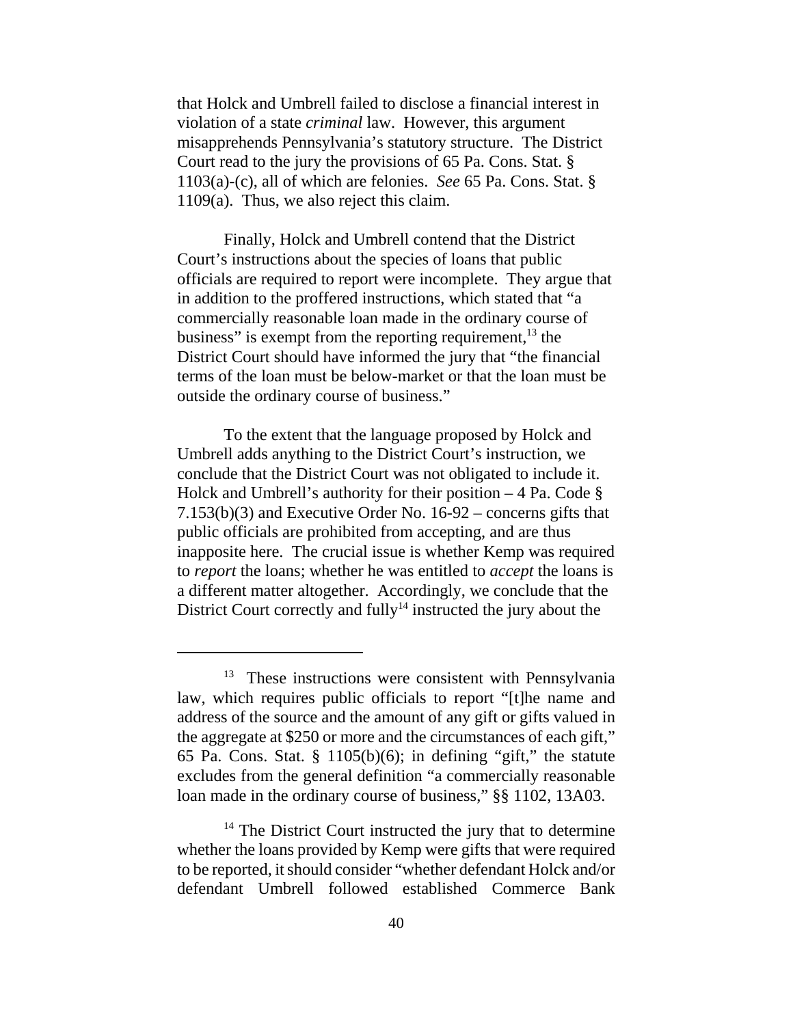that Holck and Umbrell failed to disclose a financial interest in violation of a state *criminal* law. However, this argument misapprehends Pennsylvania's statutory structure. The District Court read to the jury the provisions of 65 Pa. Cons. Stat. § 1103(a)-(c), all of which are felonies. *See* 65 Pa. Cons. Stat. § 1109(a). Thus, we also reject this claim.

Finally, Holck and Umbrell contend that the District Court's instructions about the species of loans that public officials are required to report were incomplete. They argue that in addition to the proffered instructions, which stated that "a commercially reasonable loan made in the ordinary course of business" is exempt from the reporting requirement, $^{13}$  the District Court should have informed the jury that "the financial terms of the loan must be below-market or that the loan must be outside the ordinary course of business."

To the extent that the language proposed by Holck and Umbrell adds anything to the District Court's instruction, we conclude that the District Court was not obligated to include it. Holck and Umbrell's authority for their position  $-4$  Pa. Code § 7.153(b)(3) and Executive Order No. 16-92 – concerns gifts that public officials are prohibited from accepting, and are thus inapposite here. The crucial issue is whether Kemp was required to *report* the loans; whether he was entitled to *accept* the loans is a different matter altogether. Accordingly, we conclude that the District Court correctly and fully<sup>14</sup> instructed the jury about the

<sup>&</sup>lt;sup>13</sup> These instructions were consistent with Pennsylvania law, which requires public officials to report "[t]he name and address of the source and the amount of any gift or gifts valued in the aggregate at \$250 or more and the circumstances of each gift," 65 Pa. Cons. Stat.  $\S$  1105(b)(6); in defining "gift," the statute excludes from the general definition "a commercially reasonable loan made in the ordinary course of business," §§ 1102, 13A03.

<sup>&</sup>lt;sup>14</sup> The District Court instructed the jury that to determine whether the loans provided by Kemp were gifts that were required to be reported, it should consider "whether defendant Holck and/or defendant Umbrell followed established Commerce Bank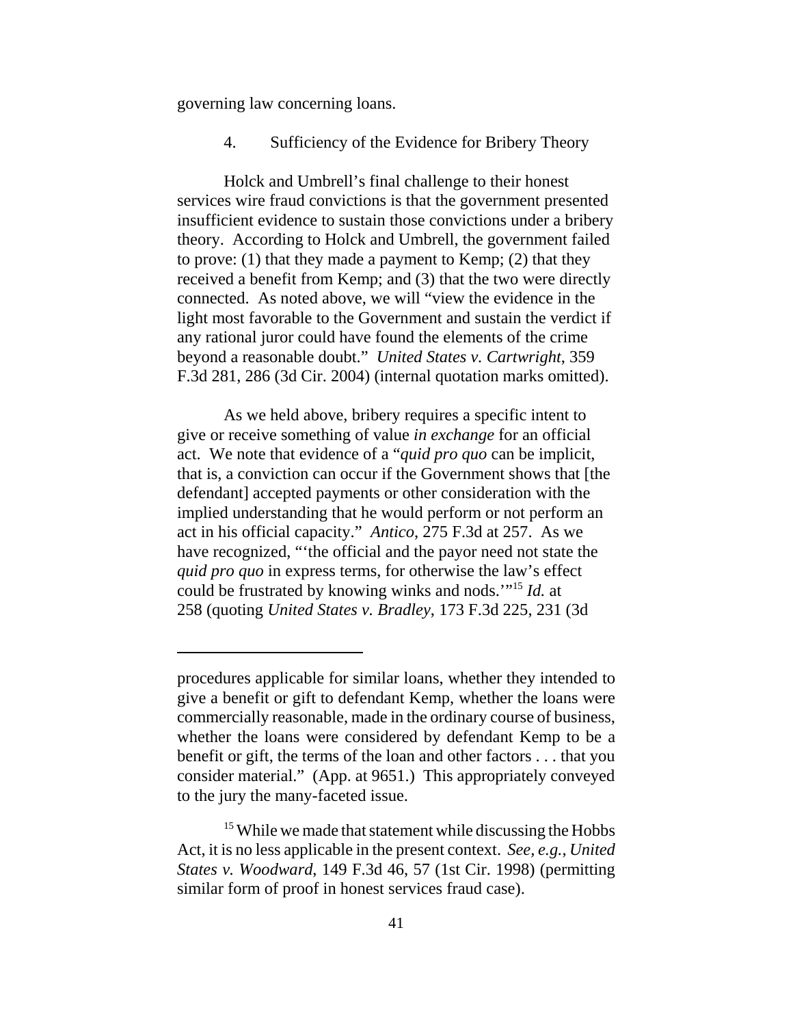governing law concerning loans.

4. Sufficiency of the Evidence for Bribery Theory

Holck and Umbrell's final challenge to their honest services wire fraud convictions is that the government presented insufficient evidence to sustain those convictions under a bribery theory. According to Holck and Umbrell, the government failed to prove: (1) that they made a payment to Kemp; (2) that they received a benefit from Kemp; and (3) that the two were directly connected. As noted above, we will "view the evidence in the light most favorable to the Government and sustain the verdict if any rational juror could have found the elements of the crime beyond a reasonable doubt." *United States v. Cartwright*, 359 F.3d 281, 286 (3d Cir. 2004) (internal quotation marks omitted).

As we held above, bribery requires a specific intent to give or receive something of value *in exchange* for an official act. We note that evidence of a "*quid pro quo* can be implicit, that is, a conviction can occur if the Government shows that [the defendant] accepted payments or other consideration with the implied understanding that he would perform or not perform an act in his official capacity." *Antico*, 275 F.3d at 257. As we have recognized, "'the official and the payor need not state the *quid pro quo* in express terms, for otherwise the law's effect could be frustrated by knowing winks and nods.'"15 *Id.* at 258 (quoting *United States v. Bradley*, 173 F.3d 225, 231 (3d

procedures applicable for similar loans, whether they intended to give a benefit or gift to defendant Kemp, whether the loans were commercially reasonable, made in the ordinary course of business, whether the loans were considered by defendant Kemp to be a benefit or gift, the terms of the loan and other factors . . . that you consider material." (App. at 9651.) This appropriately conveyed to the jury the many-faceted issue.

<sup>&</sup>lt;sup>15</sup> While we made that statement while discussing the Hobbs Act, it is no less applicable in the present context. *See, e.g.*, *United States v. Woodward*, 149 F.3d 46, 57 (1st Cir. 1998) (permitting similar form of proof in honest services fraud case).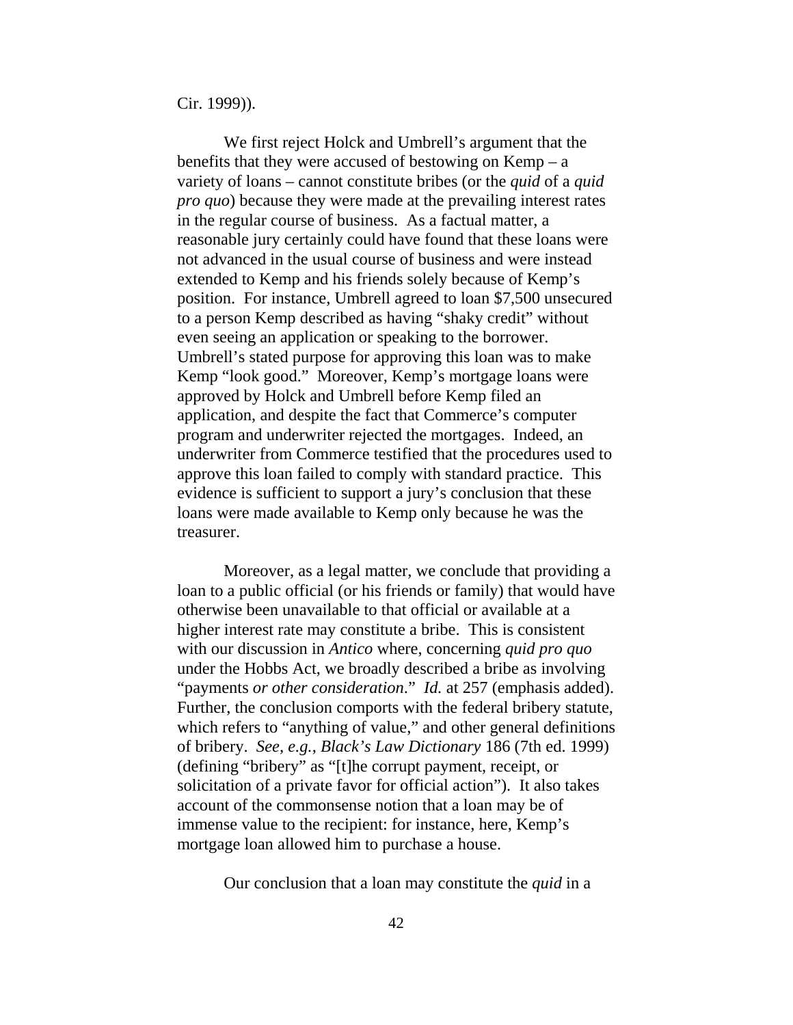Cir. 1999)).

We first reject Holck and Umbrell's argument that the benefits that they were accused of bestowing on  $Kemp - a$ variety of loans – cannot constitute bribes (or the *quid* of a *quid pro quo*) because they were made at the prevailing interest rates in the regular course of business. As a factual matter, a reasonable jury certainly could have found that these loans were not advanced in the usual course of business and were instead extended to Kemp and his friends solely because of Kemp's position. For instance, Umbrell agreed to loan \$7,500 unsecured to a person Kemp described as having "shaky credit" without even seeing an application or speaking to the borrower. Umbrell's stated purpose for approving this loan was to make Kemp "look good." Moreover, Kemp's mortgage loans were approved by Holck and Umbrell before Kemp filed an application, and despite the fact that Commerce's computer program and underwriter rejected the mortgages. Indeed, an underwriter from Commerce testified that the procedures used to approve this loan failed to comply with standard practice. This evidence is sufficient to support a jury's conclusion that these loans were made available to Kemp only because he was the treasurer.

Moreover, as a legal matter, we conclude that providing a loan to a public official (or his friends or family) that would have otherwise been unavailable to that official or available at a higher interest rate may constitute a bribe. This is consistent with our discussion in *Antico* where, concerning *quid pro quo* under the Hobbs Act, we broadly described a bribe as involving "payments *or other consideration*." *Id.* at 257 (emphasis added). Further, the conclusion comports with the federal bribery statute, which refers to "anything of value," and other general definitions of bribery. *See, e.g.*, *Black's Law Dictionary* 186 (7th ed. 1999) (defining "bribery" as "[t]he corrupt payment, receipt, or solicitation of a private favor for official action"). It also takes account of the commonsense notion that a loan may be of immense value to the recipient: for instance, here, Kemp's mortgage loan allowed him to purchase a house.

Our conclusion that a loan may constitute the *quid* in a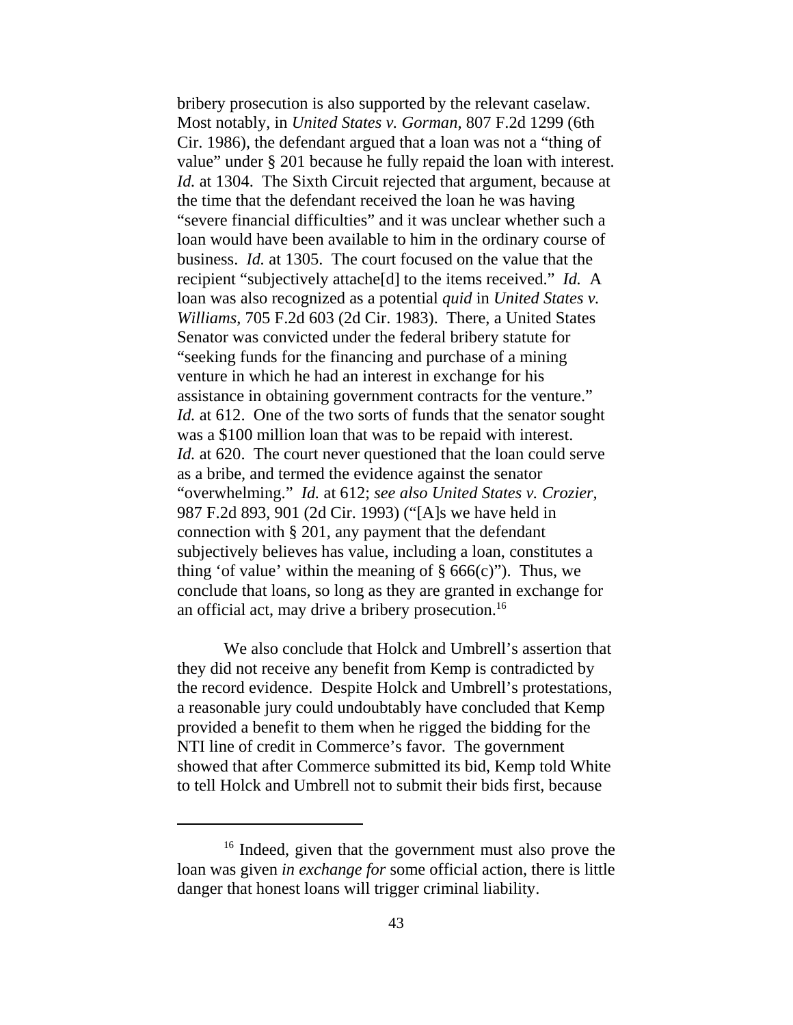bribery prosecution is also supported by the relevant caselaw. Most notably, in *United States v. Gorman*, 807 F.2d 1299 (6th Cir. 1986), the defendant argued that a loan was not a "thing of value" under § 201 because he fully repaid the loan with interest. *Id.* at 1304. The Sixth Circuit rejected that argument, because at the time that the defendant received the loan he was having "severe financial difficulties" and it was unclear whether such a loan would have been available to him in the ordinary course of business. *Id.* at 1305. The court focused on the value that the recipient "subjectively attache[d] to the items received." *Id.* A loan was also recognized as a potential *quid* in *United States v. Williams*, 705 F.2d 603 (2d Cir. 1983). There, a United States Senator was convicted under the federal bribery statute for "seeking funds for the financing and purchase of a mining venture in which he had an interest in exchange for his assistance in obtaining government contracts for the venture." *Id.* at 612. One of the two sorts of funds that the senator sought was a \$100 million loan that was to be repaid with interest. *Id.* at 620. The court never questioned that the loan could serve as a bribe, and termed the evidence against the senator "overwhelming." *Id.* at 612; *see also United States v. Crozier*, 987 F.2d 893, 901 (2d Cir. 1993) ("[A]s we have held in connection with § 201, any payment that the defendant subjectively believes has value, including a loan, constitutes a thing 'of value' within the meaning of  $\S$  666(c)"). Thus, we conclude that loans, so long as they are granted in exchange for an official act, may drive a bribery prosecution.<sup>16</sup>

We also conclude that Holck and Umbrell's assertion that they did not receive any benefit from Kemp is contradicted by the record evidence. Despite Holck and Umbrell's protestations, a reasonable jury could undoubtably have concluded that Kemp provided a benefit to them when he rigged the bidding for the NTI line of credit in Commerce's favor. The government showed that after Commerce submitted its bid, Kemp told White to tell Holck and Umbrell not to submit their bids first, because

<sup>&</sup>lt;sup>16</sup> Indeed, given that the government must also prove the loan was given *in exchange for* some official action, there is little danger that honest loans will trigger criminal liability.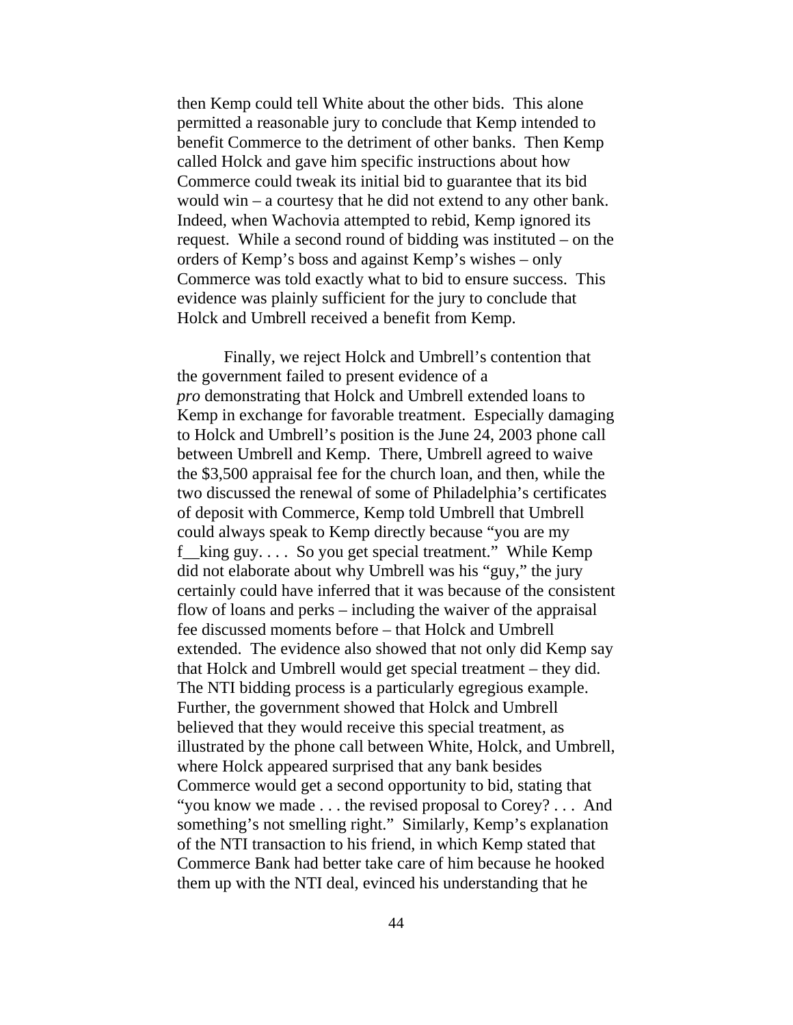then Kemp could tell White about the other bids. This alone permitted a reasonable jury to conclude that Kemp intended to benefit Commerce to the detriment of other banks. Then Kemp called Holck and gave him specific instructions about how Commerce could tweak its initial bid to guarantee that its bid would win – a courtesy that he did not extend to any other bank. Indeed, when Wachovia attempted to rebid, Kemp ignored its request. While a second round of bidding was instituted – on the orders of Kemp's boss and against Kemp's wishes – only Commerce was told exactly what to bid to ensure success. This evidence was plainly sufficient for the jury to conclude that Holck and Umbrell received a benefit from Kemp.

Finally, we reject Holck and Umbrell's contention that the government failed to present evidence of a *pro* demonstrating that Holck and Umbrell extended loans to Kemp in exchange for favorable treatment. Especially damaging to Holck and Umbrell's position is the June 24, 2003 phone call between Umbrell and Kemp. There, Umbrell agreed to waive the \$3,500 appraisal fee for the church loan, and then, while the two discussed the renewal of some of Philadelphia's certificates of deposit with Commerce, Kemp told Umbrell that Umbrell could always speak to Kemp directly because "you are my f king guy.  $\ldots$  So you get special treatment." While Kemp did not elaborate about why Umbrell was his "guy," the jury certainly could have inferred that it was because of the consistent flow of loans and perks – including the waiver of the appraisal fee discussed moments before – that Holck and Umbrell extended. The evidence also showed that not only did Kemp say that Holck and Umbrell would get special treatment – they did. The NTI bidding process is a particularly egregious example. Further, the government showed that Holck and Umbrell believed that they would receive this special treatment, as illustrated by the phone call between White, Holck, and Umbrell, where Holck appeared surprised that any bank besides Commerce would get a second opportunity to bid, stating that "you know we made . . . the revised proposal to Corey? . . . And something's not smelling right." Similarly, Kemp's explanation of the NTI transaction to his friend, in which Kemp stated that Commerce Bank had better take care of him because he hooked them up with the NTI deal, evinced his understanding that he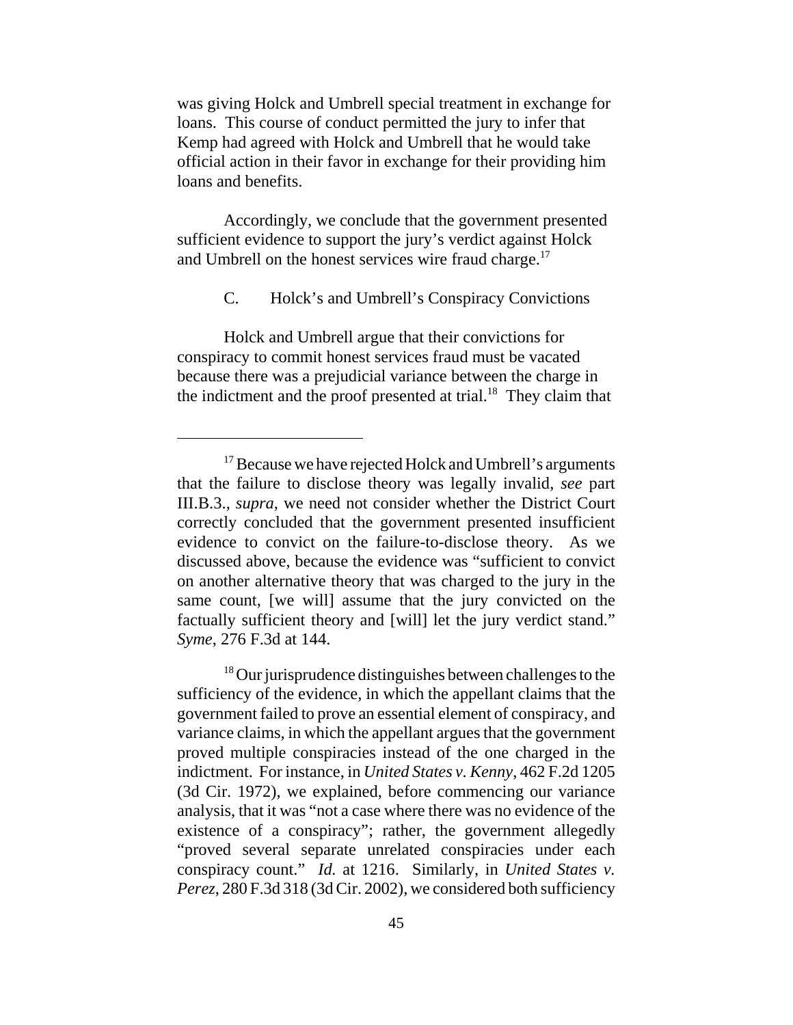was giving Holck and Umbrell special treatment in exchange for loans. This course of conduct permitted the jury to infer that Kemp had agreed with Holck and Umbrell that he would take official action in their favor in exchange for their providing him loans and benefits.

Accordingly, we conclude that the government presented sufficient evidence to support the jury's verdict against Holck and Umbrell on the honest services wire fraud charge.<sup>17</sup>

C. Holck's and Umbrell's Conspiracy Convictions

Holck and Umbrell argue that their convictions for conspiracy to commit honest services fraud must be vacated because there was a prejudicial variance between the charge in the indictment and the proof presented at trial.<sup>18</sup> They claim that

<sup>18</sup> Our jurisprudence distinguishes between challenges to the sufficiency of the evidence, in which the appellant claims that the government failed to prove an essential element of conspiracy, and variance claims, in which the appellant argues that the government proved multiple conspiracies instead of the one charged in the indictment. For instance, in *United States v. Kenny*, 462 F.2d 1205 (3d Cir. 1972), we explained, before commencing our variance analysis, that it was "not a case where there was no evidence of the existence of a conspiracy"; rather, the government allegedly "proved several separate unrelated conspiracies under each conspiracy count." *Id.* at 1216. Similarly, in *United States v. Perez*, 280 F.3d 318 (3d Cir. 2002), we considered both sufficiency

 $17$  Because we have rejected Holck and Umbrell's arguments that the failure to disclose theory was legally invalid, *see* part III.B.3., *supra*, we need not consider whether the District Court correctly concluded that the government presented insufficient evidence to convict on the failure-to-disclose theory. As we discussed above, because the evidence was "sufficient to convict on another alternative theory that was charged to the jury in the same count, [we will] assume that the jury convicted on the factually sufficient theory and [will] let the jury verdict stand." *Syme*, 276 F.3d at 144.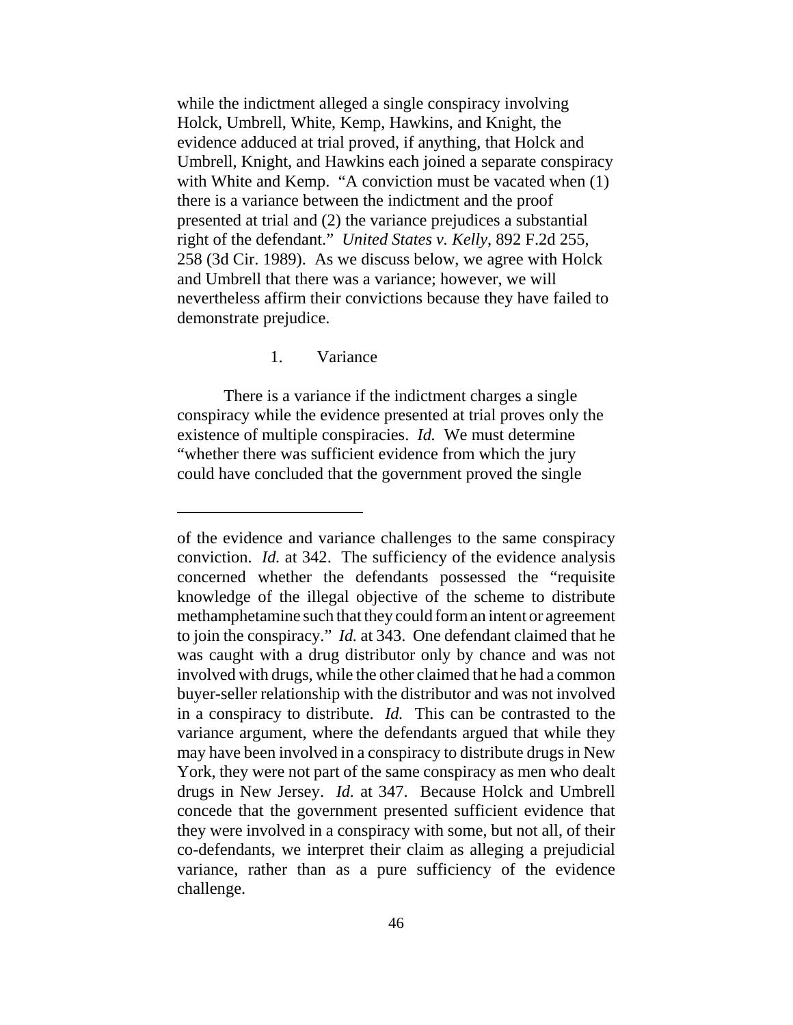while the indictment alleged a single conspiracy involving Holck, Umbrell, White, Kemp, Hawkins, and Knight, the evidence adduced at trial proved, if anything, that Holck and Umbrell, Knight, and Hawkins each joined a separate conspiracy with White and Kemp. "A conviction must be vacated when  $(1)$ there is a variance between the indictment and the proof presented at trial and (2) the variance prejudices a substantial right of the defendant." *United States v. Kelly*, 892 F.2d 255, 258 (3d Cir. 1989). As we discuss below, we agree with Holck and Umbrell that there was a variance; however, we will nevertheless affirm their convictions because they have failed to demonstrate prejudice.

## 1. Variance

There is a variance if the indictment charges a single conspiracy while the evidence presented at trial proves only the existence of multiple conspiracies. *Id.* We must determine "whether there was sufficient evidence from which the jury could have concluded that the government proved the single

of the evidence and variance challenges to the same conspiracy conviction. *Id.* at 342. The sufficiency of the evidence analysis concerned whether the defendants possessed the "requisite knowledge of the illegal objective of the scheme to distribute methamphetamine such that they could form an intent or agreement to join the conspiracy." *Id.* at 343. One defendant claimed that he was caught with a drug distributor only by chance and was not involved with drugs, while the other claimed that he had a common buyer-seller relationship with the distributor and was not involved in a conspiracy to distribute. *Id.* This can be contrasted to the variance argument, where the defendants argued that while they may have been involved in a conspiracy to distribute drugs in New York, they were not part of the same conspiracy as men who dealt drugs in New Jersey. *Id.* at 347. Because Holck and Umbrell concede that the government presented sufficient evidence that they were involved in a conspiracy with some, but not all, of their co-defendants, we interpret their claim as alleging a prejudicial variance, rather than as a pure sufficiency of the evidence challenge.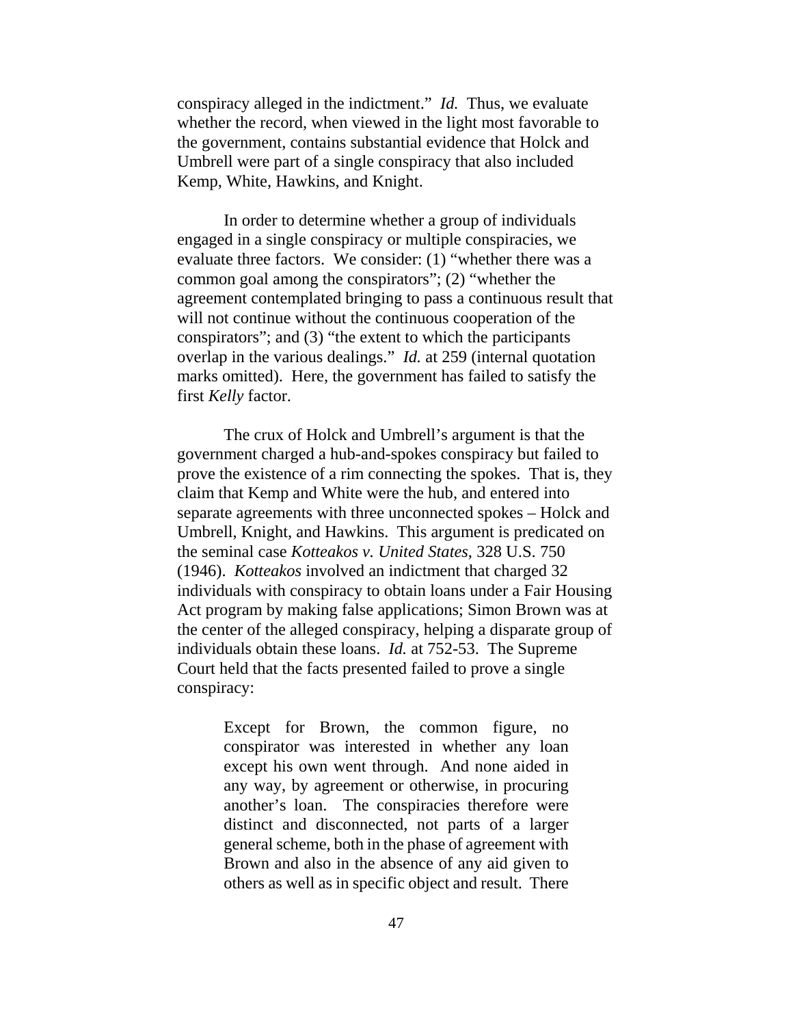conspiracy alleged in the indictment." *Id.* Thus, we evaluate whether the record, when viewed in the light most favorable to the government, contains substantial evidence that Holck and Umbrell were part of a single conspiracy that also included Kemp, White, Hawkins, and Knight.

In order to determine whether a group of individuals engaged in a single conspiracy or multiple conspiracies, we evaluate three factors. We consider: (1) "whether there was a common goal among the conspirators"; (2) "whether the agreement contemplated bringing to pass a continuous result that will not continue without the continuous cooperation of the conspirators"; and (3) "the extent to which the participants overlap in the various dealings." *Id.* at 259 (internal quotation marks omitted). Here, the government has failed to satisfy the first *Kelly* factor.

The crux of Holck and Umbrell's argument is that the government charged a hub-and-spokes conspiracy but failed to prove the existence of a rim connecting the spokes. That is, they claim that Kemp and White were the hub, and entered into separate agreements with three unconnected spokes – Holck and Umbrell, Knight, and Hawkins. This argument is predicated on the seminal case *Kotteakos v. United States*, 328 U.S. 750 (1946). *Kotteakos* involved an indictment that charged 32 individuals with conspiracy to obtain loans under a Fair Housing Act program by making false applications; Simon Brown was at the center of the alleged conspiracy, helping a disparate group of individuals obtain these loans. *Id.* at 752-53. The Supreme Court held that the facts presented failed to prove a single conspiracy:

> Except for Brown, the common figure, no conspirator was interested in whether any loan except his own went through. And none aided in any way, by agreement or otherwise, in procuring another's loan. The conspiracies therefore were distinct and disconnected, not parts of a larger general scheme, both in the phase of agreement with Brown and also in the absence of any aid given to others as well as in specific object and result. There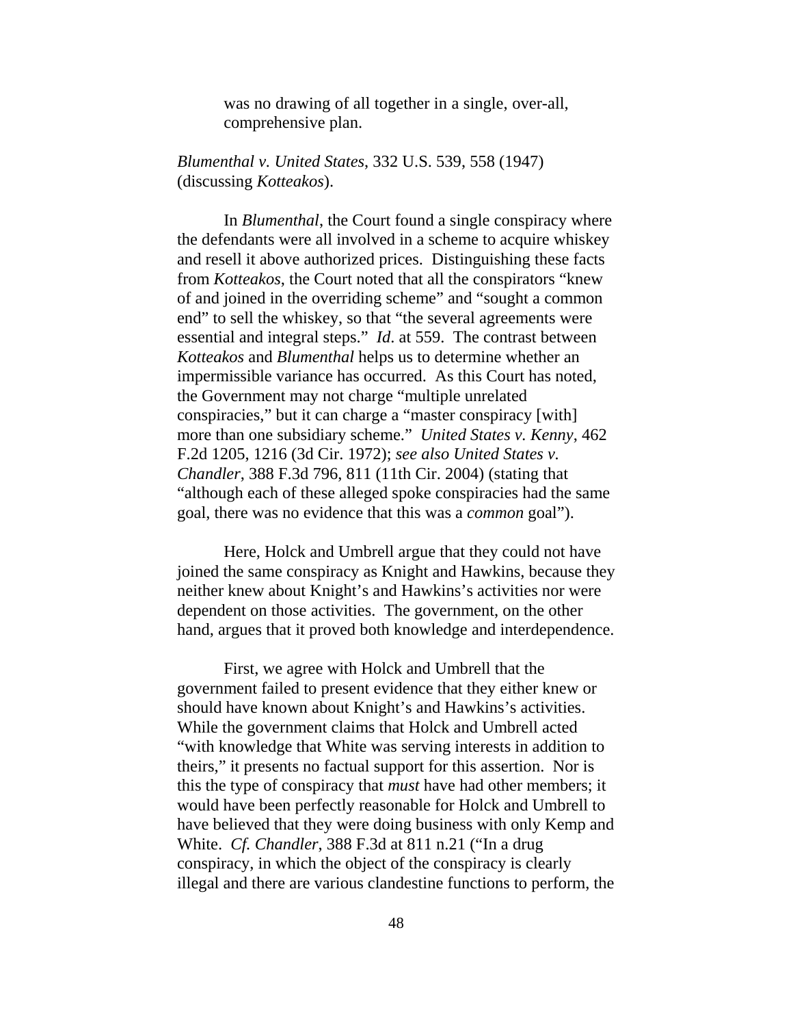was no drawing of all together in a single, over-all, comprehensive plan.

*Blumenthal v. United States*, 332 U.S. 539, 558 (1947) (discussing *Kotteakos*).

In *Blumenthal*, the Court found a single conspiracy where the defendants were all involved in a scheme to acquire whiskey and resell it above authorized prices. Distinguishing these facts from *Kotteakos*, the Court noted that all the conspirators "knew of and joined in the overriding scheme" and "sought a common end" to sell the whiskey, so that "the several agreements were essential and integral steps." *Id*. at 559. The contrast between *Kotteakos* and *Blumenthal* helps us to determine whether an impermissible variance has occurred. As this Court has noted, the Government may not charge "multiple unrelated conspiracies," but it can charge a "master conspiracy [with] more than one subsidiary scheme." *United States v. Kenny*, 462 F.2d 1205, 1216 (3d Cir. 1972); *see also United States v. Chandler*, 388 F.3d 796, 811 (11th Cir. 2004) (stating that "although each of these alleged spoke conspiracies had the same goal, there was no evidence that this was a *common* goal").

Here, Holck and Umbrell argue that they could not have joined the same conspiracy as Knight and Hawkins, because they neither knew about Knight's and Hawkins's activities nor were dependent on those activities. The government, on the other hand, argues that it proved both knowledge and interdependence.

First, we agree with Holck and Umbrell that the government failed to present evidence that they either knew or should have known about Knight's and Hawkins's activities. While the government claims that Holck and Umbrell acted "with knowledge that White was serving interests in addition to theirs," it presents no factual support for this assertion. Nor is this the type of conspiracy that *must* have had other members; it would have been perfectly reasonable for Holck and Umbrell to have believed that they were doing business with only Kemp and White. *Cf. Chandler*, 388 F.3d at 811 n.21 ("In a drug conspiracy, in which the object of the conspiracy is clearly illegal and there are various clandestine functions to perform, the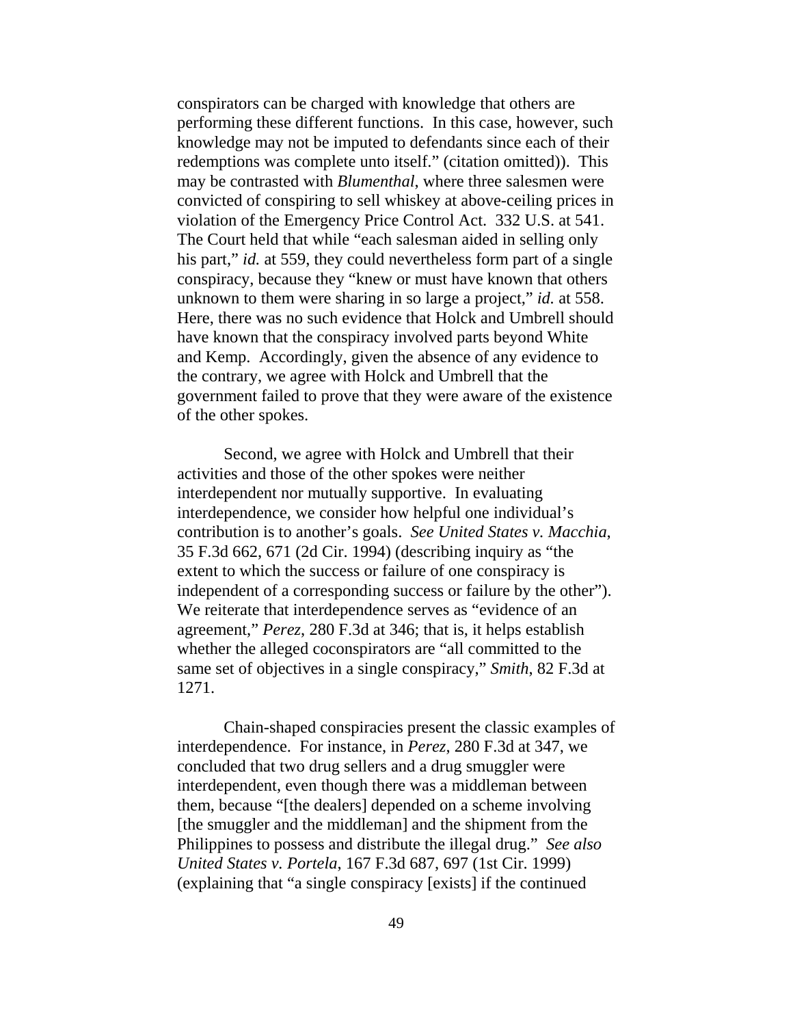conspirators can be charged with knowledge that others are performing these different functions. In this case, however, such knowledge may not be imputed to defendants since each of their redemptions was complete unto itself." (citation omitted)). This may be contrasted with *Blumenthal*, where three salesmen were convicted of conspiring to sell whiskey at above-ceiling prices in violation of the Emergency Price Control Act. 332 U.S. at 541. The Court held that while "each salesman aided in selling only his part," *id.* at 559, they could nevertheless form part of a single conspiracy, because they "knew or must have known that others unknown to them were sharing in so large a project," *id.* at 558. Here, there was no such evidence that Holck and Umbrell should have known that the conspiracy involved parts beyond White and Kemp. Accordingly, given the absence of any evidence to the contrary, we agree with Holck and Umbrell that the government failed to prove that they were aware of the existence of the other spokes.

Second, we agree with Holck and Umbrell that their activities and those of the other spokes were neither interdependent nor mutually supportive. In evaluating interdependence, we consider how helpful one individual's contribution is to another's goals. *See United States v. Macchia*, 35 F.3d 662, 671 (2d Cir. 1994) (describing inquiry as "the extent to which the success or failure of one conspiracy is independent of a corresponding success or failure by the other"). We reiterate that interdependence serves as "evidence of an agreement," *Perez*, 280 F.3d at 346; that is, it helps establish whether the alleged coconspirators are "all committed to the same set of objectives in a single conspiracy," *Smith*, 82 F.3d at 1271.

Chain-shaped conspiracies present the classic examples of interdependence. For instance, in *Perez*, 280 F.3d at 347, we concluded that two drug sellers and a drug smuggler were interdependent, even though there was a middleman between them, because "[the dealers] depended on a scheme involving [the smuggler and the middleman] and the shipment from the Philippines to possess and distribute the illegal drug." *See also United States v. Portela*, 167 F.3d 687, 697 (1st Cir. 1999) (explaining that "a single conspiracy [exists] if the continued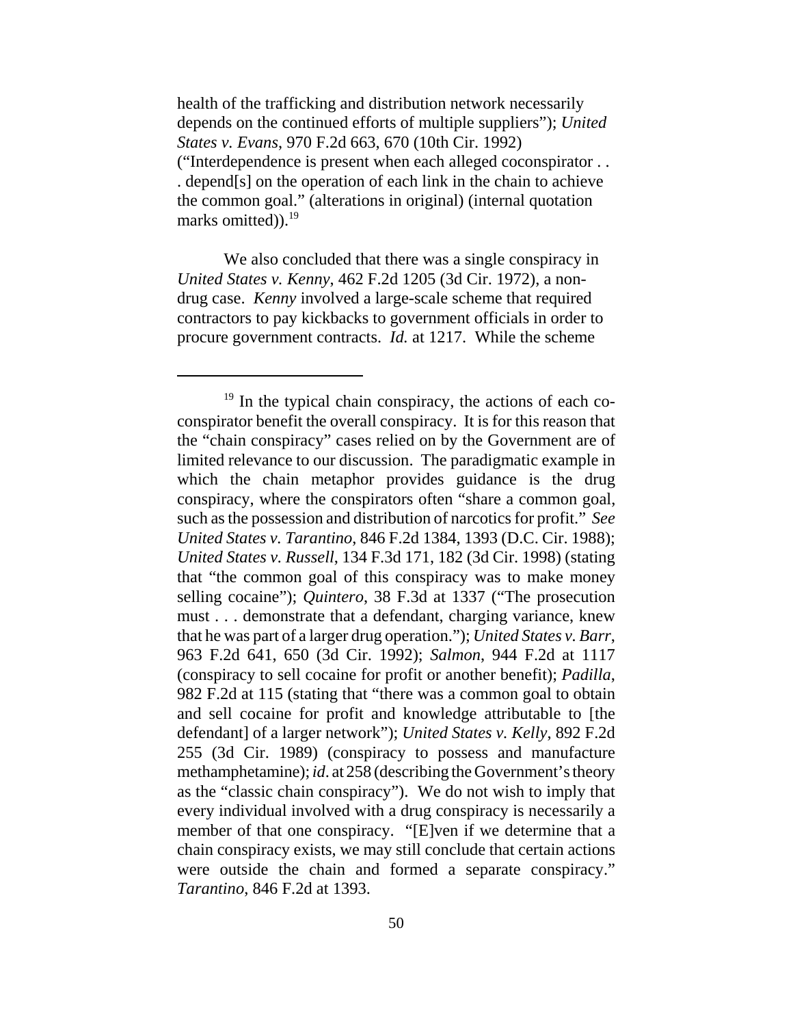health of the trafficking and distribution network necessarily depends on the continued efforts of multiple suppliers"); *United States v. Evans*, 970 F.2d 663, 670 (10th Cir. 1992) ("Interdependence is present when each alleged coconspirator . . . depend[s] on the operation of each link in the chain to achieve the common goal." (alterations in original) (internal quotation marks omitted)).<sup>19</sup>

We also concluded that there was a single conspiracy in *United States v. Kenny*, 462 F.2d 1205 (3d Cir. 1972), a nondrug case. *Kenny* involved a large-scale scheme that required contractors to pay kickbacks to government officials in order to procure government contracts. *Id.* at 1217. While the scheme

<sup>&</sup>lt;sup>19</sup> In the typical chain conspiracy, the actions of each coconspirator benefit the overall conspiracy. It is for this reason that the "chain conspiracy" cases relied on by the Government are of limited relevance to our discussion. The paradigmatic example in which the chain metaphor provides guidance is the drug conspiracy, where the conspirators often "share a common goal, such as the possession and distribution of narcotics for profit." *See United States v. Tarantino*, 846 F.2d 1384, 1393 (D.C. Cir. 1988); *United States v. Russell*, 134 F.3d 171, 182 (3d Cir. 1998) (stating that "the common goal of this conspiracy was to make money selling cocaine"); *Quintero*, 38 F.3d at 1337 ("The prosecution must . . . demonstrate that a defendant, charging variance, knew that he was part of a larger drug operation."); *United States v. Barr*, 963 F.2d 641, 650 (3d Cir. 1992); *Salmon*, 944 F.2d at 1117 (conspiracy to sell cocaine for profit or another benefit); *Padilla*, 982 F.2d at 115 (stating that "there was a common goal to obtain and sell cocaine for profit and knowledge attributable to [the defendant] of a larger network"); *United States v. Kelly*, 892 F.2d 255 (3d Cir. 1989) (conspiracy to possess and manufacture methamphetamine); *id*. at 258 (describing the Government's theory as the "classic chain conspiracy"). We do not wish to imply that every individual involved with a drug conspiracy is necessarily a member of that one conspiracy. "[E]ven if we determine that a chain conspiracy exists, we may still conclude that certain actions were outside the chain and formed a separate conspiracy." *Tarantino*, 846 F.2d at 1393.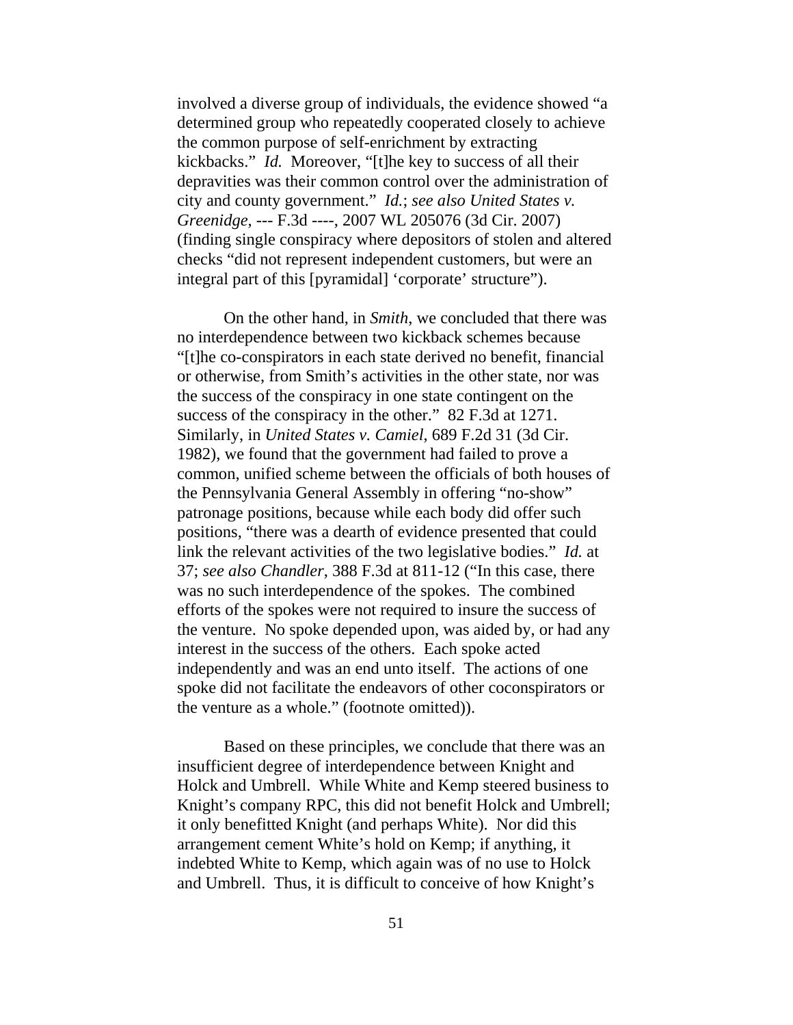involved a diverse group of individuals, the evidence showed "a determined group who repeatedly cooperated closely to achieve the common purpose of self-enrichment by extracting kickbacks." *Id.* Moreover, "[t]he key to success of all their depravities was their common control over the administration of city and county government." *Id.*; *see also United States v. Greenidge*, --- F.3d ----, 2007 WL 205076 (3d Cir. 2007) (finding single conspiracy where depositors of stolen and altered checks "did not represent independent customers, but were an integral part of this [pyramidal] 'corporate' structure").

On the other hand, in *Smith*, we concluded that there was no interdependence between two kickback schemes because "[t]he co-conspirators in each state derived no benefit, financial or otherwise, from Smith's activities in the other state, nor was the success of the conspiracy in one state contingent on the success of the conspiracy in the other." 82 F.3d at 1271. Similarly, in *United States v. Camiel*, 689 F.2d 31 (3d Cir. 1982), we found that the government had failed to prove a common, unified scheme between the officials of both houses of the Pennsylvania General Assembly in offering "no-show" patronage positions, because while each body did offer such positions, "there was a dearth of evidence presented that could link the relevant activities of the two legislative bodies." *Id.* at 37; *see also Chandler*, 388 F.3d at 811-12 ("In this case, there was no such interdependence of the spokes. The combined efforts of the spokes were not required to insure the success of the venture. No spoke depended upon, was aided by, or had any interest in the success of the others. Each spoke acted independently and was an end unto itself. The actions of one spoke did not facilitate the endeavors of other coconspirators or the venture as a whole." (footnote omitted)).

Based on these principles, we conclude that there was an insufficient degree of interdependence between Knight and Holck and Umbrell. While White and Kemp steered business to Knight's company RPC, this did not benefit Holck and Umbrell; it only benefitted Knight (and perhaps White). Nor did this arrangement cement White's hold on Kemp; if anything, it indebted White to Kemp, which again was of no use to Holck and Umbrell. Thus, it is difficult to conceive of how Knight's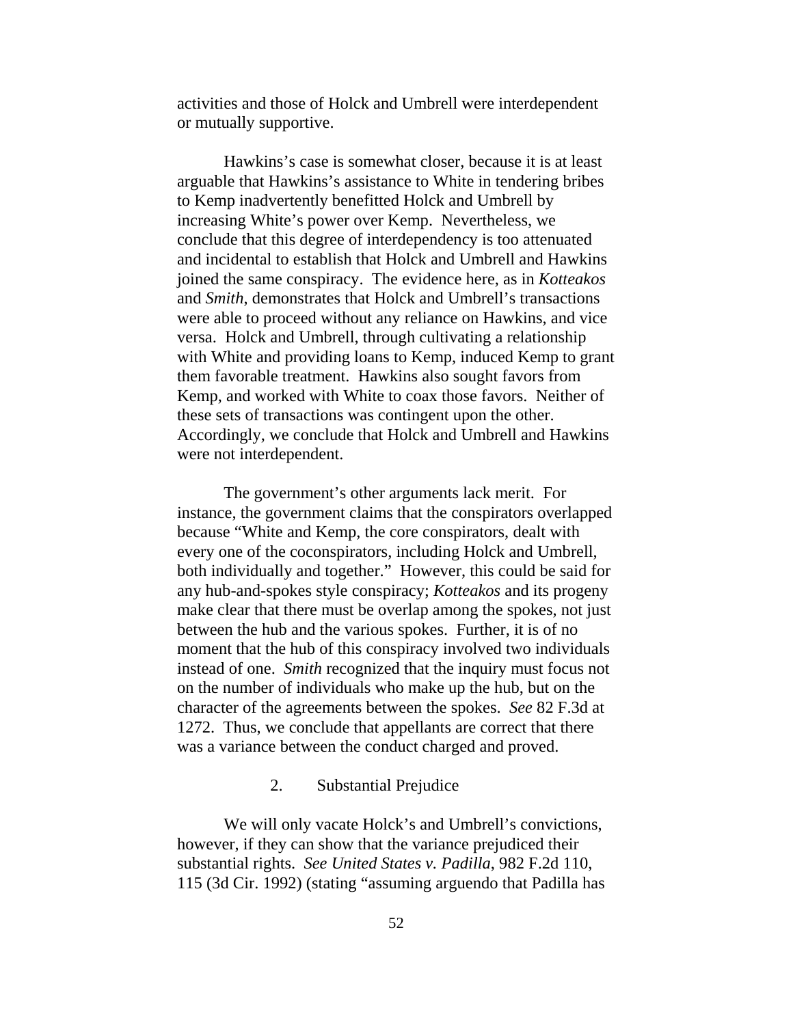activities and those of Holck and Umbrell were interdependent or mutually supportive.

Hawkins's case is somewhat closer, because it is at least arguable that Hawkins's assistance to White in tendering bribes to Kemp inadvertently benefitted Holck and Umbrell by increasing White's power over Kemp. Nevertheless, we conclude that this degree of interdependency is too attenuated and incidental to establish that Holck and Umbrell and Hawkins joined the same conspiracy. The evidence here, as in *Kotteakos* and *Smith*, demonstrates that Holck and Umbrell's transactions were able to proceed without any reliance on Hawkins, and vice versa. Holck and Umbrell, through cultivating a relationship with White and providing loans to Kemp, induced Kemp to grant them favorable treatment. Hawkins also sought favors from Kemp, and worked with White to coax those favors. Neither of these sets of transactions was contingent upon the other. Accordingly, we conclude that Holck and Umbrell and Hawkins were not interdependent.

The government's other arguments lack merit. For instance, the government claims that the conspirators overlapped because "White and Kemp, the core conspirators, dealt with every one of the coconspirators, including Holck and Umbrell, both individually and together." However, this could be said for any hub-and-spokes style conspiracy; *Kotteakos* and its progeny make clear that there must be overlap among the spokes, not just between the hub and the various spokes. Further, it is of no moment that the hub of this conspiracy involved two individuals instead of one. *Smith* recognized that the inquiry must focus not on the number of individuals who make up the hub, but on the character of the agreements between the spokes. *See* 82 F.3d at 1272. Thus, we conclude that appellants are correct that there was a variance between the conduct charged and proved.

# 2. Substantial Prejudice

We will only vacate Holck's and Umbrell's convictions, however, if they can show that the variance prejudiced their substantial rights. *See United States v. Padilla*, 982 F.2d 110, 115 (3d Cir. 1992) (stating "assuming arguendo that Padilla has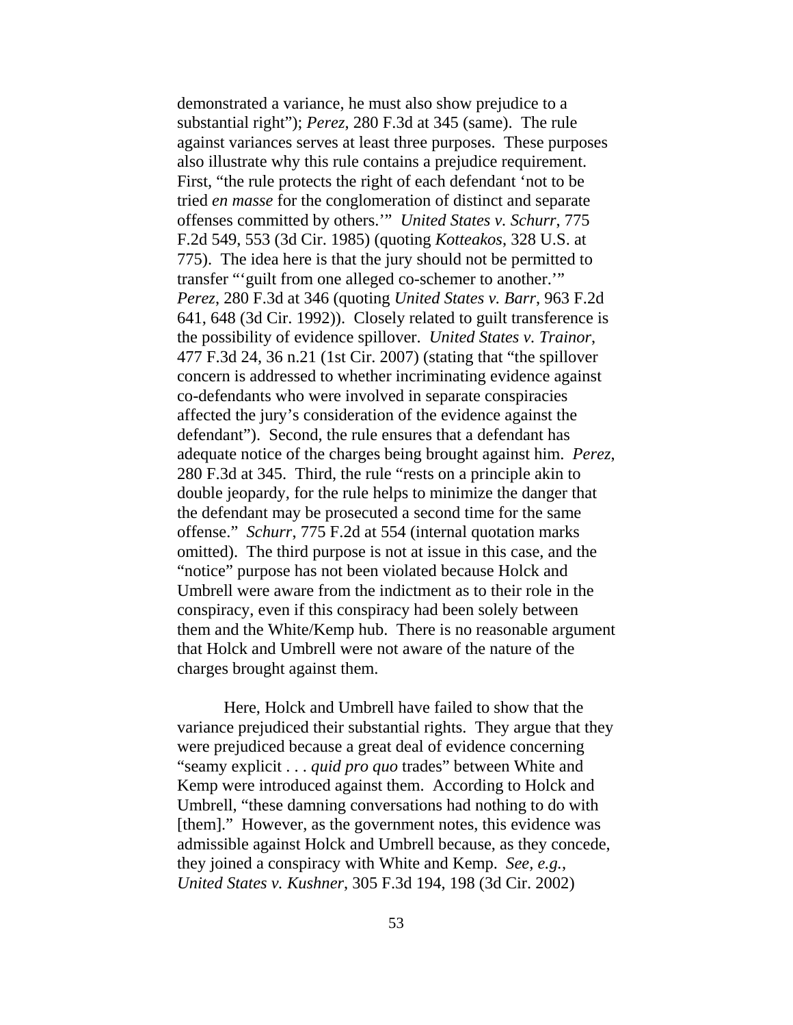demonstrated a variance, he must also show prejudice to a substantial right"); *Perez*, 280 F.3d at 345 (same). The rule against variances serves at least three purposes. These purposes also illustrate why this rule contains a prejudice requirement. First, "the rule protects the right of each defendant 'not to be tried *en masse* for the conglomeration of distinct and separate offenses committed by others.'" *United States v. Schurr*, 775 F.2d 549, 553 (3d Cir. 1985) (quoting *Kotteakos*, 328 U.S. at 775). The idea here is that the jury should not be permitted to transfer "'guilt from one alleged co-schemer to another.'" *Perez*, 280 F.3d at 346 (quoting *United States v. Barr*, 963 F.2d 641, 648 (3d Cir. 1992)). Closely related to guilt transference is the possibility of evidence spillover. *United States v. Trainor*, 477 F.3d 24, 36 n.21 (1st Cir. 2007) (stating that "the spillover concern is addressed to whether incriminating evidence against co-defendants who were involved in separate conspiracies affected the jury's consideration of the evidence against the defendant"). Second, the rule ensures that a defendant has adequate notice of the charges being brought against him. *Perez*, 280 F.3d at 345. Third, the rule "rests on a principle akin to double jeopardy, for the rule helps to minimize the danger that the defendant may be prosecuted a second time for the same offense." *Schurr*, 775 F.2d at 554 (internal quotation marks omitted). The third purpose is not at issue in this case, and the "notice" purpose has not been violated because Holck and Umbrell were aware from the indictment as to their role in the conspiracy, even if this conspiracy had been solely between them and the White/Kemp hub. There is no reasonable argument that Holck and Umbrell were not aware of the nature of the charges brought against them.

Here, Holck and Umbrell have failed to show that the variance prejudiced their substantial rights. They argue that they were prejudiced because a great deal of evidence concerning "seamy explicit . . . *quid pro quo* trades" between White and Kemp were introduced against them. According to Holck and Umbrell, "these damning conversations had nothing to do with [them]." However, as the government notes, this evidence was admissible against Holck and Umbrell because, as they concede, they joined a conspiracy with White and Kemp. *See, e.g.*, *United States v. Kushner*, 305 F.3d 194, 198 (3d Cir. 2002)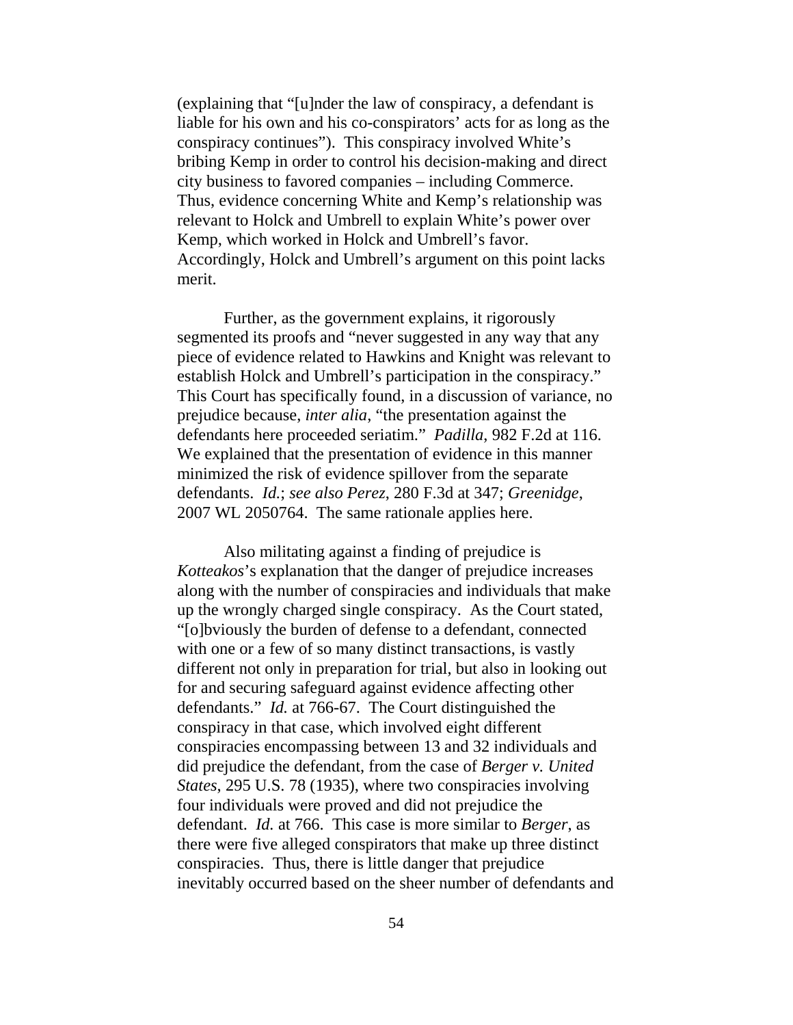(explaining that "[u]nder the law of conspiracy, a defendant is liable for his own and his co-conspirators' acts for as long as the conspiracy continues"). This conspiracy involved White's bribing Kemp in order to control his decision-making and direct city business to favored companies – including Commerce. Thus, evidence concerning White and Kemp's relationship was relevant to Holck and Umbrell to explain White's power over Kemp, which worked in Holck and Umbrell's favor. Accordingly, Holck and Umbrell's argument on this point lacks merit.

Further, as the government explains, it rigorously segmented its proofs and "never suggested in any way that any piece of evidence related to Hawkins and Knight was relevant to establish Holck and Umbrell's participation in the conspiracy." This Court has specifically found, in a discussion of variance, no prejudice because, *inter alia*, "the presentation against the defendants here proceeded seriatim." *Padilla*, 982 F.2d at 116. We explained that the presentation of evidence in this manner minimized the risk of evidence spillover from the separate defendants. *Id.*; *see also Perez*, 280 F.3d at 347; *Greenidge*, 2007 WL 2050764. The same rationale applies here.

Also militating against a finding of prejudice is *Kotteakos*'s explanation that the danger of prejudice increases along with the number of conspiracies and individuals that make up the wrongly charged single conspiracy. As the Court stated, "[o]bviously the burden of defense to a defendant, connected with one or a few of so many distinct transactions, is vastly different not only in preparation for trial, but also in looking out for and securing safeguard against evidence affecting other defendants." *Id.* at 766-67. The Court distinguished the conspiracy in that case, which involved eight different conspiracies encompassing between 13 and 32 individuals and did prejudice the defendant, from the case of *Berger v. United States*, 295 U.S. 78 (1935), where two conspiracies involving four individuals were proved and did not prejudice the defendant. *Id.* at 766. This case is more similar to *Berger*, as there were five alleged conspirators that make up three distinct conspiracies. Thus, there is little danger that prejudice inevitably occurred based on the sheer number of defendants and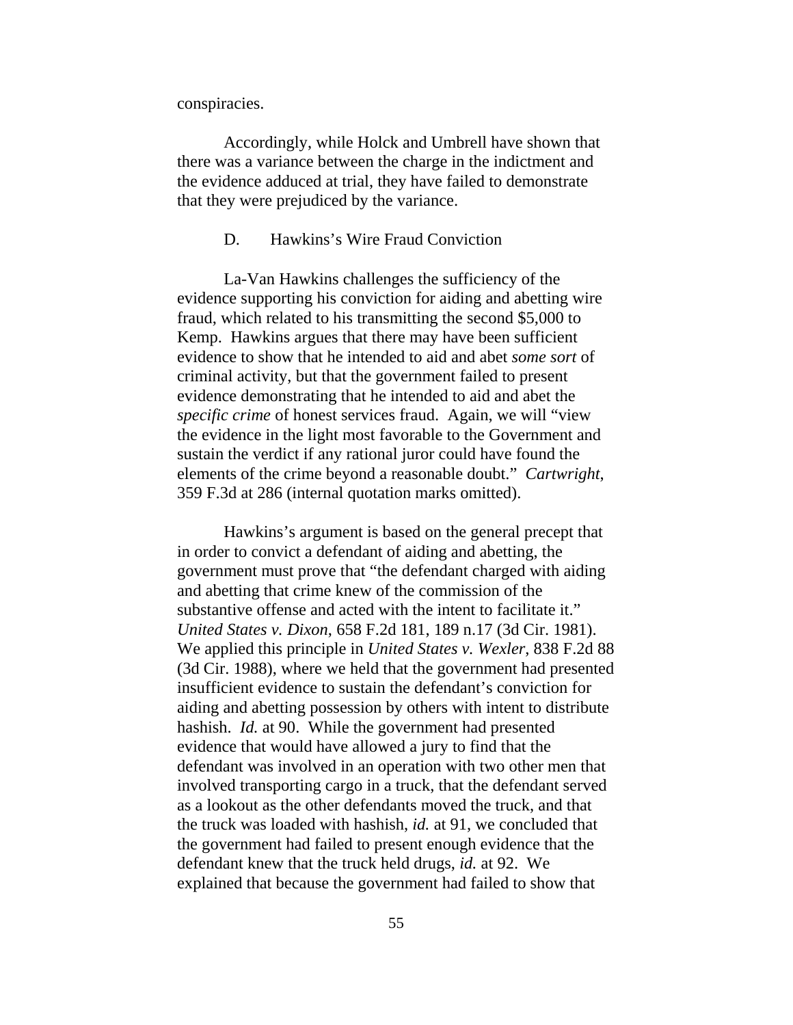conspiracies.

Accordingly, while Holck and Umbrell have shown that there was a variance between the charge in the indictment and the evidence adduced at trial, they have failed to demonstrate that they were prejudiced by the variance.

#### D. Hawkins's Wire Fraud Conviction

La-Van Hawkins challenges the sufficiency of the evidence supporting his conviction for aiding and abetting wire fraud, which related to his transmitting the second \$5,000 to Kemp. Hawkins argues that there may have been sufficient evidence to show that he intended to aid and abet *some sort* of criminal activity, but that the government failed to present evidence demonstrating that he intended to aid and abet the *specific crime* of honest services fraud. Again, we will "view the evidence in the light most favorable to the Government and sustain the verdict if any rational juror could have found the elements of the crime beyond a reasonable doubt." *Cartwright*, 359 F.3d at 286 (internal quotation marks omitted).

Hawkins's argument is based on the general precept that in order to convict a defendant of aiding and abetting, the government must prove that "the defendant charged with aiding and abetting that crime knew of the commission of the substantive offense and acted with the intent to facilitate it." *United States v. Dixon*, 658 F.2d 181, 189 n.17 (3d Cir. 1981). We applied this principle in *United States v. Wexler*, 838 F.2d 88 (3d Cir. 1988), where we held that the government had presented insufficient evidence to sustain the defendant's conviction for aiding and abetting possession by others with intent to distribute hashish. *Id.* at 90. While the government had presented evidence that would have allowed a jury to find that the defendant was involved in an operation with two other men that involved transporting cargo in a truck, that the defendant served as a lookout as the other defendants moved the truck, and that the truck was loaded with hashish, *id.* at 91, we concluded that the government had failed to present enough evidence that the defendant knew that the truck held drugs, *id.* at 92. We explained that because the government had failed to show that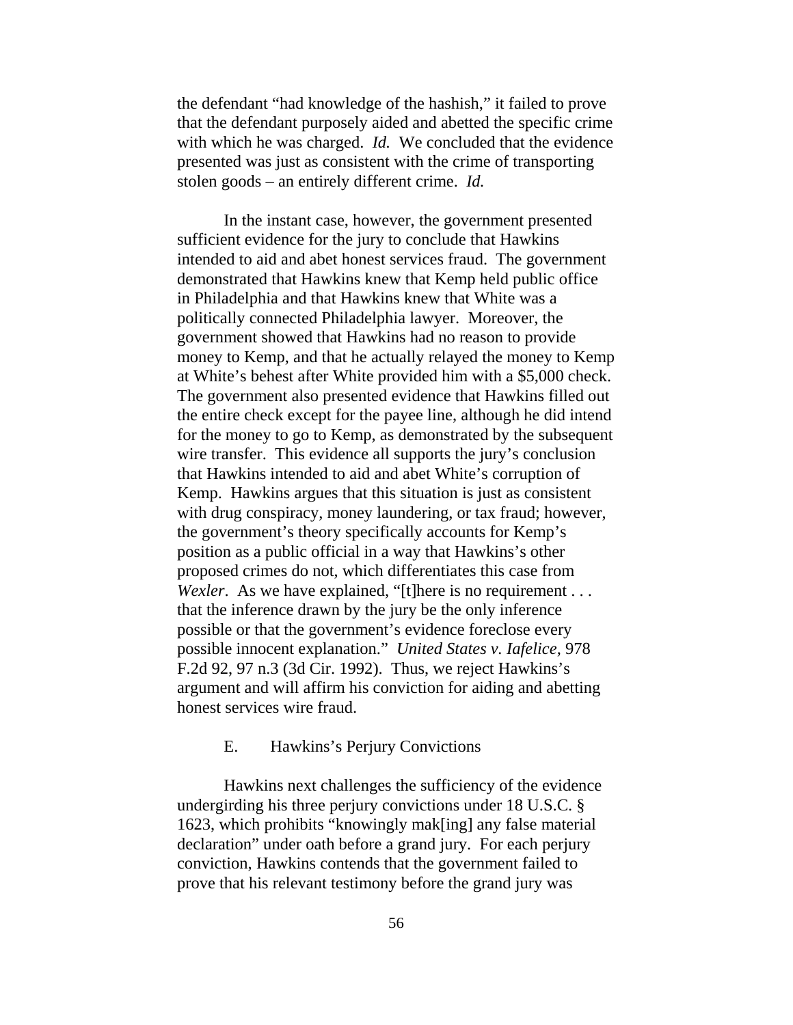the defendant "had knowledge of the hashish," it failed to prove that the defendant purposely aided and abetted the specific crime with which he was charged. *Id.* We concluded that the evidence presented was just as consistent with the crime of transporting stolen goods – an entirely different crime. *Id.*

In the instant case, however, the government presented sufficient evidence for the jury to conclude that Hawkins intended to aid and abet honest services fraud. The government demonstrated that Hawkins knew that Kemp held public office in Philadelphia and that Hawkins knew that White was a politically connected Philadelphia lawyer. Moreover, the government showed that Hawkins had no reason to provide money to Kemp, and that he actually relayed the money to Kemp at White's behest after White provided him with a \$5,000 check. The government also presented evidence that Hawkins filled out the entire check except for the payee line, although he did intend for the money to go to Kemp, as demonstrated by the subsequent wire transfer. This evidence all supports the jury's conclusion that Hawkins intended to aid and abet White's corruption of Kemp. Hawkins argues that this situation is just as consistent with drug conspiracy, money laundering, or tax fraud; however, the government's theory specifically accounts for Kemp's position as a public official in a way that Hawkins's other proposed crimes do not, which differentiates this case from *Wexler.* As we have explained, "[t]here is no requirement . . . that the inference drawn by the jury be the only inference possible or that the government's evidence foreclose every possible innocent explanation." *United States v. Iafelice*, 978 F.2d 92, 97 n.3 (3d Cir. 1992). Thus, we reject Hawkins's argument and will affirm his conviction for aiding and abetting honest services wire fraud.

## E. Hawkins's Perjury Convictions

Hawkins next challenges the sufficiency of the evidence undergirding his three perjury convictions under 18 U.S.C. § 1623, which prohibits "knowingly mak[ing] any false material declaration" under oath before a grand jury. For each perjury conviction, Hawkins contends that the government failed to prove that his relevant testimony before the grand jury was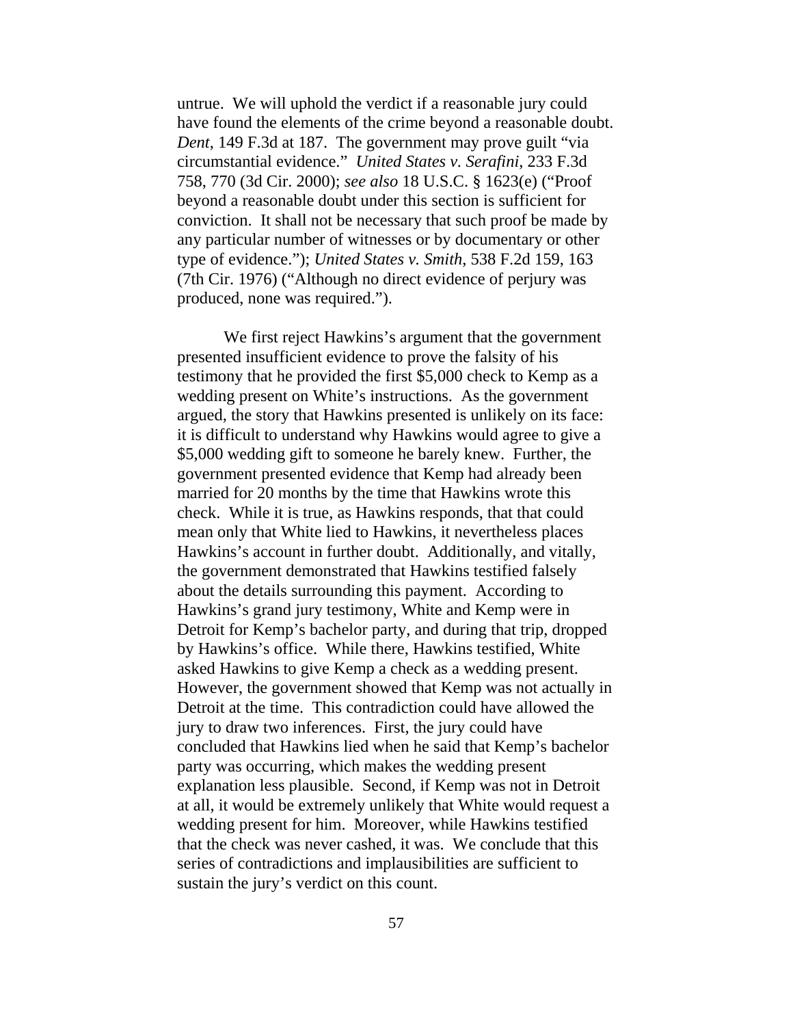untrue. We will uphold the verdict if a reasonable jury could have found the elements of the crime beyond a reasonable doubt. *Dent*, 149 F.3d at 187. The government may prove guilt "via circumstantial evidence." *United States v. Serafini*, 233 F.3d 758, 770 (3d Cir. 2000); *see also* 18 U.S.C. § 1623(e) ("Proof beyond a reasonable doubt under this section is sufficient for conviction. It shall not be necessary that such proof be made by any particular number of witnesses or by documentary or other type of evidence."); *United States v. Smith*, 538 F.2d 159, 163 (7th Cir. 1976) ("Although no direct evidence of perjury was produced, none was required.").

We first reject Hawkins's argument that the government presented insufficient evidence to prove the falsity of his testimony that he provided the first \$5,000 check to Kemp as a wedding present on White's instructions. As the government argued, the story that Hawkins presented is unlikely on its face: it is difficult to understand why Hawkins would agree to give a \$5,000 wedding gift to someone he barely knew. Further, the government presented evidence that Kemp had already been married for 20 months by the time that Hawkins wrote this check. While it is true, as Hawkins responds, that that could mean only that White lied to Hawkins, it nevertheless places Hawkins's account in further doubt. Additionally, and vitally, the government demonstrated that Hawkins testified falsely about the details surrounding this payment. According to Hawkins's grand jury testimony, White and Kemp were in Detroit for Kemp's bachelor party, and during that trip, dropped by Hawkins's office. While there, Hawkins testified, White asked Hawkins to give Kemp a check as a wedding present. However, the government showed that Kemp was not actually in Detroit at the time. This contradiction could have allowed the jury to draw two inferences. First, the jury could have concluded that Hawkins lied when he said that Kemp's bachelor party was occurring, which makes the wedding present explanation less plausible. Second, if Kemp was not in Detroit at all, it would be extremely unlikely that White would request a wedding present for him. Moreover, while Hawkins testified that the check was never cashed, it was. We conclude that this series of contradictions and implausibilities are sufficient to sustain the jury's verdict on this count.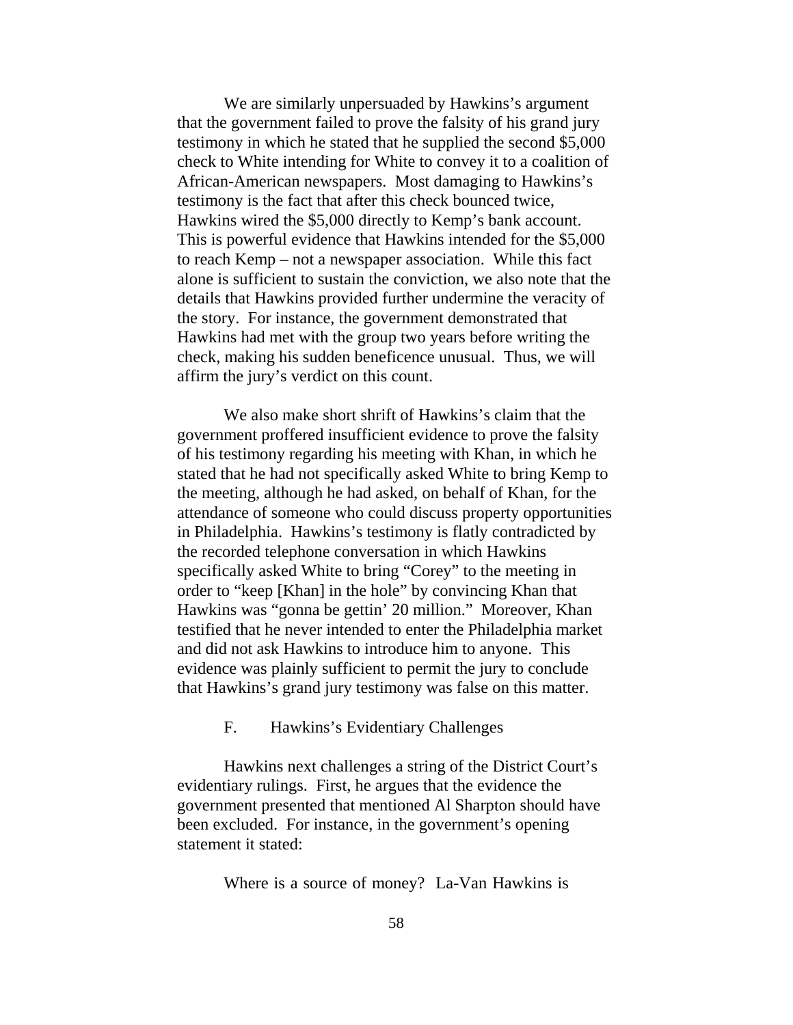We are similarly unpersuaded by Hawkins's argument that the government failed to prove the falsity of his grand jury testimony in which he stated that he supplied the second \$5,000 check to White intending for White to convey it to a coalition of African-American newspapers. Most damaging to Hawkins's testimony is the fact that after this check bounced twice, Hawkins wired the \$5,000 directly to Kemp's bank account. This is powerful evidence that Hawkins intended for the \$5,000 to reach Kemp – not a newspaper association. While this fact alone is sufficient to sustain the conviction, we also note that the details that Hawkins provided further undermine the veracity of the story. For instance, the government demonstrated that Hawkins had met with the group two years before writing the check, making his sudden beneficence unusual. Thus, we will affirm the jury's verdict on this count.

We also make short shrift of Hawkins's claim that the government proffered insufficient evidence to prove the falsity of his testimony regarding his meeting with Khan, in which he stated that he had not specifically asked White to bring Kemp to the meeting, although he had asked, on behalf of Khan, for the attendance of someone who could discuss property opportunities in Philadelphia. Hawkins's testimony is flatly contradicted by the recorded telephone conversation in which Hawkins specifically asked White to bring "Corey" to the meeting in order to "keep [Khan] in the hole" by convincing Khan that Hawkins was "gonna be gettin' 20 million." Moreover, Khan testified that he never intended to enter the Philadelphia market and did not ask Hawkins to introduce him to anyone. This evidence was plainly sufficient to permit the jury to conclude that Hawkins's grand jury testimony was false on this matter.

F. Hawkins's Evidentiary Challenges

Hawkins next challenges a string of the District Court's evidentiary rulings. First, he argues that the evidence the government presented that mentioned Al Sharpton should have been excluded. For instance, in the government's opening statement it stated:

Where is a source of money? La-Van Hawkins is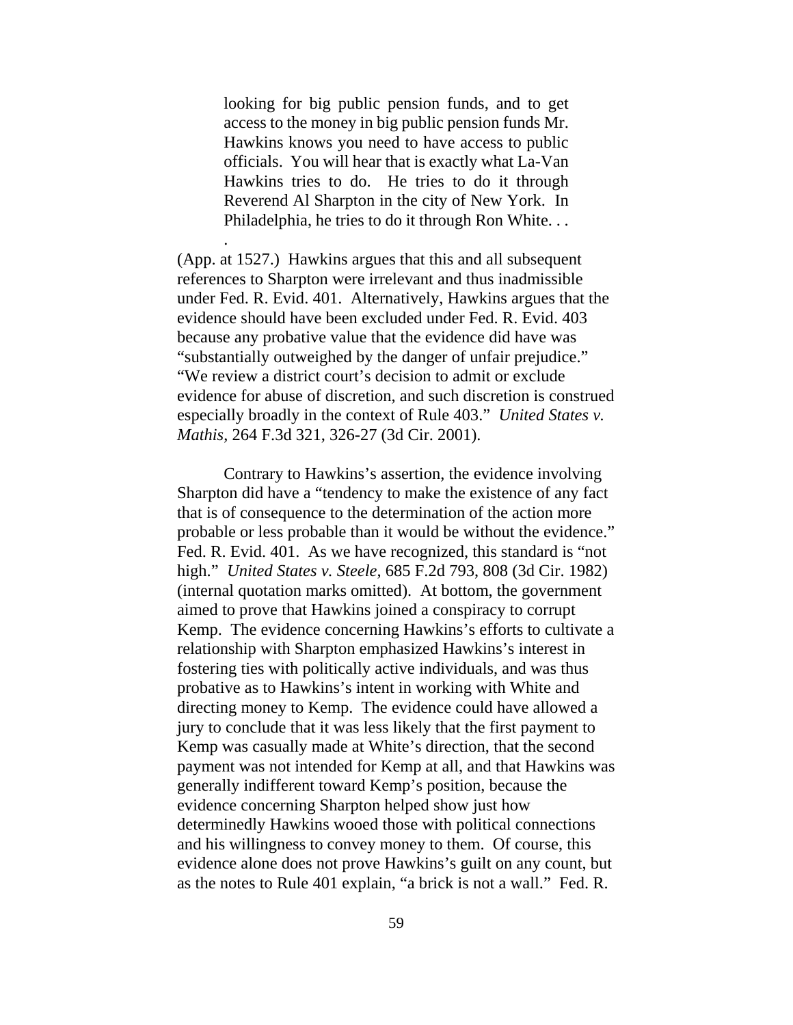looking for big public pension funds, and to get access to the money in big public pension funds Mr. Hawkins knows you need to have access to public officials. You will hear that is exactly what La-Van Hawkins tries to do. He tries to do it through Reverend Al Sharpton in the city of New York. In Philadelphia, he tries to do it through Ron White. . .

.

(App. at 1527.) Hawkins argues that this and all subsequent references to Sharpton were irrelevant and thus inadmissible under Fed. R. Evid. 401. Alternatively, Hawkins argues that the evidence should have been excluded under Fed. R. Evid. 403 because any probative value that the evidence did have was "substantially outweighed by the danger of unfair prejudice." "We review a district court's decision to admit or exclude evidence for abuse of discretion, and such discretion is construed especially broadly in the context of Rule 403." *United States v. Mathis*, 264 F.3d 321, 326-27 (3d Cir. 2001).

Contrary to Hawkins's assertion, the evidence involving Sharpton did have a "tendency to make the existence of any fact that is of consequence to the determination of the action more probable or less probable than it would be without the evidence." Fed. R. Evid. 401. As we have recognized, this standard is "not high." *United States v. Steele*, 685 F.2d 793, 808 (3d Cir. 1982) (internal quotation marks omitted). At bottom, the government aimed to prove that Hawkins joined a conspiracy to corrupt Kemp. The evidence concerning Hawkins's efforts to cultivate a relationship with Sharpton emphasized Hawkins's interest in fostering ties with politically active individuals, and was thus probative as to Hawkins's intent in working with White and directing money to Kemp. The evidence could have allowed a jury to conclude that it was less likely that the first payment to Kemp was casually made at White's direction, that the second payment was not intended for Kemp at all, and that Hawkins was generally indifferent toward Kemp's position, because the evidence concerning Sharpton helped show just how determinedly Hawkins wooed those with political connections and his willingness to convey money to them. Of course, this evidence alone does not prove Hawkins's guilt on any count, but as the notes to Rule 401 explain, "a brick is not a wall." Fed. R.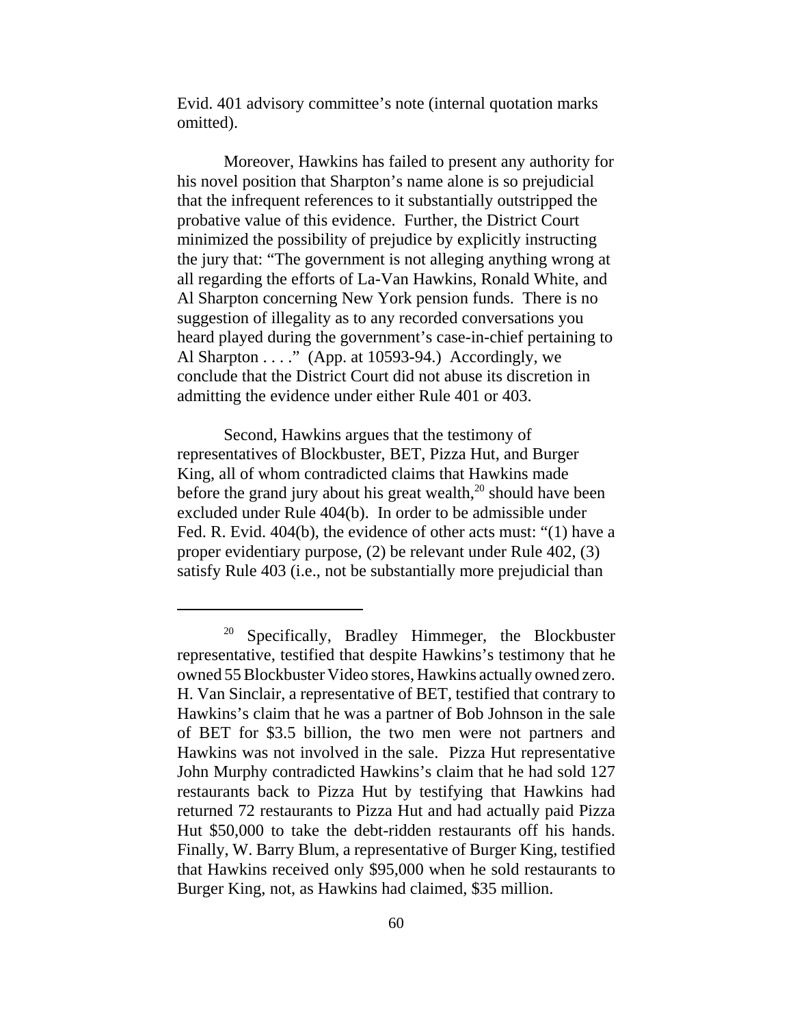Evid. 401 advisory committee's note (internal quotation marks omitted).

Moreover, Hawkins has failed to present any authority for his novel position that Sharpton's name alone is so prejudicial that the infrequent references to it substantially outstripped the probative value of this evidence. Further, the District Court minimized the possibility of prejudice by explicitly instructing the jury that: "The government is not alleging anything wrong at all regarding the efforts of La-Van Hawkins, Ronald White, and Al Sharpton concerning New York pension funds. There is no suggestion of illegality as to any recorded conversations you heard played during the government's case-in-chief pertaining to Al Sharpton  $\dots$ ." (App. at 10593-94.) Accordingly, we conclude that the District Court did not abuse its discretion in admitting the evidence under either Rule 401 or 403.

Second, Hawkins argues that the testimony of representatives of Blockbuster, BET, Pizza Hut, and Burger King, all of whom contradicted claims that Hawkins made before the grand jury about his great wealth, $^{20}$  should have been excluded under Rule 404(b). In order to be admissible under Fed. R. Evid. 404(b), the evidence of other acts must: "(1) have a proper evidentiary purpose, (2) be relevant under Rule 402, (3) satisfy Rule 403 (i.e., not be substantially more prejudicial than

 $20$  Specifically, Bradley Himmeger, the Blockbuster representative, testified that despite Hawkins's testimony that he owned 55 Blockbuster Video stores, Hawkins actually owned zero. H. Van Sinclair, a representative of BET, testified that contrary to Hawkins's claim that he was a partner of Bob Johnson in the sale of BET for \$3.5 billion, the two men were not partners and Hawkins was not involved in the sale. Pizza Hut representative John Murphy contradicted Hawkins's claim that he had sold 127 restaurants back to Pizza Hut by testifying that Hawkins had returned 72 restaurants to Pizza Hut and had actually paid Pizza Hut \$50,000 to take the debt-ridden restaurants off his hands. Finally, W. Barry Blum, a representative of Burger King, testified that Hawkins received only \$95,000 when he sold restaurants to Burger King, not, as Hawkins had claimed, \$35 million.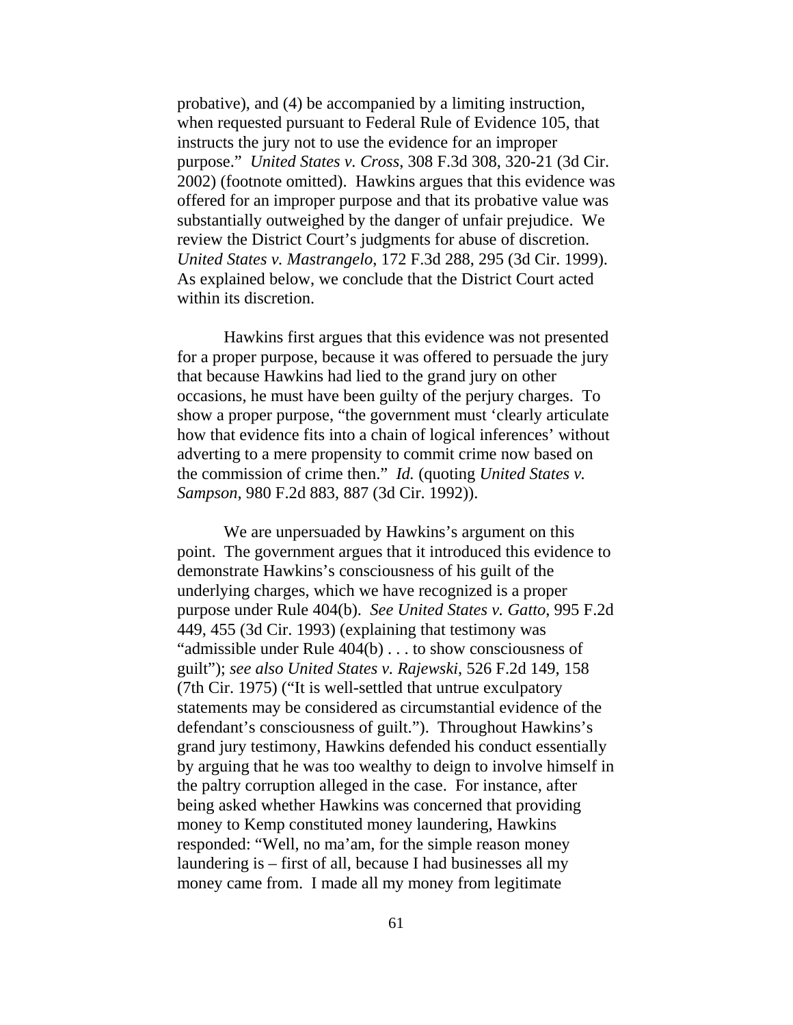probative), and (4) be accompanied by a limiting instruction, when requested pursuant to Federal Rule of Evidence 105, that instructs the jury not to use the evidence for an improper purpose." *United States v. Cross*, 308 F.3d 308, 320-21 (3d Cir. 2002) (footnote omitted). Hawkins argues that this evidence was offered for an improper purpose and that its probative value was substantially outweighed by the danger of unfair prejudice. We review the District Court's judgments for abuse of discretion. *United States v. Mastrangelo*, 172 F.3d 288, 295 (3d Cir. 1999). As explained below, we conclude that the District Court acted within its discretion.

Hawkins first argues that this evidence was not presented for a proper purpose, because it was offered to persuade the jury that because Hawkins had lied to the grand jury on other occasions, he must have been guilty of the perjury charges. To show a proper purpose, "the government must 'clearly articulate how that evidence fits into a chain of logical inferences' without adverting to a mere propensity to commit crime now based on the commission of crime then." *Id.* (quoting *United States v. Sampson*, 980 F.2d 883, 887 (3d Cir. 1992)).

We are unpersuaded by Hawkins's argument on this point. The government argues that it introduced this evidence to demonstrate Hawkins's consciousness of his guilt of the underlying charges, which we have recognized is a proper purpose under Rule 404(b). *See United States v. Gatto*, 995 F.2d 449, 455 (3d Cir. 1993) (explaining that testimony was "admissible under Rule 404(b) . . . to show consciousness of guilt"); *see also United States v. Rajewski*, 526 F.2d 149, 158 (7th Cir. 1975) ("It is well-settled that untrue exculpatory statements may be considered as circumstantial evidence of the defendant's consciousness of guilt."). Throughout Hawkins's grand jury testimony, Hawkins defended his conduct essentially by arguing that he was too wealthy to deign to involve himself in the paltry corruption alleged in the case. For instance, after being asked whether Hawkins was concerned that providing money to Kemp constituted money laundering, Hawkins responded: "Well, no ma'am, for the simple reason money laundering is – first of all, because I had businesses all my money came from. I made all my money from legitimate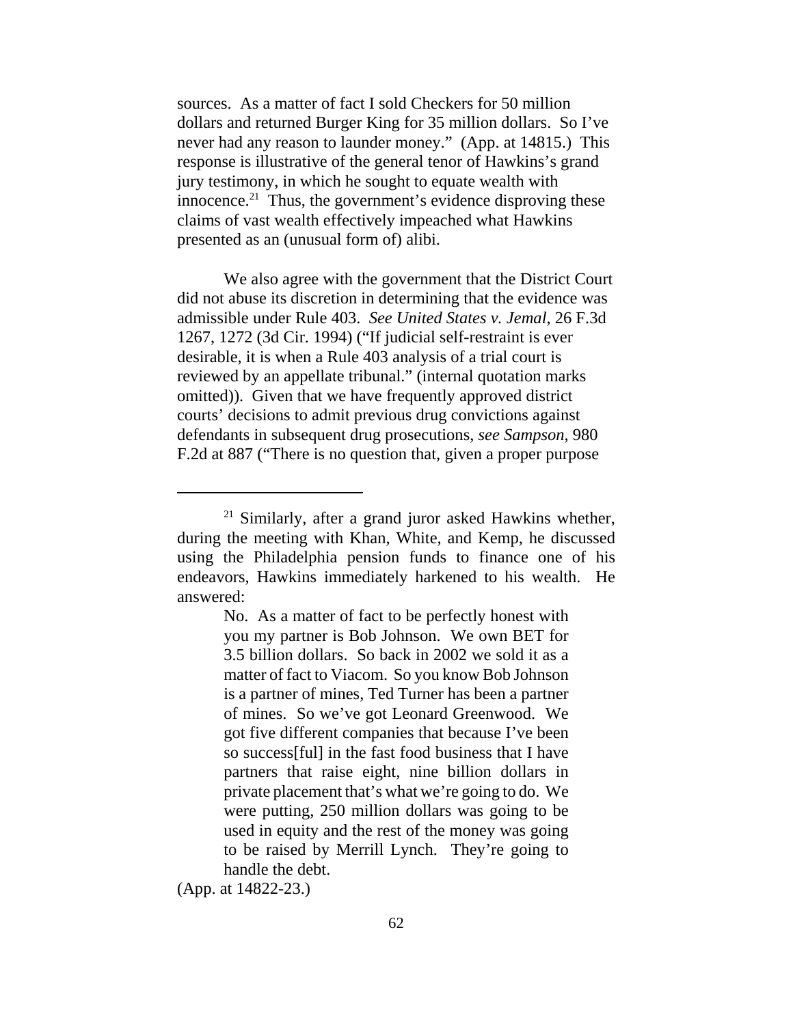sources. As a matter of fact I sold Checkers for 50 million dollars and returned Burger King for 35 million dollars. So I've never had any reason to launder money." (App. at 14815.) This response is illustrative of the general tenor of Hawkins's grand jury testimony, in which he sought to equate wealth with innocence. $^{21}$  Thus, the government's evidence disproving these claims of vast wealth effectively impeached what Hawkins presented as an (unusual form of) alibi.

We also agree with the government that the District Court did not abuse its discretion in determining that the evidence was admissible under Rule 403. *See United States v. Jemal*, 26 F.3d 1267, 1272 (3d Cir. 1994) ("If judicial self-restraint is ever desirable, it is when a Rule 403 analysis of a trial court is reviewed by an appellate tribunal." (internal quotation marks omitted)). Given that we have frequently approved district courts' decisions to admit previous drug convictions against defendants in subsequent drug prosecutions, *see Sampson*, 980 F.2d at 887 ("There is no question that, given a proper purpose

(App. at 14822-23.)

 $21$  Similarly, after a grand juror asked Hawkins whether, during the meeting with Khan, White, and Kemp, he discussed using the Philadelphia pension funds to finance one of his endeavors, Hawkins immediately harkened to his wealth. He answered:

No. As a matter of fact to be perfectly honest with you my partner is Bob Johnson. We own BET for 3.5 billion dollars. So back in 2002 we sold it as a matter of fact to Viacom. So you know Bob Johnson is a partner of mines, Ted Turner has been a partner of mines. So we've got Leonard Greenwood. We got five different companies that because I've been so success[ful] in the fast food business that I have partners that raise eight, nine billion dollars in private placement that's what we're going to do. We were putting, 250 million dollars was going to be used in equity and the rest of the money was going to be raised by Merrill Lynch. They're going to handle the debt.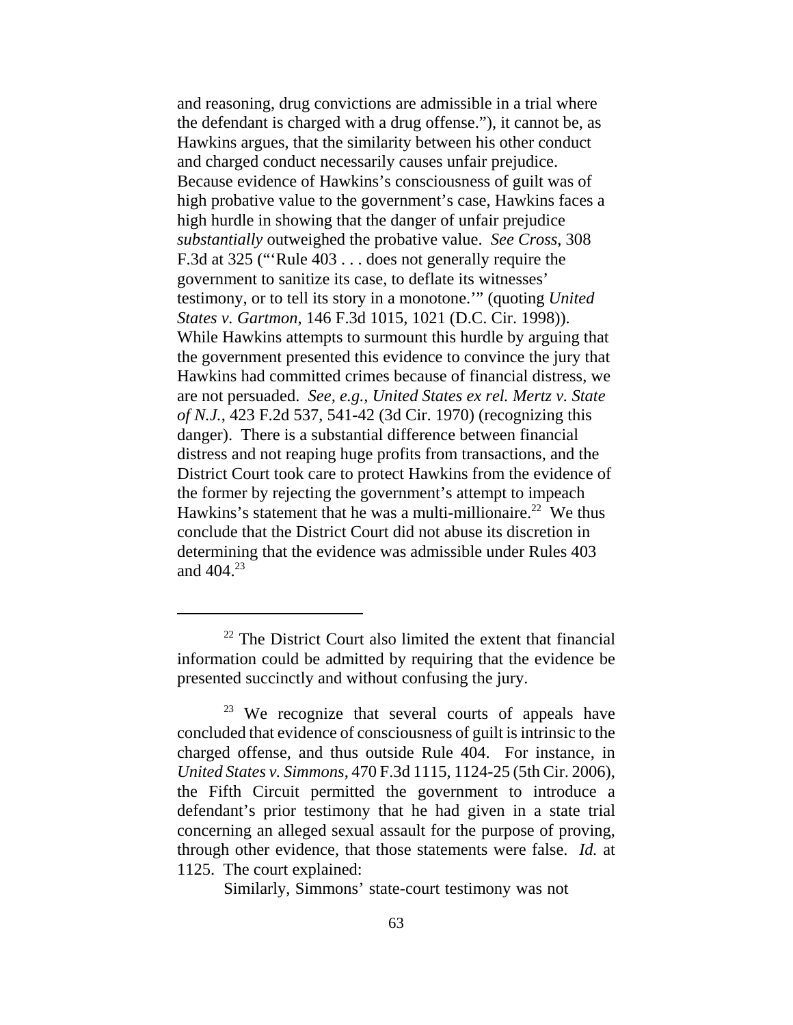and reasoning, drug convictions are admissible in a trial where the defendant is charged with a drug offense."), it cannot be, as Hawkins argues, that the similarity between his other conduct and charged conduct necessarily causes unfair prejudice. Because evidence of Hawkins's consciousness of guilt was of high probative value to the government's case, Hawkins faces a high hurdle in showing that the danger of unfair prejudice *substantially* outweighed the probative value. *See Cross*, 308 F.3d at 325 ("'Rule 403 . . . does not generally require the government to sanitize its case, to deflate its witnesses' testimony, or to tell its story in a monotone.'" (quoting *United States v. Gartmon*, 146 F.3d 1015, 1021 (D.C. Cir. 1998)). While Hawkins attempts to surmount this hurdle by arguing that the government presented this evidence to convince the jury that Hawkins had committed crimes because of financial distress, we are not persuaded. *See, e.g.*, *United States ex rel. Mertz v. State of N.J.*, 423 F.2d 537, 541-42 (3d Cir. 1970) (recognizing this danger). There is a substantial difference between financial distress and not reaping huge profits from transactions, and the District Court took care to protect Hawkins from the evidence of the former by rejecting the government's attempt to impeach Hawkins's statement that he was a multi-millionaire.<sup>22</sup> We thus conclude that the District Court did not abuse its discretion in determining that the evidence was admissible under Rules 403 and 404.23

Similarly, Simmons' state-court testimony was not

<sup>&</sup>lt;sup>22</sup> The District Court also limited the extent that financial information could be admitted by requiring that the evidence be presented succinctly and without confusing the jury.

<sup>&</sup>lt;sup>23</sup> We recognize that several courts of appeals have concluded that evidence of consciousness of guilt is intrinsic to the charged offense, and thus outside Rule 404. For instance, in *United States v. Simmons*, 470 F.3d 1115, 1124-25 (5th Cir. 2006), the Fifth Circuit permitted the government to introduce a defendant's prior testimony that he had given in a state trial concerning an alleged sexual assault for the purpose of proving, through other evidence, that those statements were false. *Id.* at 1125. The court explained: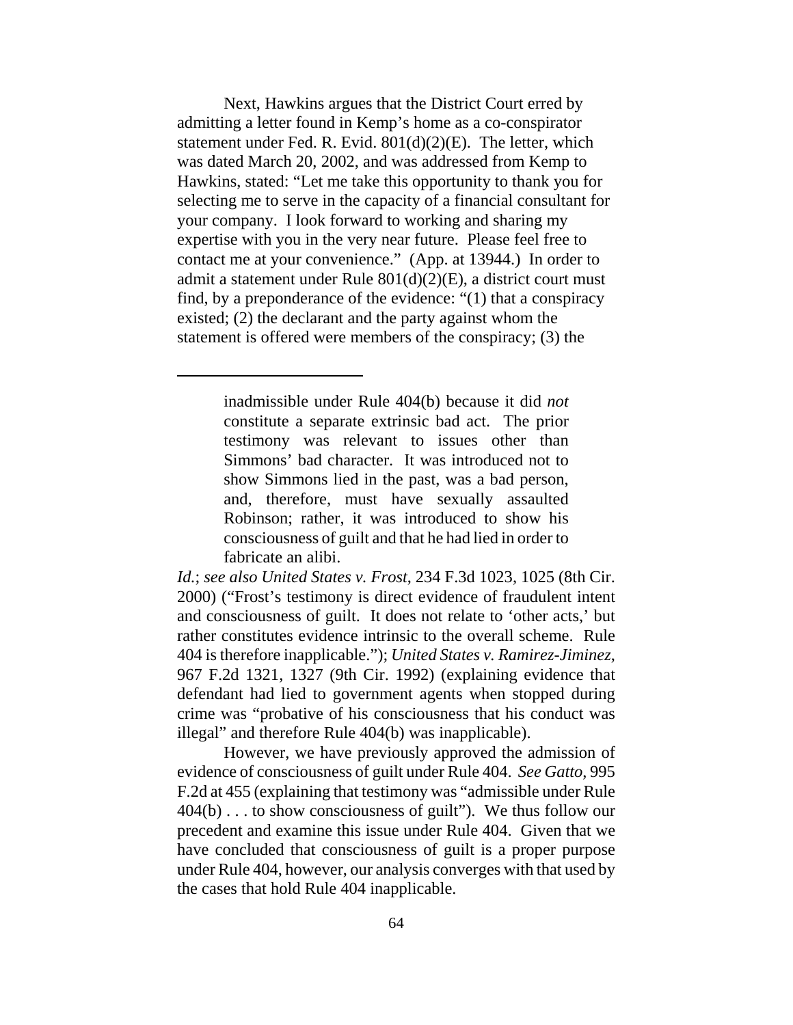Next, Hawkins argues that the District Court erred by admitting a letter found in Kemp's home as a co-conspirator statement under Fed. R. Evid. 801(d)(2)(E). The letter, which was dated March 20, 2002, and was addressed from Kemp to Hawkins, stated: "Let me take this opportunity to thank you for selecting me to serve in the capacity of a financial consultant for your company. I look forward to working and sharing my expertise with you in the very near future. Please feel free to contact me at your convenience." (App. at 13944.) In order to admit a statement under Rule 801(d)(2)(E), a district court must find, by a preponderance of the evidence: "(1) that a conspiracy existed; (2) the declarant and the party against whom the statement is offered were members of the conspiracy; (3) the

> inadmissible under Rule 404(b) because it did *not* constitute a separate extrinsic bad act. The prior testimony was relevant to issues other than Simmons' bad character. It was introduced not to show Simmons lied in the past, was a bad person, and, therefore, must have sexually assaulted Robinson; rather, it was introduced to show his consciousness of guilt and that he had lied in order to fabricate an alibi.

*Id.*; *see also United States v. Frost*, 234 F.3d 1023, 1025 (8th Cir. 2000) ("Frost's testimony is direct evidence of fraudulent intent and consciousness of guilt. It does not relate to 'other acts,' but rather constitutes evidence intrinsic to the overall scheme. Rule 404 is therefore inapplicable."); *United States v. Ramirez-Jiminez*, 967 F.2d 1321, 1327 (9th Cir. 1992) (explaining evidence that defendant had lied to government agents when stopped during crime was "probative of his consciousness that his conduct was illegal" and therefore Rule 404(b) was inapplicable).

However, we have previously approved the admission of evidence of consciousness of guilt under Rule 404. *See Gatto*, 995 F.2d at 455 (explaining that testimony was "admissible under Rule 404(b) . . . to show consciousness of guilt"). We thus follow our precedent and examine this issue under Rule 404. Given that we have concluded that consciousness of guilt is a proper purpose under Rule 404, however, our analysis converges with that used by the cases that hold Rule 404 inapplicable.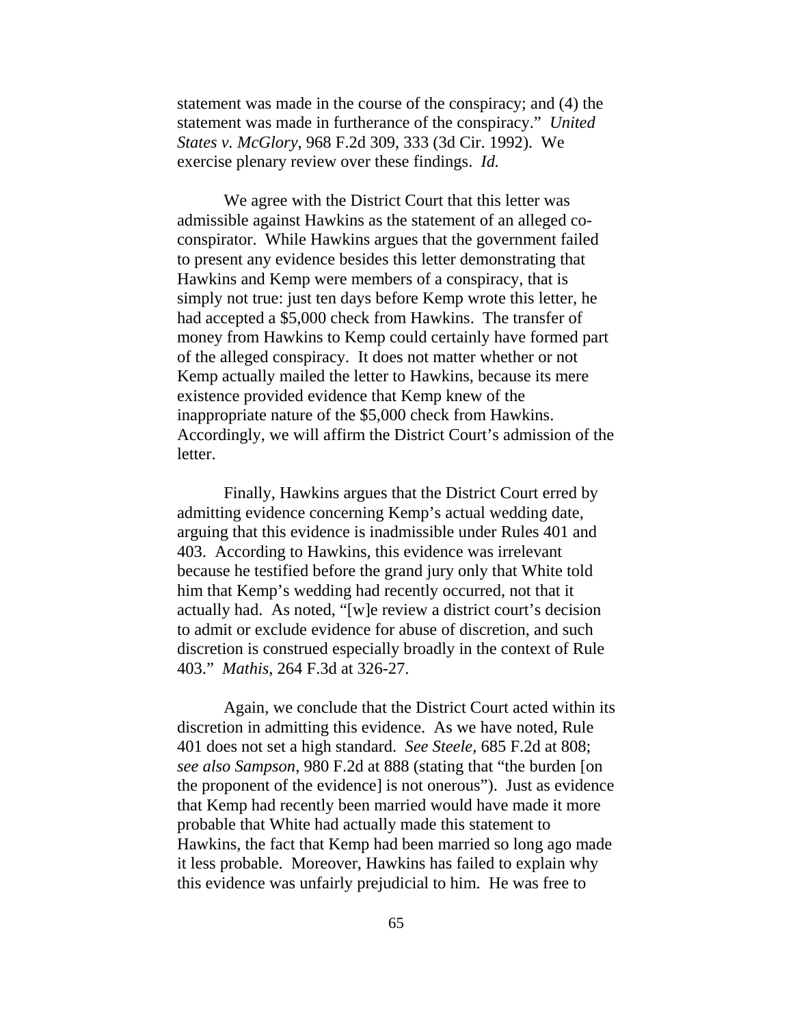statement was made in the course of the conspiracy; and (4) the statement was made in furtherance of the conspiracy." *United States v. McGlory*, 968 F.2d 309, 333 (3d Cir. 1992). We exercise plenary review over these findings. *Id.*

We agree with the District Court that this letter was admissible against Hawkins as the statement of an alleged coconspirator. While Hawkins argues that the government failed to present any evidence besides this letter demonstrating that Hawkins and Kemp were members of a conspiracy, that is simply not true: just ten days before Kemp wrote this letter, he had accepted a \$5,000 check from Hawkins. The transfer of money from Hawkins to Kemp could certainly have formed part of the alleged conspiracy. It does not matter whether or not Kemp actually mailed the letter to Hawkins, because its mere existence provided evidence that Kemp knew of the inappropriate nature of the \$5,000 check from Hawkins. Accordingly, we will affirm the District Court's admission of the letter.

Finally, Hawkins argues that the District Court erred by admitting evidence concerning Kemp's actual wedding date, arguing that this evidence is inadmissible under Rules 401 and 403. According to Hawkins, this evidence was irrelevant because he testified before the grand jury only that White told him that Kemp's wedding had recently occurred, not that it actually had. As noted, "[w]e review a district court's decision to admit or exclude evidence for abuse of discretion, and such discretion is construed especially broadly in the context of Rule 403." *Mathis*, 264 F.3d at 326-27.

Again, we conclude that the District Court acted within its discretion in admitting this evidence. As we have noted, Rule 401 does not set a high standard. *See Steele*, 685 F.2d at 808; *see also Sampson*, 980 F.2d at 888 (stating that "the burden [on the proponent of the evidence] is not onerous"). Just as evidence that Kemp had recently been married would have made it more probable that White had actually made this statement to Hawkins, the fact that Kemp had been married so long ago made it less probable. Moreover, Hawkins has failed to explain why this evidence was unfairly prejudicial to him. He was free to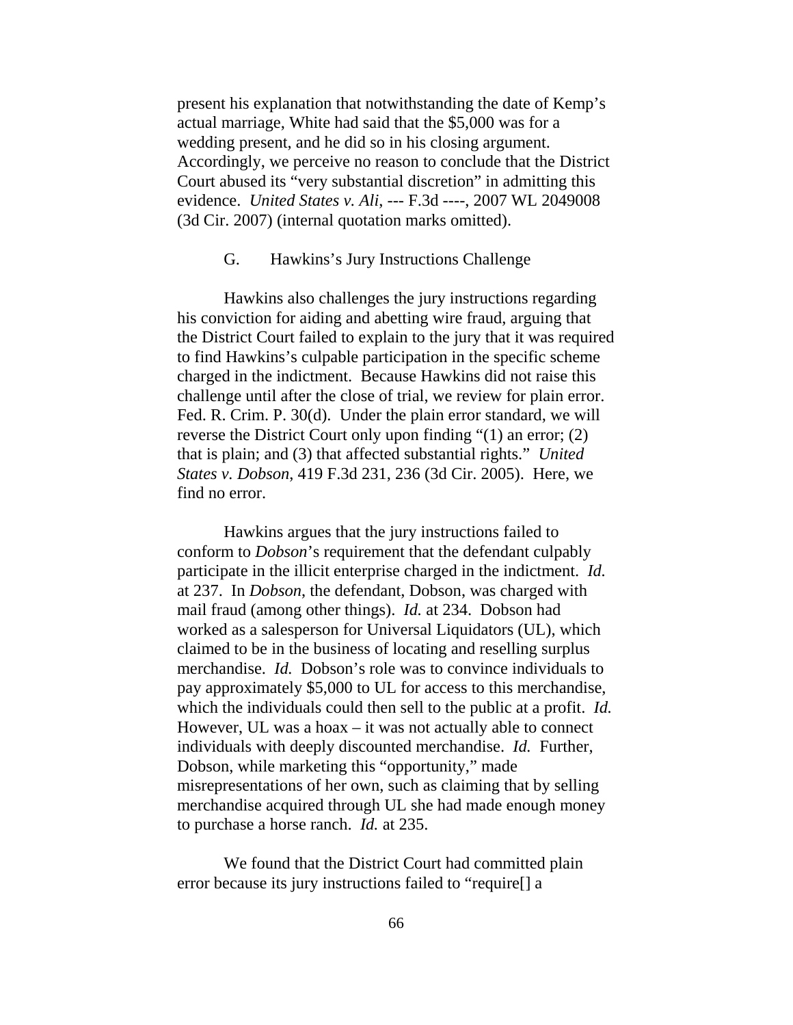present his explanation that notwithstanding the date of Kemp's actual marriage, White had said that the \$5,000 was for a wedding present, and he did so in his closing argument. Accordingly, we perceive no reason to conclude that the District Court abused its "very substantial discretion" in admitting this evidence. *United States v. Ali*, --- F.3d ----, 2007 WL 2049008 (3d Cir. 2007) (internal quotation marks omitted).

## G. Hawkins's Jury Instructions Challenge

Hawkins also challenges the jury instructions regarding his conviction for aiding and abetting wire fraud, arguing that the District Court failed to explain to the jury that it was required to find Hawkins's culpable participation in the specific scheme charged in the indictment. Because Hawkins did not raise this challenge until after the close of trial, we review for plain error. Fed. R. Crim. P. 30(d). Under the plain error standard, we will reverse the District Court only upon finding "(1) an error; (2) that is plain; and (3) that affected substantial rights." *United States v. Dobson*, 419 F.3d 231, 236 (3d Cir. 2005). Here, we find no error.

Hawkins argues that the jury instructions failed to conform to *Dobson*'s requirement that the defendant culpably participate in the illicit enterprise charged in the indictment. *Id.* at 237. In *Dobson*, the defendant, Dobson, was charged with mail fraud (among other things). *Id.* at 234. Dobson had worked as a salesperson for Universal Liquidators (UL), which claimed to be in the business of locating and reselling surplus merchandise. *Id.* Dobson's role was to convince individuals to pay approximately \$5,000 to UL for access to this merchandise, which the individuals could then sell to the public at a profit. *Id.*  However, UL was a hoax – it was not actually able to connect individuals with deeply discounted merchandise. *Id.* Further, Dobson, while marketing this "opportunity," made misrepresentations of her own, such as claiming that by selling merchandise acquired through UL she had made enough money to purchase a horse ranch. *Id.* at 235.

We found that the District Court had committed plain error because its jury instructions failed to "require[] a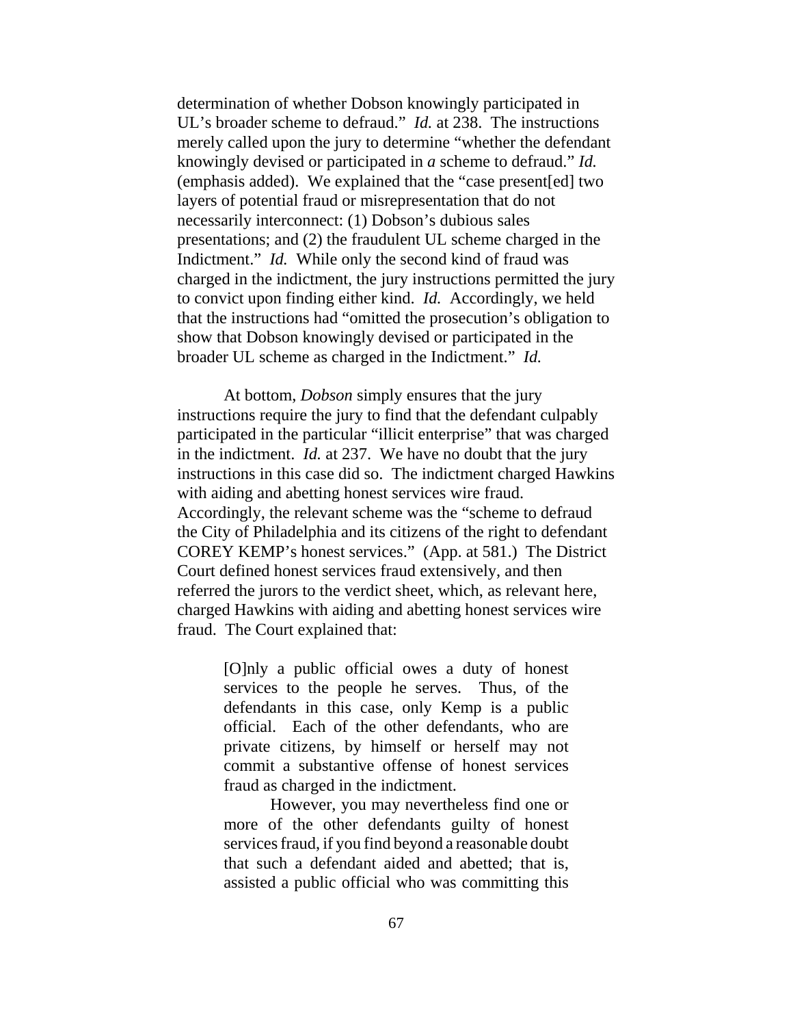determination of whether Dobson knowingly participated in UL's broader scheme to defraud." *Id.* at 238. The instructions merely called upon the jury to determine "whether the defendant knowingly devised or participated in *a* scheme to defraud." *Id.* (emphasis added). We explained that the "case present[ed] two layers of potential fraud or misrepresentation that do not necessarily interconnect: (1) Dobson's dubious sales presentations; and (2) the fraudulent UL scheme charged in the Indictment." *Id.* While only the second kind of fraud was charged in the indictment, the jury instructions permitted the jury to convict upon finding either kind. *Id.* Accordingly, we held that the instructions had "omitted the prosecution's obligation to show that Dobson knowingly devised or participated in the broader UL scheme as charged in the Indictment." *Id.*

At bottom, *Dobson* simply ensures that the jury instructions require the jury to find that the defendant culpably participated in the particular "illicit enterprise" that was charged in the indictment. *Id.* at 237. We have no doubt that the jury instructions in this case did so. The indictment charged Hawkins with aiding and abetting honest services wire fraud. Accordingly, the relevant scheme was the "scheme to defraud the City of Philadelphia and its citizens of the right to defendant COREY KEMP's honest services." (App. at 581.) The District Court defined honest services fraud extensively, and then referred the jurors to the verdict sheet, which, as relevant here, charged Hawkins with aiding and abetting honest services wire fraud. The Court explained that:

> [O]nly a public official owes a duty of honest services to the people he serves. Thus, of the defendants in this case, only Kemp is a public official. Each of the other defendants, who are private citizens, by himself or herself may not commit a substantive offense of honest services fraud as charged in the indictment.

> However, you may nevertheless find one or more of the other defendants guilty of honest services fraud, if you find beyond a reasonable doubt that such a defendant aided and abetted; that is, assisted a public official who was committing this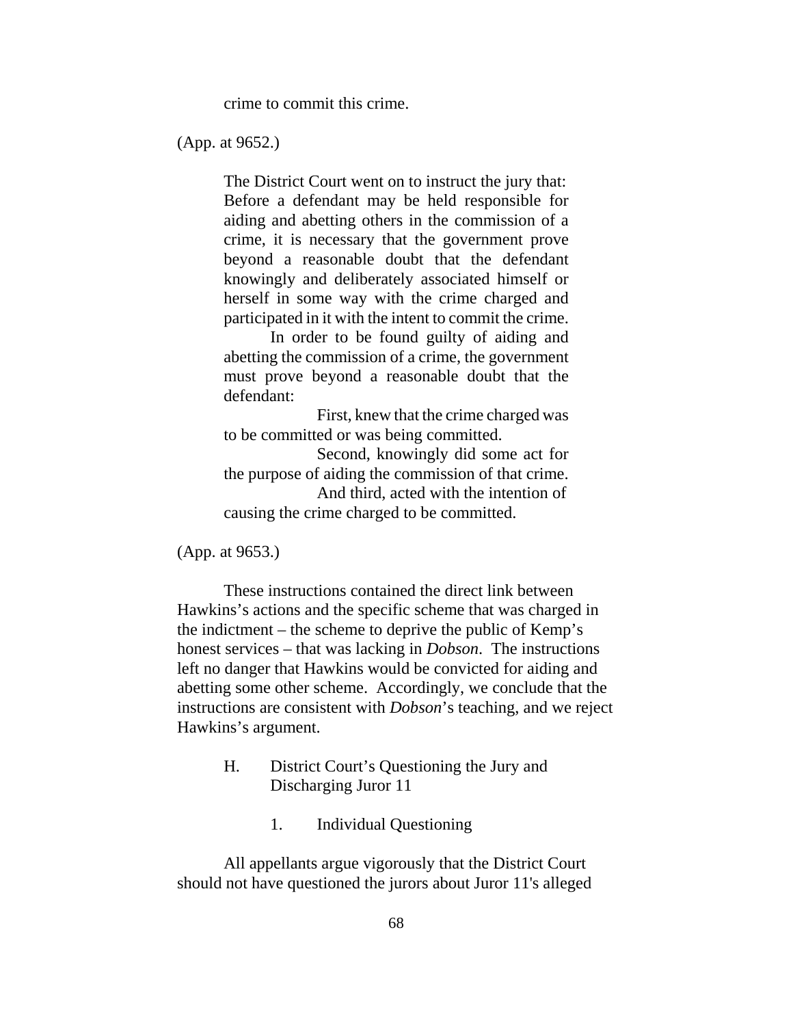crime to commit this crime.

(App. at 9652.)

The District Court went on to instruct the jury that: Before a defendant may be held responsible for aiding and abetting others in the commission of a crime, it is necessary that the government prove beyond a reasonable doubt that the defendant knowingly and deliberately associated himself or herself in some way with the crime charged and participated in it with the intent to commit the crime.

In order to be found guilty of aiding and abetting the commission of a crime, the government must prove beyond a reasonable doubt that the defendant:

First, knew that the crime charged was to be committed or was being committed.

Second, knowingly did some act for the purpose of aiding the commission of that crime. And third, acted with the intention of causing the crime charged to be committed.

(App. at 9653.)

These instructions contained the direct link between Hawkins's actions and the specific scheme that was charged in the indictment – the scheme to deprive the public of Kemp's honest services – that was lacking in *Dobson*. The instructions left no danger that Hawkins would be convicted for aiding and abetting some other scheme. Accordingly, we conclude that the instructions are consistent with *Dobson*'s teaching, and we reject Hawkins's argument.

- H. District Court's Questioning the Jury and Discharging Juror 11
	- 1. Individual Questioning

All appellants argue vigorously that the District Court should not have questioned the jurors about Juror 11's alleged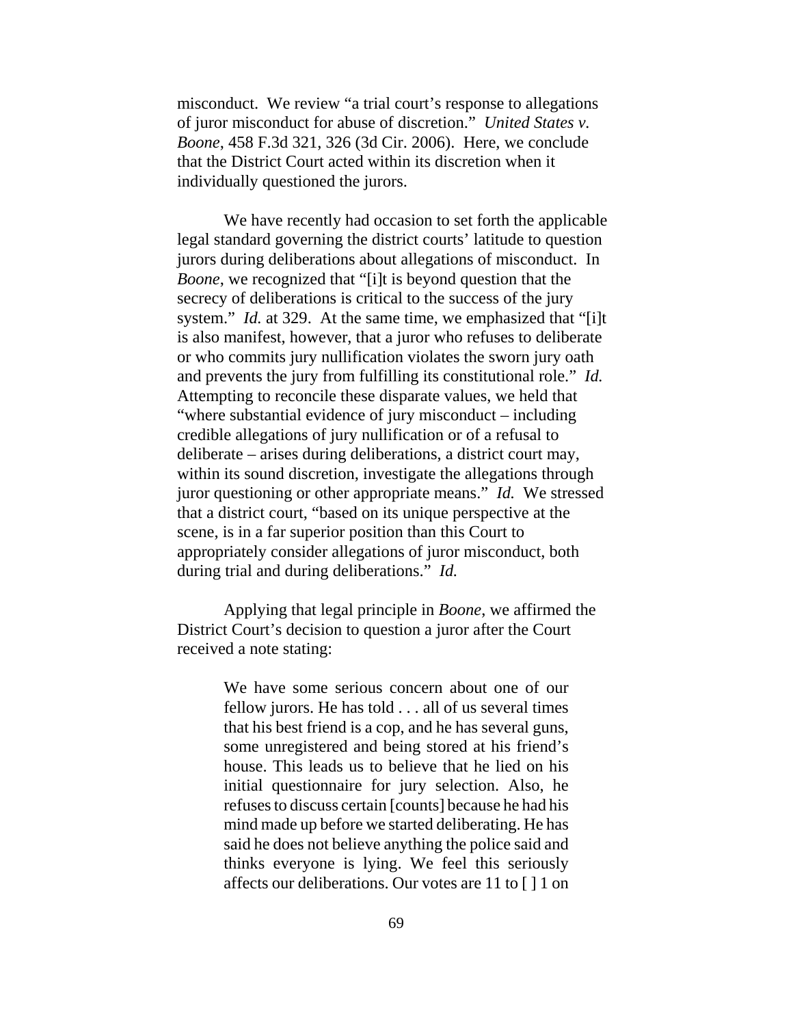misconduct. We review "a trial court's response to allegations of juror misconduct for abuse of discretion." *United States v. Boone*, 458 F.3d 321, 326 (3d Cir. 2006). Here, we conclude that the District Court acted within its discretion when it individually questioned the jurors.

We have recently had occasion to set forth the applicable legal standard governing the district courts' latitude to question jurors during deliberations about allegations of misconduct. In *Boone*, we recognized that "[i]t is beyond question that the secrecy of deliberations is critical to the success of the jury system." *Id.* at 329. At the same time, we emphasized that "[i]t is also manifest, however, that a juror who refuses to deliberate or who commits jury nullification violates the sworn jury oath and prevents the jury from fulfilling its constitutional role." *Id.* Attempting to reconcile these disparate values, we held that "where substantial evidence of jury misconduct – including credible allegations of jury nullification or of a refusal to deliberate – arises during deliberations, a district court may, within its sound discretion, investigate the allegations through juror questioning or other appropriate means." *Id.* We stressed that a district court, "based on its unique perspective at the scene, is in a far superior position than this Court to appropriately consider allegations of juror misconduct, both during trial and during deliberations." *Id.*

Applying that legal principle in *Boone*, we affirmed the District Court's decision to question a juror after the Court received a note stating:

> We have some serious concern about one of our fellow jurors. He has told . . . all of us several times that his best friend is a cop, and he has several guns, some unregistered and being stored at his friend's house. This leads us to believe that he lied on his initial questionnaire for jury selection. Also, he refuses to discuss certain [counts] because he had his mind made up before we started deliberating. He has said he does not believe anything the police said and thinks everyone is lying. We feel this seriously affects our deliberations. Our votes are 11 to [ ] 1 on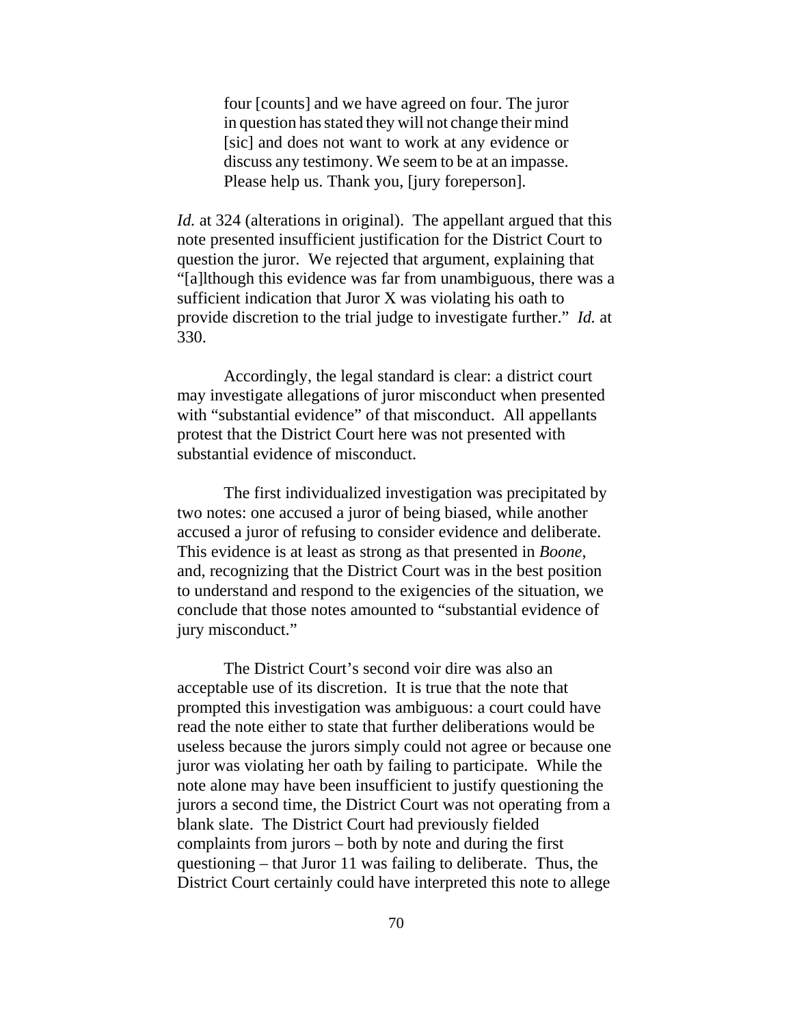four [counts] and we have agreed on four. The juror in question has stated they will not change their mind [sic] and does not want to work at any evidence or discuss any testimony. We seem to be at an impasse. Please help us. Thank you, [jury foreperson].

*Id.* at 324 (alterations in original). The appellant argued that this note presented insufficient justification for the District Court to question the juror. We rejected that argument, explaining that "[a]lthough this evidence was far from unambiguous, there was a sufficient indication that Juror X was violating his oath to provide discretion to the trial judge to investigate further." *Id.* at 330.

Accordingly, the legal standard is clear: a district court may investigate allegations of juror misconduct when presented with "substantial evidence" of that misconduct. All appellants protest that the District Court here was not presented with substantial evidence of misconduct.

The first individualized investigation was precipitated by two notes: one accused a juror of being biased, while another accused a juror of refusing to consider evidence and deliberate. This evidence is at least as strong as that presented in *Boone*, and, recognizing that the District Court was in the best position to understand and respond to the exigencies of the situation, we conclude that those notes amounted to "substantial evidence of jury misconduct."

The District Court's second voir dire was also an acceptable use of its discretion. It is true that the note that prompted this investigation was ambiguous: a court could have read the note either to state that further deliberations would be useless because the jurors simply could not agree or because one juror was violating her oath by failing to participate. While the note alone may have been insufficient to justify questioning the jurors a second time, the District Court was not operating from a blank slate. The District Court had previously fielded complaints from jurors – both by note and during the first questioning – that Juror 11 was failing to deliberate. Thus, the District Court certainly could have interpreted this note to allege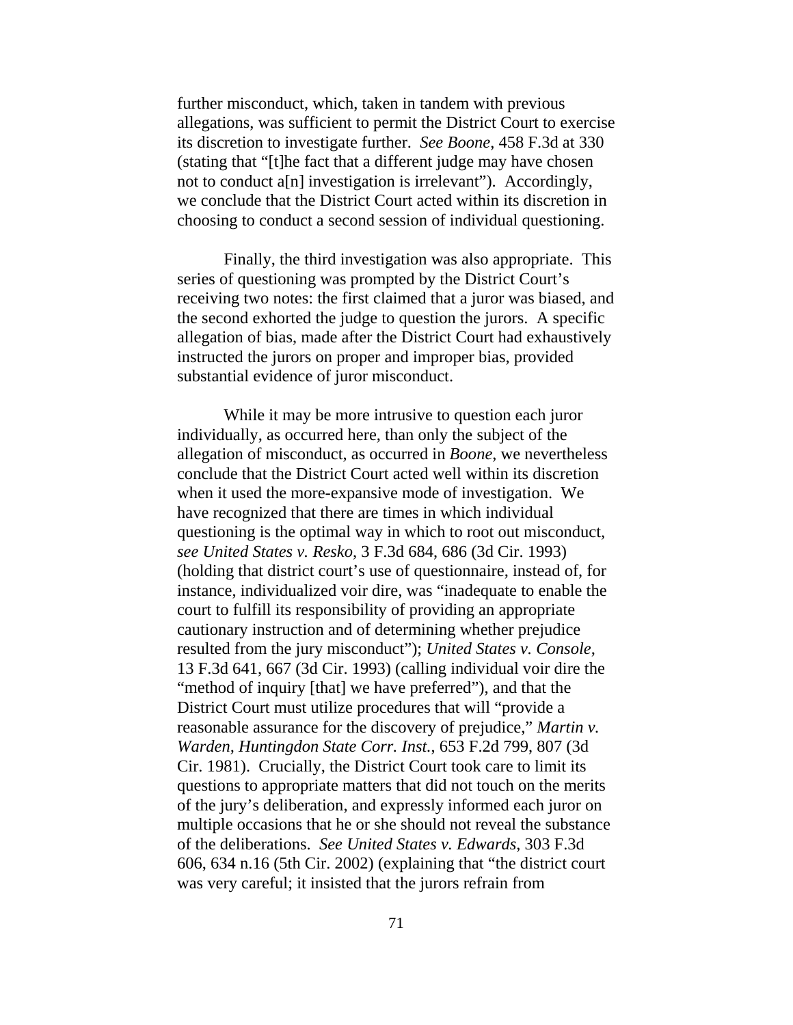further misconduct, which, taken in tandem with previous allegations, was sufficient to permit the District Court to exercise its discretion to investigate further. *See Boone*, 458 F.3d at 330 (stating that "[t]he fact that a different judge may have chosen not to conduct a[n] investigation is irrelevant"). Accordingly, we conclude that the District Court acted within its discretion in choosing to conduct a second session of individual questioning.

Finally, the third investigation was also appropriate. This series of questioning was prompted by the District Court's receiving two notes: the first claimed that a juror was biased, and the second exhorted the judge to question the jurors. A specific allegation of bias, made after the District Court had exhaustively instructed the jurors on proper and improper bias, provided substantial evidence of juror misconduct.

While it may be more intrusive to question each juror individually, as occurred here, than only the subject of the allegation of misconduct, as occurred in *Boone*, we nevertheless conclude that the District Court acted well within its discretion when it used the more-expansive mode of investigation. We have recognized that there are times in which individual questioning is the optimal way in which to root out misconduct, *see United States v. Resko*, 3 F.3d 684, 686 (3d Cir. 1993) (holding that district court's use of questionnaire, instead of, for instance, individualized voir dire, was "inadequate to enable the court to fulfill its responsibility of providing an appropriate cautionary instruction and of determining whether prejudice resulted from the jury misconduct"); *United States v. Console*, 13 F.3d 641, 667 (3d Cir. 1993) (calling individual voir dire the "method of inquiry [that] we have preferred"), and that the District Court must utilize procedures that will "provide a reasonable assurance for the discovery of prejudice," *Martin v. Warden, Huntingdon State Corr. Inst.*, 653 F.2d 799, 807 (3d Cir. 1981). Crucially, the District Court took care to limit its questions to appropriate matters that did not touch on the merits of the jury's deliberation, and expressly informed each juror on multiple occasions that he or she should not reveal the substance of the deliberations. *See United States v. Edwards*, 303 F.3d 606, 634 n.16 (5th Cir. 2002) (explaining that "the district court was very careful; it insisted that the jurors refrain from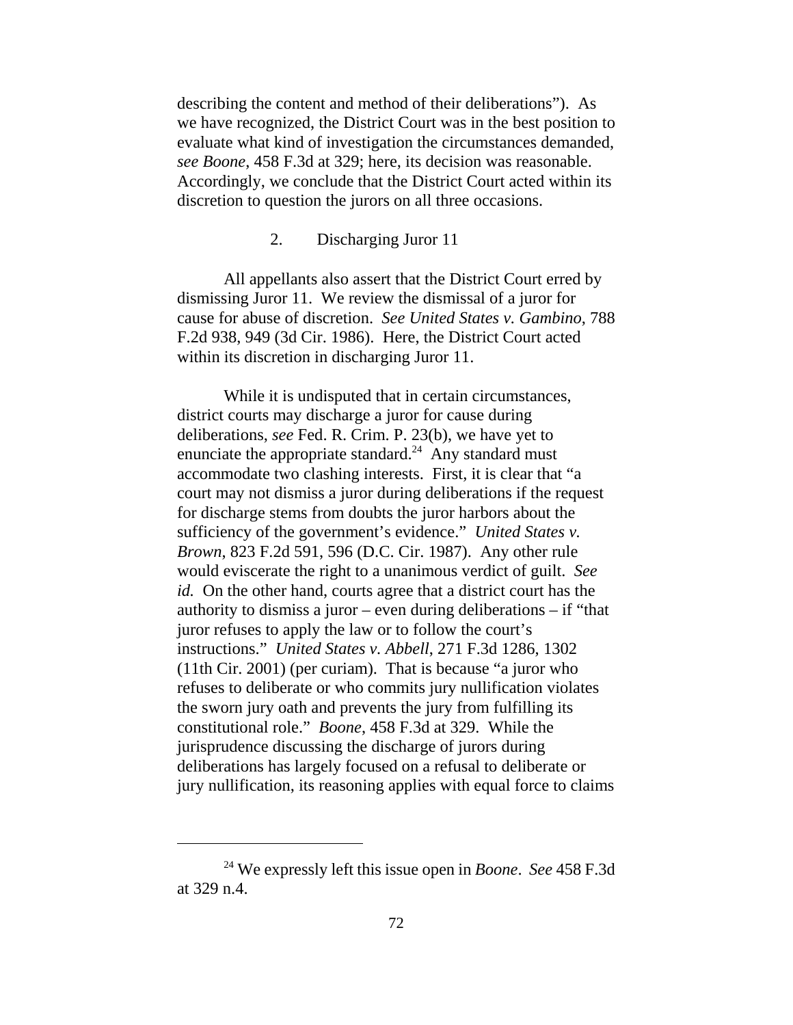describing the content and method of their deliberations"). As we have recognized, the District Court was in the best position to evaluate what kind of investigation the circumstances demanded, *see Boone*, 458 F.3d at 329; here, its decision was reasonable. Accordingly, we conclude that the District Court acted within its discretion to question the jurors on all three occasions.

## 2. Discharging Juror 11

All appellants also assert that the District Court erred by dismissing Juror 11. We review the dismissal of a juror for cause for abuse of discretion. *See United States v. Gambino*, 788 F.2d 938, 949 (3d Cir. 1986). Here, the District Court acted within its discretion in discharging Juror 11.

While it is undisputed that in certain circumstances, district courts may discharge a juror for cause during deliberations, *see* Fed. R. Crim. P. 23(b), we have yet to enunciate the appropriate standard.<sup>24</sup> Any standard must accommodate two clashing interests. First, it is clear that "a court may not dismiss a juror during deliberations if the request for discharge stems from doubts the juror harbors about the sufficiency of the government's evidence." *United States v. Brown*, 823 F.2d 591, 596 (D.C. Cir. 1987). Any other rule would eviscerate the right to a unanimous verdict of guilt. *See id.* On the other hand, courts agree that a district court has the authority to dismiss a juror – even during deliberations – if "that juror refuses to apply the law or to follow the court's instructions." *United States v. Abbell*, 271 F.3d 1286, 1302 (11th Cir. 2001) (per curiam). That is because "a juror who refuses to deliberate or who commits jury nullification violates the sworn jury oath and prevents the jury from fulfilling its constitutional role." *Boone*, 458 F.3d at 329. While the jurisprudence discussing the discharge of jurors during deliberations has largely focused on a refusal to deliberate or jury nullification, its reasoning applies with equal force to claims

<sup>24</sup> We expressly left this issue open in *Boone*. *See* 458 F.3d at 329 n.4.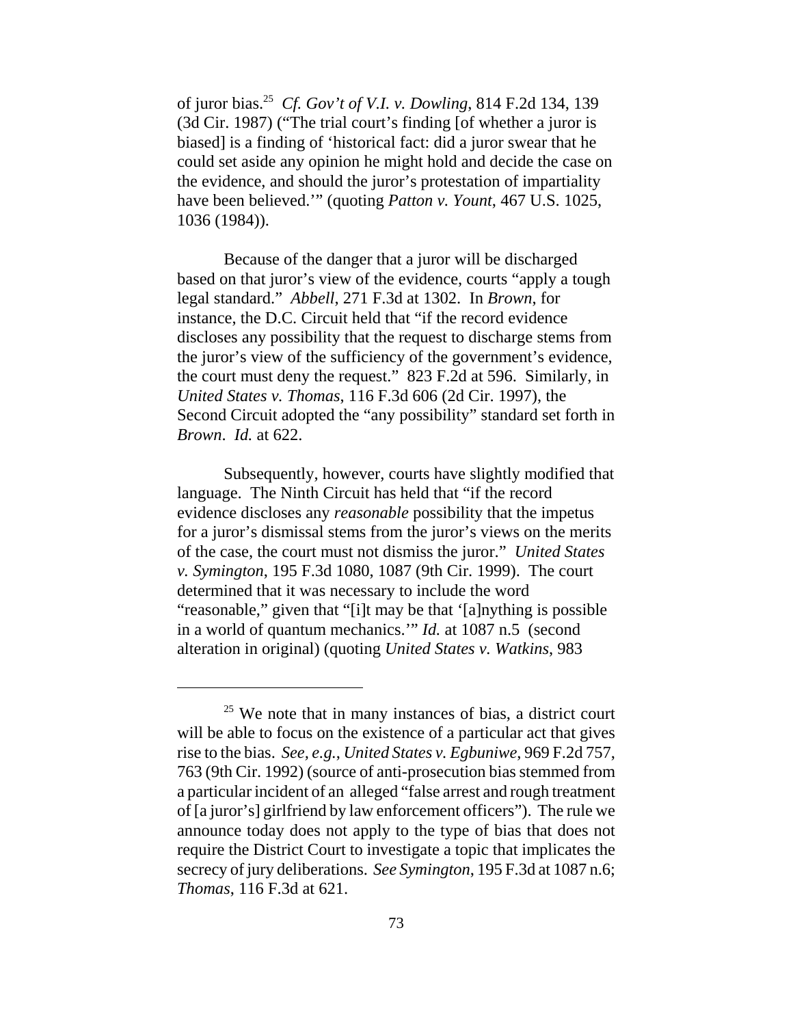of juror bias.25 *Cf. Gov't of V.I. v. Dowling*, 814 F.2d 134, 139 (3d Cir. 1987) ("The trial court's finding [of whether a juror is biased] is a finding of 'historical fact: did a juror swear that he could set aside any opinion he might hold and decide the case on the evidence, and should the juror's protestation of impartiality have been believed.'" (quoting *Patton v. Yount*, 467 U.S. 1025, 1036 (1984)).

Because of the danger that a juror will be discharged based on that juror's view of the evidence, courts "apply a tough legal standard." *Abbell*, 271 F.3d at 1302. In *Brown*, for instance, the D.C. Circuit held that "if the record evidence discloses any possibility that the request to discharge stems from the juror's view of the sufficiency of the government's evidence, the court must deny the request." 823 F.2d at 596. Similarly, in *United States v. Thomas*, 116 F.3d 606 (2d Cir. 1997), the Second Circuit adopted the "any possibility" standard set forth in *Brown*. *Id.* at 622.

Subsequently, however, courts have slightly modified that language. The Ninth Circuit has held that "if the record evidence discloses any *reasonable* possibility that the impetus for a juror's dismissal stems from the juror's views on the merits of the case, the court must not dismiss the juror." *United States v. Symington*, 195 F.3d 1080, 1087 (9th Cir. 1999). The court determined that it was necessary to include the word "reasonable," given that "[i]t may be that '[a]nything is possible in a world of quantum mechanics.'" *Id.* at 1087 n.5 (second alteration in original) (quoting *United States v. Watkins*, 983

 $25$  We note that in many instances of bias, a district court will be able to focus on the existence of a particular act that gives rise to the bias. *See, e.g.*, *United States v. Egbuniwe*, 969 F.2d 757, 763 (9th Cir. 1992) (source of anti-prosecution bias stemmed from a particular incident of an alleged "false arrest and rough treatment of [a juror's] girlfriend by law enforcement officers"). The rule we announce today does not apply to the type of bias that does not require the District Court to investigate a topic that implicates the secrecy of jury deliberations. *See Symington*, 195 F.3d at 1087 n.6; *Thomas*, 116 F.3d at 621.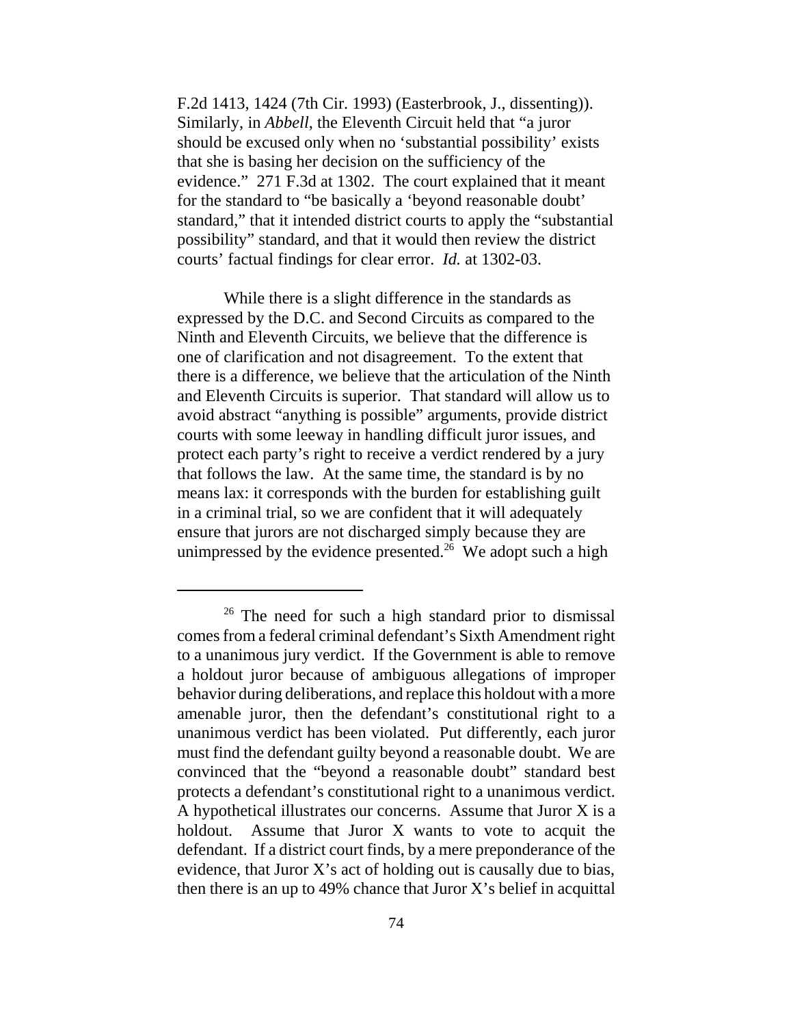F.2d 1413, 1424 (7th Cir. 1993) (Easterbrook, J., dissenting)). Similarly, in *Abbell*, the Eleventh Circuit held that "a juror should be excused only when no 'substantial possibility' exists that she is basing her decision on the sufficiency of the evidence." 271 F.3d at 1302. The court explained that it meant for the standard to "be basically a 'beyond reasonable doubt' standard," that it intended district courts to apply the "substantial possibility" standard, and that it would then review the district courts' factual findings for clear error. *Id.* at 1302-03.

While there is a slight difference in the standards as expressed by the D.C. and Second Circuits as compared to the Ninth and Eleventh Circuits, we believe that the difference is one of clarification and not disagreement. To the extent that there is a difference, we believe that the articulation of the Ninth and Eleventh Circuits is superior. That standard will allow us to avoid abstract "anything is possible" arguments, provide district courts with some leeway in handling difficult juror issues, and protect each party's right to receive a verdict rendered by a jury that follows the law. At the same time, the standard is by no means lax: it corresponds with the burden for establishing guilt in a criminal trial, so we are confident that it will adequately ensure that jurors are not discharged simply because they are unimpressed by the evidence presented.<sup>26</sup> We adopt such a high

 $26$  The need for such a high standard prior to dismissal comes from a federal criminal defendant's Sixth Amendment right to a unanimous jury verdict. If the Government is able to remove a holdout juror because of ambiguous allegations of improper behavior during deliberations, and replace this holdout with a more amenable juror, then the defendant's constitutional right to a unanimous verdict has been violated. Put differently, each juror must find the defendant guilty beyond a reasonable doubt. We are convinced that the "beyond a reasonable doubt" standard best protects a defendant's constitutional right to a unanimous verdict. A hypothetical illustrates our concerns. Assume that Juror X is a holdout. Assume that Juror X wants to vote to acquit the defendant. If a district court finds, by a mere preponderance of the evidence, that Juror X's act of holding out is causally due to bias, then there is an up to 49% chance that Juror  $X$ 's belief in acquittal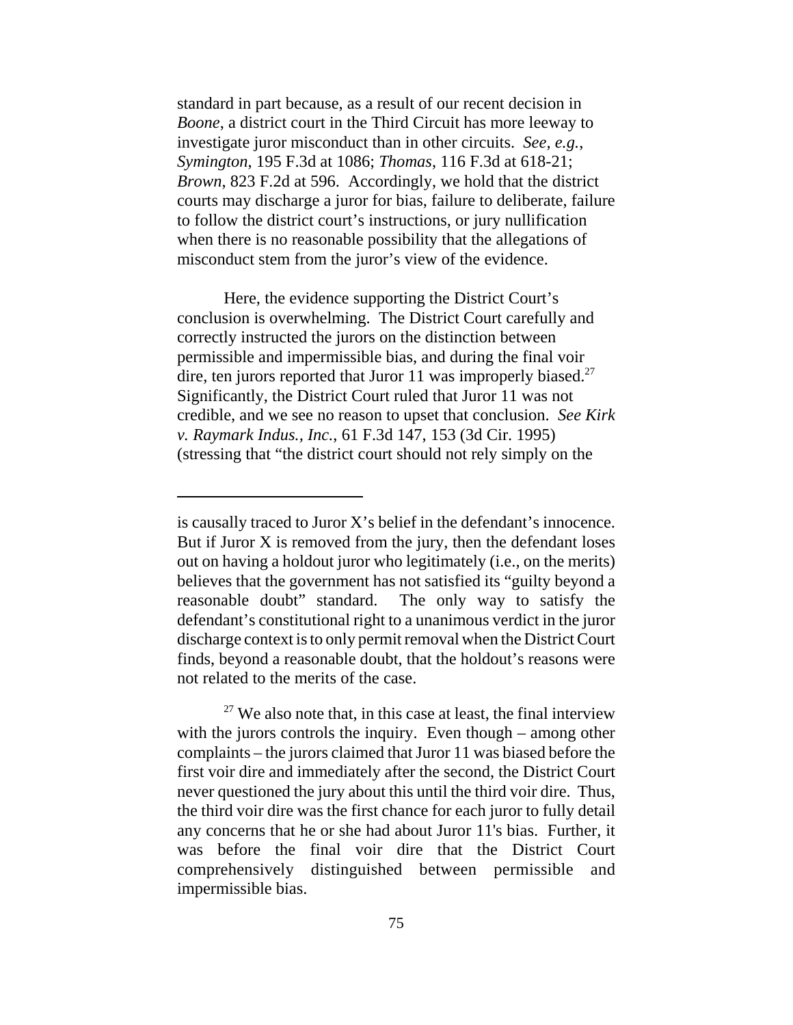standard in part because, as a result of our recent decision in *Boone*, a district court in the Third Circuit has more leeway to investigate juror misconduct than in other circuits. *See, e.g.*, *Symington*, 195 F.3d at 1086; *Thomas*, 116 F.3d at 618-21; *Brown*, 823 F.2d at 596. Accordingly, we hold that the district courts may discharge a juror for bias, failure to deliberate, failure to follow the district court's instructions, or jury nullification when there is no reasonable possibility that the allegations of misconduct stem from the juror's view of the evidence.

Here, the evidence supporting the District Court's conclusion is overwhelming. The District Court carefully and correctly instructed the jurors on the distinction between permissible and impermissible bias, and during the final voir dire, ten jurors reported that Juror 11 was improperly biased.<sup>27</sup> Significantly, the District Court ruled that Juror 11 was not credible, and we see no reason to upset that conclusion. *See Kirk v. Raymark Indus., Inc.*, 61 F.3d 147, 153 (3d Cir. 1995) (stressing that "the district court should not rely simply on the

is causally traced to Juror X's belief in the defendant's innocence. But if Juror X is removed from the jury, then the defendant loses out on having a holdout juror who legitimately (i.e., on the merits) believes that the government has not satisfied its "guilty beyond a reasonable doubt" standard. The only way to satisfy the defendant's constitutional right to a unanimous verdict in the juror discharge context is to only permit removal when the District Court finds, beyond a reasonable doubt, that the holdout's reasons were not related to the merits of the case.

 $27$  We also note that, in this case at least, the final interview with the jurors controls the inquiry. Even though – among other complaints – the jurors claimed that Juror 11 was biased before the first voir dire and immediately after the second, the District Court never questioned the jury about this until the third voir dire. Thus, the third voir dire was the first chance for each juror to fully detail any concerns that he or she had about Juror 11's bias. Further, it was before the final voir dire that the District Court comprehensively distinguished between permissible and impermissible bias.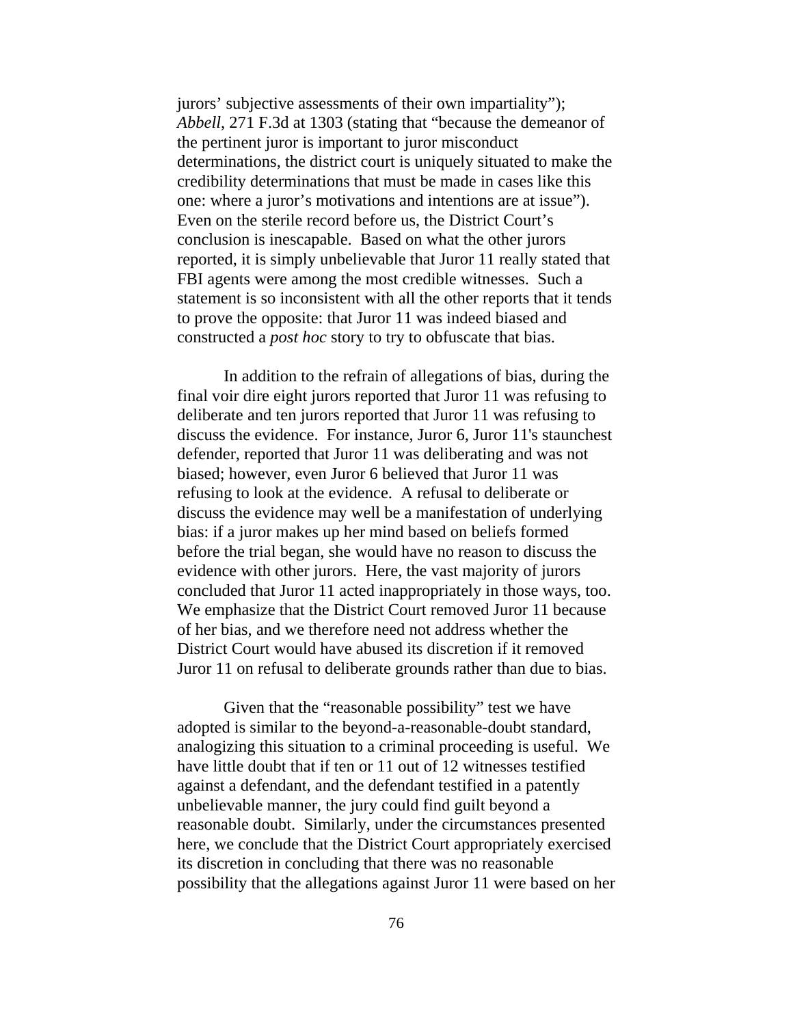jurors' subjective assessments of their own impartiality"); *Abbell*, 271 F.3d at 1303 (stating that "because the demeanor of the pertinent juror is important to juror misconduct determinations, the district court is uniquely situated to make the credibility determinations that must be made in cases like this one: where a juror's motivations and intentions are at issue"). Even on the sterile record before us, the District Court's conclusion is inescapable. Based on what the other jurors reported, it is simply unbelievable that Juror 11 really stated that FBI agents were among the most credible witnesses. Such a statement is so inconsistent with all the other reports that it tends to prove the opposite: that Juror 11 was indeed biased and constructed a *post hoc* story to try to obfuscate that bias.

In addition to the refrain of allegations of bias, during the final voir dire eight jurors reported that Juror 11 was refusing to deliberate and ten jurors reported that Juror 11 was refusing to discuss the evidence. For instance, Juror 6, Juror 11's staunchest defender, reported that Juror 11 was deliberating and was not biased; however, even Juror 6 believed that Juror 11 was refusing to look at the evidence. A refusal to deliberate or discuss the evidence may well be a manifestation of underlying bias: if a juror makes up her mind based on beliefs formed before the trial began, she would have no reason to discuss the evidence with other jurors. Here, the vast majority of jurors concluded that Juror 11 acted inappropriately in those ways, too. We emphasize that the District Court removed Juror 11 because of her bias, and we therefore need not address whether the District Court would have abused its discretion if it removed Juror 11 on refusal to deliberate grounds rather than due to bias.

Given that the "reasonable possibility" test we have adopted is similar to the beyond-a-reasonable-doubt standard, analogizing this situation to a criminal proceeding is useful. We have little doubt that if ten or 11 out of 12 witnesses testified against a defendant, and the defendant testified in a patently unbelievable manner, the jury could find guilt beyond a reasonable doubt. Similarly, under the circumstances presented here, we conclude that the District Court appropriately exercised its discretion in concluding that there was no reasonable possibility that the allegations against Juror 11 were based on her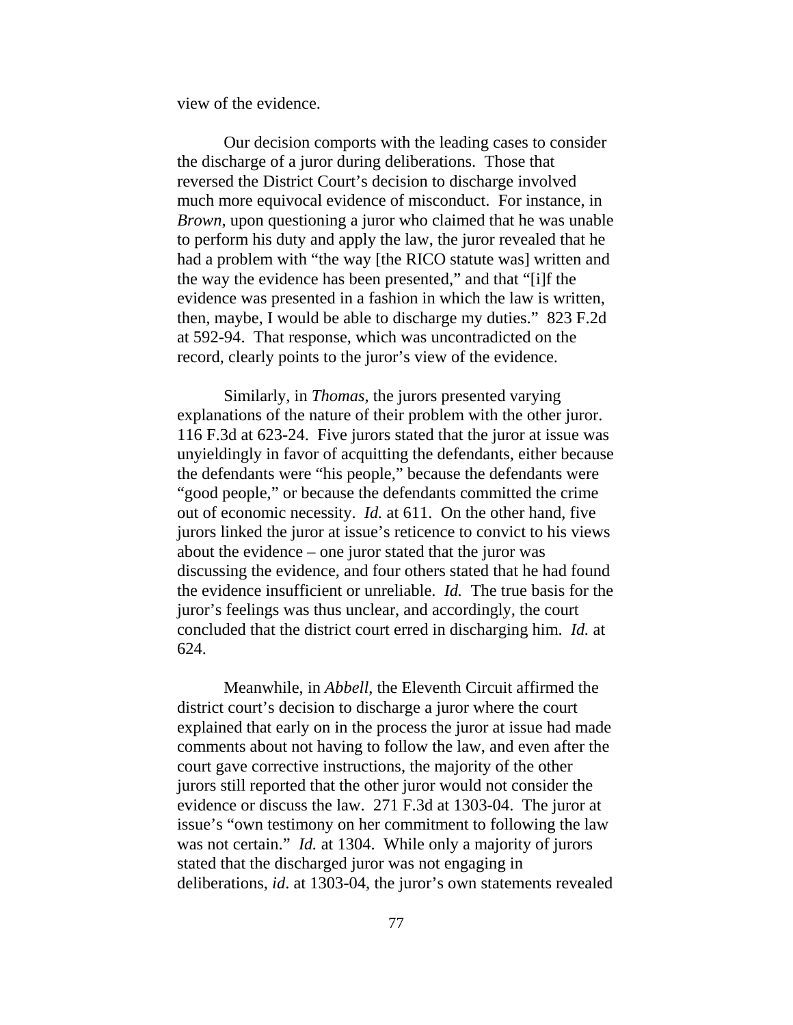view of the evidence.

Our decision comports with the leading cases to consider the discharge of a juror during deliberations. Those that reversed the District Court's decision to discharge involved much more equivocal evidence of misconduct. For instance, in *Brown*, upon questioning a juror who claimed that he was unable to perform his duty and apply the law, the juror revealed that he had a problem with "the way [the RICO statute was] written and the way the evidence has been presented," and that "[i]f the evidence was presented in a fashion in which the law is written, then, maybe, I would be able to discharge my duties." 823 F.2d at 592-94. That response, which was uncontradicted on the record, clearly points to the juror's view of the evidence.

Similarly, in *Thomas*, the jurors presented varying explanations of the nature of their problem with the other juror. 116 F.3d at 623-24. Five jurors stated that the juror at issue was unyieldingly in favor of acquitting the defendants, either because the defendants were "his people," because the defendants were "good people," or because the defendants committed the crime out of economic necessity. *Id.* at 611. On the other hand, five jurors linked the juror at issue's reticence to convict to his views about the evidence – one juror stated that the juror was discussing the evidence, and four others stated that he had found the evidence insufficient or unreliable. *Id.* The true basis for the juror's feelings was thus unclear, and accordingly, the court concluded that the district court erred in discharging him. *Id.* at 624.

Meanwhile, in *Abbell*, the Eleventh Circuit affirmed the district court's decision to discharge a juror where the court explained that early on in the process the juror at issue had made comments about not having to follow the law, and even after the court gave corrective instructions, the majority of the other jurors still reported that the other juror would not consider the evidence or discuss the law. 271 F.3d at 1303-04. The juror at issue's "own testimony on her commitment to following the law was not certain." *Id.* at 1304. While only a majority of jurors stated that the discharged juror was not engaging in deliberations, *id*. at 1303-04, the juror's own statements revealed